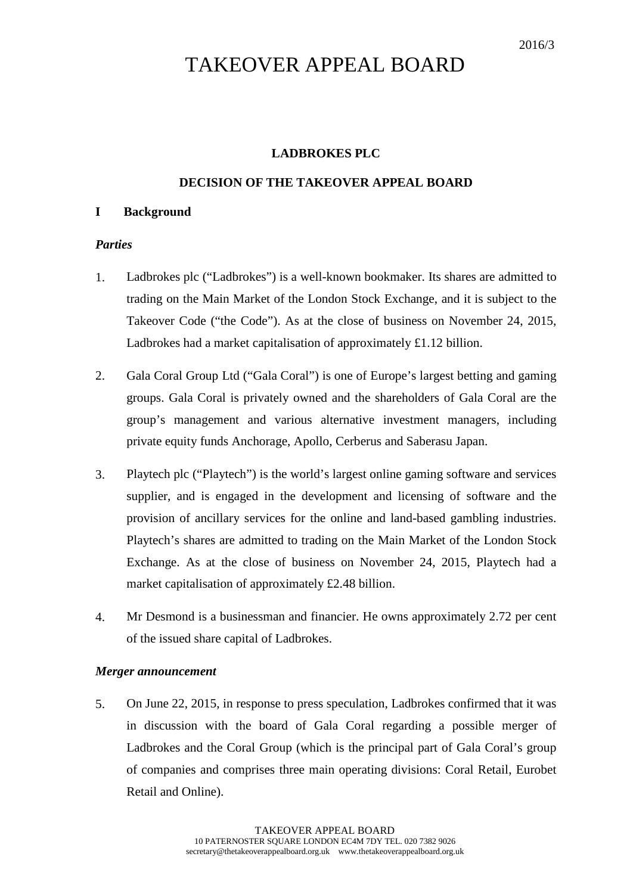# TAKEOVER APPEAL BOARD

# **LADBROKES PLC**

# **DECISION OF THE TAKEOVER APPEAL BOARD**

## **I Background**

# *Parties*

- 1. Ladbrokes plc ("Ladbrokes") is a well-known bookmaker. Its shares are admitted to trading on the Main Market of the London Stock Exchange, and it is subject to the Takeover Code ("the Code"). As at the close of business on November 24, 2015, Ladbrokes had a market capitalisation of approximately £1.12 billion.
- 2. Gala Coral Group Ltd ("Gala Coral") is one of Europe's largest betting and gaming groups. Gala Coral is privately owned and the shareholders of Gala Coral are the group's management and various alternative investment managers, including private equity funds Anchorage, Apollo, Cerberus and Saberasu Japan.
- 3. Playtech plc ("Playtech") is the world's largest online gaming software and services supplier, and is engaged in the development and licensing of software and the provision of ancillary services for the online and land-based gambling industries. Playtech's shares are admitted to trading on the Main Market of the London Stock Exchange. As at the close of business on November 24, 2015, Playtech had a market capitalisation of approximately £2.48 billion.
- 4. Mr Desmond is a businessman and financier. He owns approximately 2.72 per cent of the issued share capital of Ladbrokes.

## *Merger announcement*

5. On June 22, 2015, in response to press speculation, Ladbrokes confirmed that it was in discussion with the board of Gala Coral regarding a possible merger of Ladbrokes and the Coral Group (which is the principal part of Gala Coral's group of companies and comprises three main operating divisions: Coral Retail, Eurobet Retail and Online).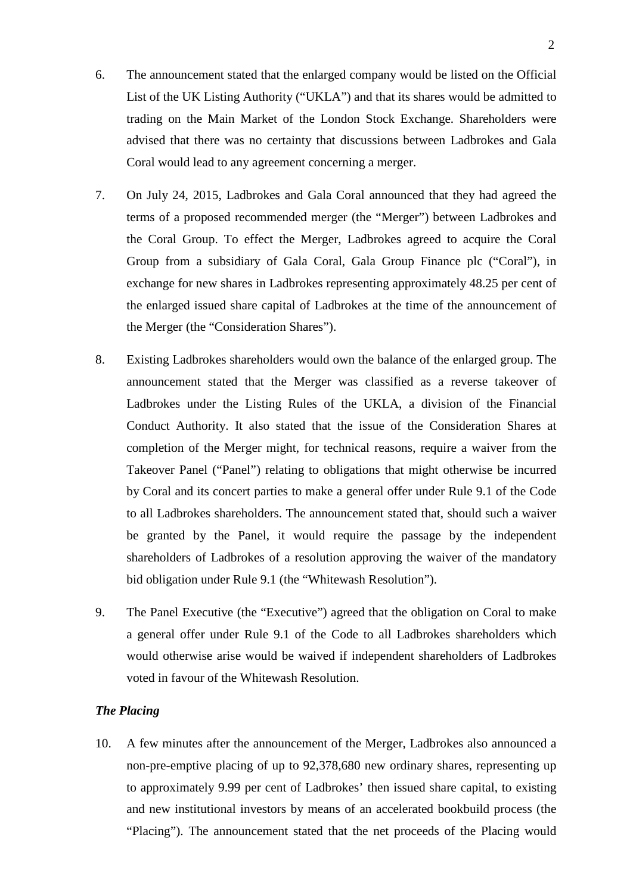- 6. The announcement stated that the enlarged company would be listed on the Official List of the UK Listing Authority ("UKLA") and that its shares would be admitted to trading on the Main Market of the London Stock Exchange. Shareholders were advised that there was no certainty that discussions between Ladbrokes and Gala Coral would lead to any agreement concerning a merger.
- 7. On July 24, 2015, Ladbrokes and Gala Coral announced that they had agreed the terms of a proposed recommended merger (the "Merger") between Ladbrokes and the Coral Group. To effect the Merger, Ladbrokes agreed to acquire the Coral Group from a subsidiary of Gala Coral, Gala Group Finance plc ("Coral"), in exchange for new shares in Ladbrokes representing approximately 48.25 per cent of the enlarged issued share capital of Ladbrokes at the time of the announcement of the Merger (the "Consideration Shares").
- 8. Existing Ladbrokes shareholders would own the balance of the enlarged group. The announcement stated that the Merger was classified as a reverse takeover of Ladbrokes under the Listing Rules of the UKLA, a division of the Financial Conduct Authority. It also stated that the issue of the Consideration Shares at completion of the Merger might, for technical reasons, require a waiver from the Takeover Panel ("Panel") relating to obligations that might otherwise be incurred by Coral and its concert parties to make a general offer under Rule 9.1 of the Code to all Ladbrokes shareholders. The announcement stated that, should such a waiver be granted by the Panel, it would require the passage by the independent shareholders of Ladbrokes of a resolution approving the waiver of the mandatory bid obligation under Rule 9.1 (the "Whitewash Resolution").
- 9. The Panel Executive (the "Executive") agreed that the obligation on Coral to make a general offer under Rule 9.1 of the Code to all Ladbrokes shareholders which would otherwise arise would be waived if independent shareholders of Ladbrokes voted in favour of the Whitewash Resolution.

## *The Placing*

10. A few minutes after the announcement of the Merger, Ladbrokes also announced a non-pre-emptive placing of up to 92,378,680 new ordinary shares, representing up to approximately 9.99 per cent of Ladbrokes' then issued share capital, to existing and new institutional investors by means of an accelerated bookbuild process (the "Placing"). The announcement stated that the net proceeds of the Placing would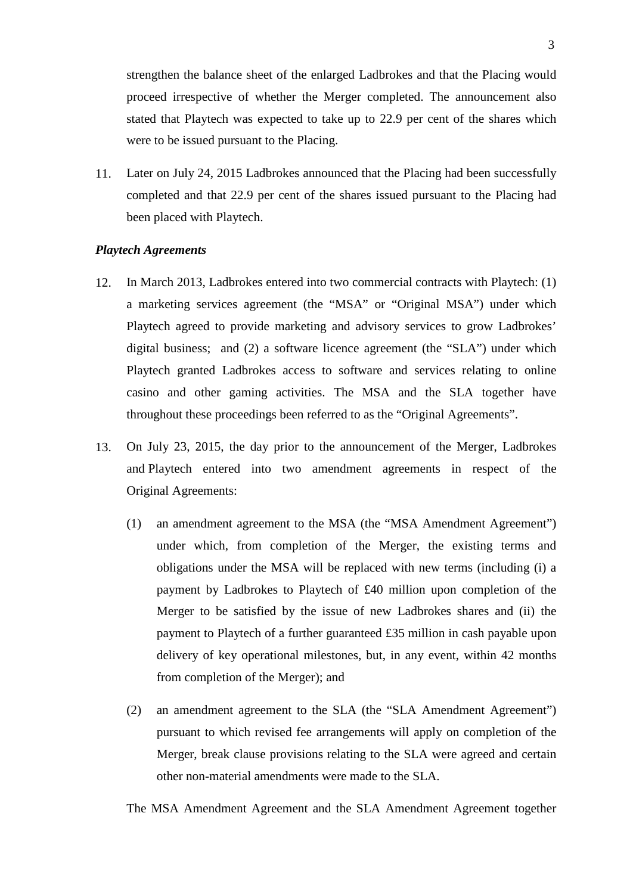strengthen the balance sheet of the enlarged Ladbrokes and that the Placing would proceed irrespective of whether the Merger completed. The announcement also stated that Playtech was expected to take up to 22.9 per cent of the shares which were to be issued pursuant to the Placing.

11. Later on July 24, 2015 Ladbrokes announced that the Placing had been successfully completed and that 22.9 per cent of the shares issued pursuant to the Placing had been placed with Playtech.

#### *Playtech Agreements*

- 12. In March 2013, Ladbrokes entered into two commercial contracts with Playtech: (1) a marketing services agreement (the "MSA" or "Original MSA") under which Playtech agreed to provide marketing and advisory services to grow Ladbrokes' digital business; and (2) a software licence agreement (the "SLA") under which Playtech granted Ladbrokes access to software and services relating to online casino and other gaming activities. The MSA and the SLA together have throughout these proceedings been referred to as the "Original Agreements".
- 13. On July 23, 2015, the day prior to the announcement of the Merger, Ladbrokes and Playtech entered into two amendment agreements in respect of the Original Agreements:
	- (1) an amendment agreement to the MSA (the "MSA Amendment Agreement") under which, from completion of the Merger, the existing terms and obligations under the MSA will be replaced with new terms (including (i) a payment by Ladbrokes to Playtech of £40 million upon completion of the Merger to be satisfied by the issue of new Ladbrokes shares and (ii) the payment to Playtech of a further guaranteed £35 million in cash payable upon delivery of key operational milestones, but, in any event, within 42 months from completion of the Merger); and
	- (2) an amendment agreement to the SLA (the "SLA Amendment Agreement") pursuant to which revised fee arrangements will apply on completion of the Merger, break clause provisions relating to the SLA were agreed and certain other non-material amendments were made to the SLA.

The MSA Amendment Agreement and the SLA Amendment Agreement together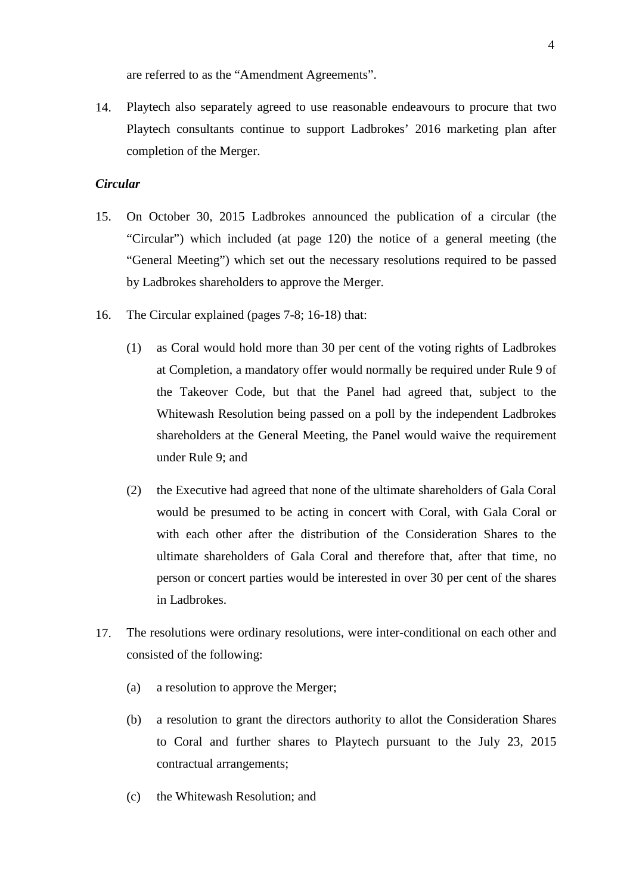are referred to as the "Amendment Agreements".

14. Playtech also separately agreed to use reasonable endeavours to procure that two Playtech consultants continue to support Ladbrokes' 2016 marketing plan after completion of the Merger.

# *Circular*

- 15. On October 30, 2015 Ladbrokes announced the publication of a circular (the "Circular") which included (at page 120) the notice of a general meeting (the "General Meeting") which set out the necessary resolutions required to be passed by Ladbrokes shareholders to approve the Merger.
- 16. The Circular explained (pages 7-8; 16-18) that:
	- (1) as Coral would hold more than 30 per cent of the voting rights of Ladbrokes at Completion, a mandatory offer would normally be required under Rule 9 of the Takeover Code, but that the Panel had agreed that, subject to the Whitewash Resolution being passed on a poll by the independent Ladbrokes shareholders at the General Meeting, the Panel would waive the requirement under Rule 9; and
	- (2) the Executive had agreed that none of the ultimate shareholders of Gala Coral would be presumed to be acting in concert with Coral, with Gala Coral or with each other after the distribution of the Consideration Shares to the ultimate shareholders of Gala Coral and therefore that, after that time, no person or concert parties would be interested in over 30 per cent of the shares in Ladbrokes.
- 17. The resolutions were ordinary resolutions, were inter-conditional on each other and consisted of the following:
	- (a) a resolution to approve the Merger;
	- (b) a resolution to grant the directors authority to allot the Consideration Shares to Coral and further shares to Playtech pursuant to the July 23, 2015 contractual arrangements;
	- (c) the Whitewash Resolution; and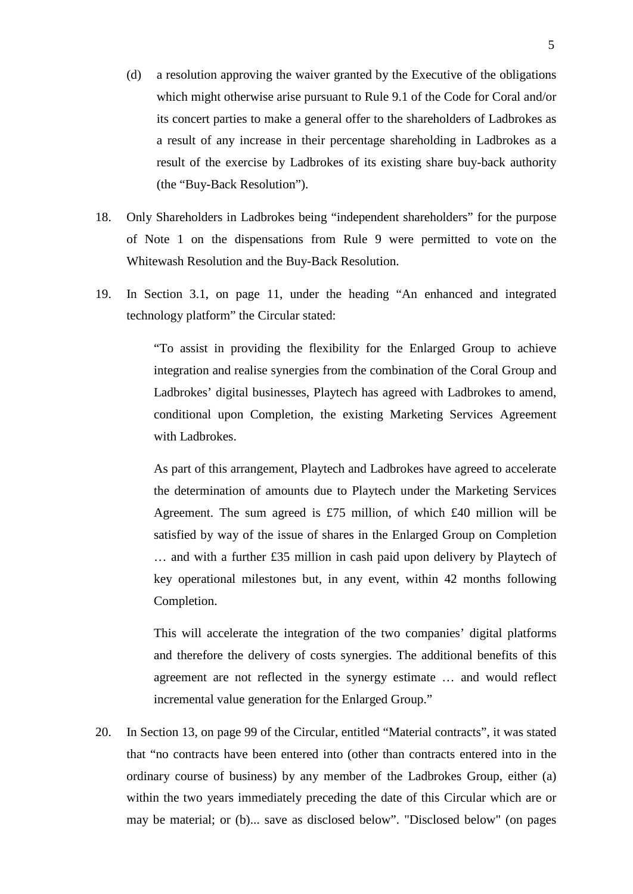- (d) a resolution approving the waiver granted by the Executive of the obligations which might otherwise arise pursuant to Rule 9.1 of the Code for Coral and/or its concert parties to make a general offer to the shareholders of Ladbrokes as a result of any increase in their percentage shareholding in Ladbrokes as a result of the exercise by Ladbrokes of its existing share buy-back authority (the "Buy-Back Resolution").
- 18. Only Shareholders in Ladbrokes being "independent shareholders" for the purpose of Note 1 on the dispensations from Rule 9 were permitted to vote on the Whitewash Resolution and the Buy-Back Resolution.
- 19. In Section 3.1, on page 11, under the heading "An enhanced and integrated technology platform" the Circular stated:

"To assist in providing the flexibility for the Enlarged Group to achieve integration and realise synergies from the combination of the Coral Group and Ladbrokes' digital businesses, Playtech has agreed with Ladbrokes to amend, conditional upon Completion, the existing Marketing Services Agreement with Ladbrokes.

As part of this arrangement, Playtech and Ladbrokes have agreed to accelerate the determination of amounts due to Playtech under the Marketing Services Agreement. The sum agreed is £75 million, of which £40 million will be satisfied by way of the issue of shares in the Enlarged Group on Completion … and with a further £35 million in cash paid upon delivery by Playtech of key operational milestones but, in any event, within 42 months following Completion.

This will accelerate the integration of the two companies' digital platforms and therefore the delivery of costs synergies. The additional benefits of this agreement are not reflected in the synergy estimate … and would reflect incremental value generation for the Enlarged Group."

20. In Section 13, on page 99 of the Circular, entitled "Material contracts", it was stated that "no contracts have been entered into (other than contracts entered into in the ordinary course of business) by any member of the Ladbrokes Group, either (a) within the two years immediately preceding the date of this Circular which are or may be material; or (b)... save as disclosed below". "Disclosed below" (on pages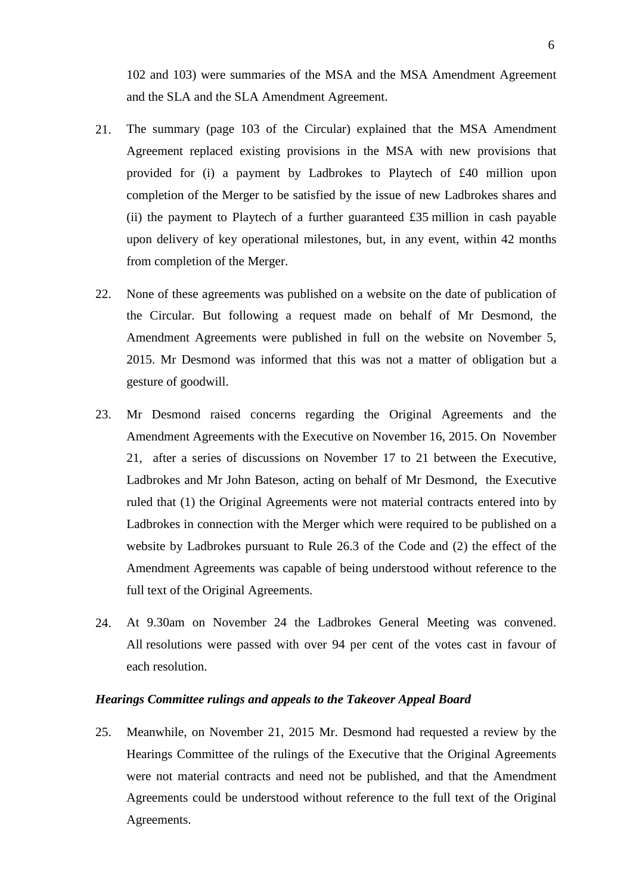102 and 103) were summaries of the MSA and the MSA Amendment Agreement and the SLA and the SLA Amendment Agreement.

- 21. The summary (page 103 of the Circular) explained that the MSA Amendment Agreement replaced existing provisions in the MSA with new provisions that provided for (i) a payment by Ladbrokes to Playtech of £40 million upon completion of the Merger to be satisfied by the issue of new Ladbrokes shares and (ii) the payment to Playtech of a further guaranteed  $£35$  million in cash payable upon delivery of key operational milestones, but, in any event, within 42 months from completion of the Merger.
- 22. None of these agreements was published on a website on the date of publication of the Circular. But following a request made on behalf of Mr Desmond, the Amendment Agreements were published in full on the website on November 5, 2015. Mr Desmond was informed that this was not a matter of obligation but a gesture of goodwill.
- 23. Mr Desmond raised concerns regarding the Original Agreements and the Amendment Agreements with the Executive on November 16, 2015. On November 21, after a series of discussions on November 17 to 21 between the Executive, Ladbrokes and Mr John Bateson, acting on behalf of Mr Desmond, the Executive ruled that (1) the Original Agreements were not material contracts entered into by Ladbrokes in connection with the Merger which were required to be published on a website by Ladbrokes pursuant to Rule 26.3 of the Code and (2) the effect of the Amendment Agreements was capable of being understood without reference to the full text of the Original Agreements.
- 24. At 9.30am on November 24 the Ladbrokes General Meeting was convened. All resolutions were passed with over 94 per cent of the votes cast in favour of each resolution.

#### *Hearings Committee rulings and appeals to the Takeover Appeal Board*

25. Meanwhile, on November 21, 2015 Mr. Desmond had requested a review by the Hearings Committee of the rulings of the Executive that the Original Agreements were not material contracts and need not be published, and that the Amendment Agreements could be understood without reference to the full text of the Original Agreements.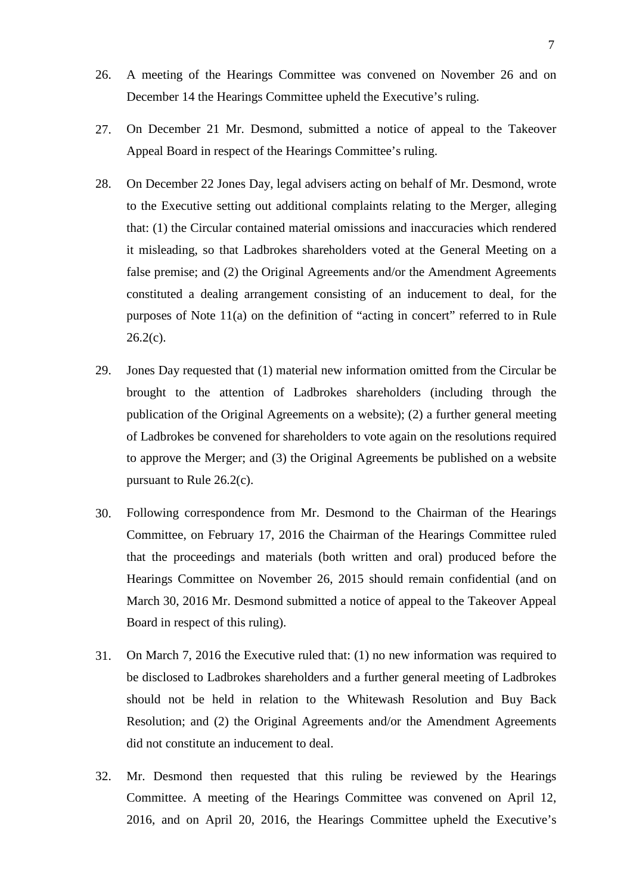- 26. A meeting of the Hearings Committee was convened on November 26 and on December 14 the Hearings Committee upheld the Executive's ruling.
- 27. On December 21 Mr. Desmond, submitted a notice of appeal to the Takeover Appeal Board in respect of the Hearings Committee's ruling.
- 28. On December 22 Jones Day, legal advisers acting on behalf of Mr. Desmond, wrote to the Executive setting out additional complaints relating to the Merger, alleging that: (1) the Circular contained material omissions and inaccuracies which rendered it misleading, so that Ladbrokes shareholders voted at the General Meeting on a false premise; and (2) the Original Agreements and/or the Amendment Agreements constituted a dealing arrangement consisting of an inducement to deal, for the purposes of Note 11(a) on the definition of "acting in concert" referred to in Rule  $26.2(c)$ .
- 29. Jones Day requested that (1) material new information omitted from the Circular be brought to the attention of Ladbrokes shareholders (including through the publication of the Original Agreements on a website); (2) a further general meeting of Ladbrokes be convened for shareholders to vote again on the resolutions required to approve the Merger; and (3) the Original Agreements be published on a website pursuant to Rule 26.2(c).
- 30. Following correspondence from Mr. Desmond to the Chairman of the Hearings Committee, on February 17, 2016 the Chairman of the Hearings Committee ruled that the proceedings and materials (both written and oral) produced before the Hearings Committee on November 26, 2015 should remain confidential (and on March 30, 2016 Mr. Desmond submitted a notice of appeal to the Takeover Appeal Board in respect of this ruling).
- 31. On March 7, 2016 the Executive ruled that: (1) no new information was required to be disclosed to Ladbrokes shareholders and a further general meeting of Ladbrokes should not be held in relation to the Whitewash Resolution and Buy Back Resolution; and (2) the Original Agreements and/or the Amendment Agreements did not constitute an inducement to deal.
- 32. Mr. Desmond then requested that this ruling be reviewed by the Hearings Committee. A meeting of the Hearings Committee was convened on April 12, 2016, and on April 20, 2016, the Hearings Committee upheld the Executive's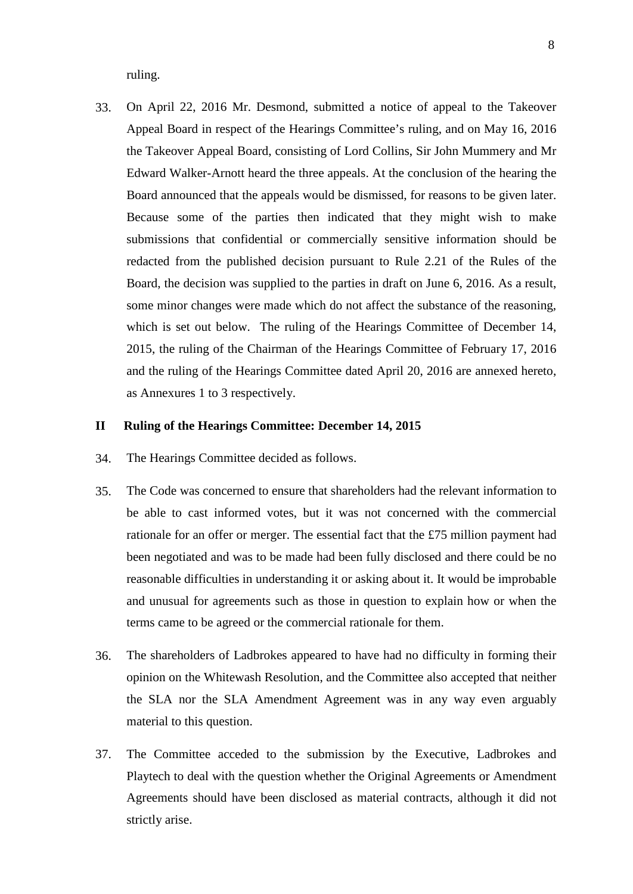ruling.

33. On April 22, 2016 Mr. Desmond, submitted a notice of appeal to the Takeover Appeal Board in respect of the Hearings Committee's ruling, and on May 16, 2016 the Takeover Appeal Board, consisting of Lord Collins, Sir John Mummery and Mr Edward Walker-Arnott heard the three appeals. At the conclusion of the hearing the Board announced that the appeals would be dismissed, for reasons to be given later. Because some of the parties then indicated that they might wish to make submissions that confidential or commercially sensitive information should be redacted from the published decision pursuant to Rule 2.21 of the Rules of the Board, the decision was supplied to the parties in draft on June 6, 2016. As a result, some minor changes were made which do not affect the substance of the reasoning, which is set out below. The ruling of the Hearings Committee of December 14, 2015, the ruling of the Chairman of the Hearings Committee of February 17, 2016 and the ruling of the Hearings Committee dated April 20, 2016 are annexed hereto, as Annexures 1 to 3 respectively.

## **II Ruling of the Hearings Committee: December 14, 2015**

- 34. The Hearings Committee decided as follows.
- 35. The Code was concerned to ensure that shareholders had the relevant information to be able to cast informed votes, but it was not concerned with the commercial rationale for an offer or merger. The essential fact that the £75 million payment had been negotiated and was to be made had been fully disclosed and there could be no reasonable difficulties in understanding it or asking about it. It would be improbable and unusual for agreements such as those in question to explain how or when the terms came to be agreed or the commercial rationale for them.
- 36. The shareholders of Ladbrokes appeared to have had no difficulty in forming their opinion on the Whitewash Resolution, and the Committee also accepted that neither the SLA nor the SLA Amendment Agreement was in any way even arguably material to this question.
- 37. The Committee acceded to the submission by the Executive, Ladbrokes and Playtech to deal with the question whether the Original Agreements or Amendment Agreements should have been disclosed as material contracts, although it did not strictly arise.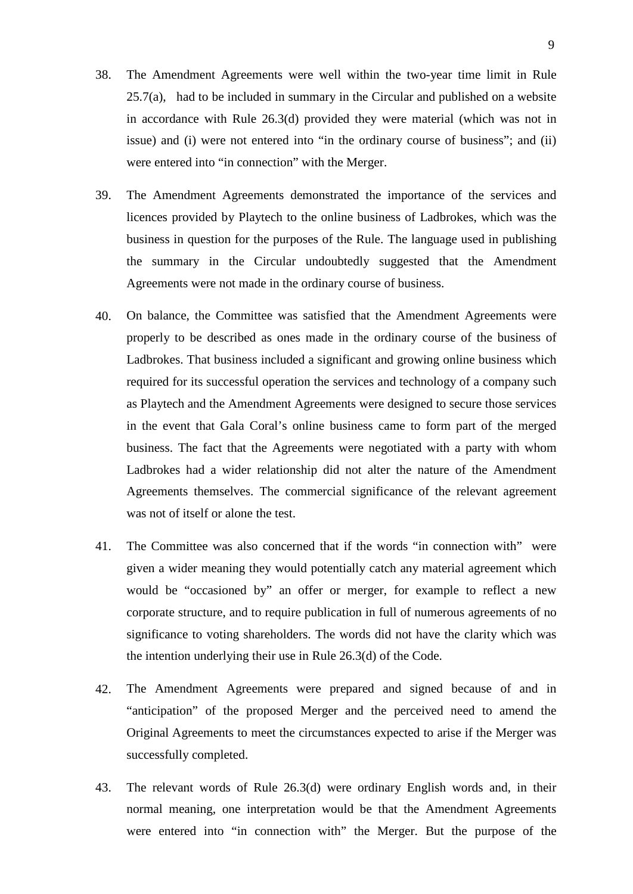- 38. The Amendment Agreements were well within the two-year time limit in Rule  $25.7(a)$ , had to be included in summary in the Circular and published on a website in accordance with Rule 26.3(d) provided they were material (which was not in issue) and (i) were not entered into "in the ordinary course of business"; and (ii) were entered into "in connection" with the Merger.
- 39. The Amendment Agreements demonstrated the importance of the services and licences provided by Playtech to the online business of Ladbrokes, which was the business in question for the purposes of the Rule. The language used in publishing the summary in the Circular undoubtedly suggested that the Amendment Agreements were not made in the ordinary course of business.
- 40. On balance, the Committee was satisfied that the Amendment Agreements were properly to be described as ones made in the ordinary course of the business of Ladbrokes. That business included a significant and growing online business which required for its successful operation the services and technology of a company such as Playtech and the Amendment Agreements were designed to secure those services in the event that Gala Coral's online business came to form part of the merged business. The fact that the Agreements were negotiated with a party with whom Ladbrokes had a wider relationship did not alter the nature of the Amendment Agreements themselves. The commercial significance of the relevant agreement was not of itself or alone the test.
- 41. The Committee was also concerned that if the words "in connection with" were given a wider meaning they would potentially catch any material agreement which would be "occasioned by" an offer or merger, for example to reflect a new corporate structure, and to require publication in full of numerous agreements of no significance to voting shareholders. The words did not have the clarity which was the intention underlying their use in Rule 26.3(d) of the Code.
- 42. The Amendment Agreements were prepared and signed because of and in "anticipation" of the proposed Merger and the perceived need to amend the Original Agreements to meet the circumstances expected to arise if the Merger was successfully completed.
- 43. The relevant words of Rule 26.3(d) were ordinary English words and, in their normal meaning, one interpretation would be that the Amendment Agreements were entered into "in connection with" the Merger. But the purpose of the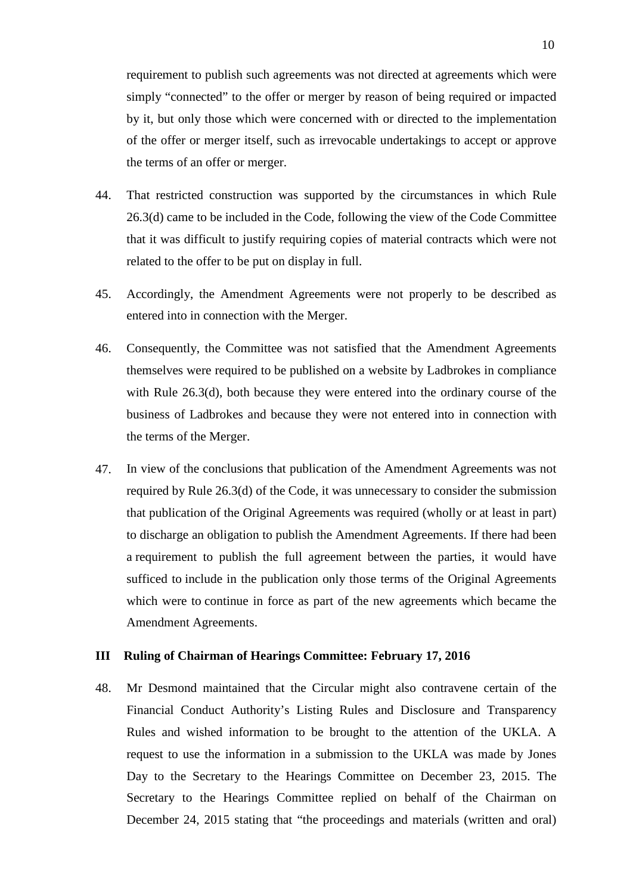requirement to publish such agreements was not directed at agreements which were simply "connected" to the offer or merger by reason of being required or impacted by it, but only those which were concerned with or directed to the implementation of the offer or merger itself, such as irrevocable undertakings to accept or approve the terms of an offer or merger.

- 44. That restricted construction was supported by the circumstances in which Rule 26.3(d) came to be included in the Code, following the view of the Code Committee that it was difficult to justify requiring copies of material contracts which were not related to the offer to be put on display in full.
- 45. Accordingly, the Amendment Agreements were not properly to be described as entered into in connection with the Merger.
- 46. Consequently, the Committee was not satisfied that the Amendment Agreements themselves were required to be published on a website by Ladbrokes in compliance with Rule 26.3(d), both because they were entered into the ordinary course of the business of Ladbrokes and because they were not entered into in connection with the terms of the Merger.
- 47. In view of the conclusions that publication of the Amendment Agreements was not required by Rule 26.3(d) of the Code, it was unnecessary to consider the submission that publication of the Original Agreements was required (wholly or at least in part) to discharge an obligation to publish the Amendment Agreements. If there had been a requirement to publish the full agreement between the parties, it would have sufficed to include in the publication only those terms of the Original Agreements which were to continue in force as part of the new agreements which became the Amendment Agreements.

## **III Ruling of Chairman of Hearings Committee: February 17, 2016**

48. Mr Desmond maintained that the Circular might also contravene certain of the Financial Conduct Authority's Listing Rules and Disclosure and Transparency Rules and wished information to be brought to the attention of the UKLA. A request to use the information in a submission to the UKLA was made by Jones Day to the Secretary to the Hearings Committee on December 23, 2015. The Secretary to the Hearings Committee replied on behalf of the Chairman on December 24, 2015 stating that "the proceedings and materials (written and oral)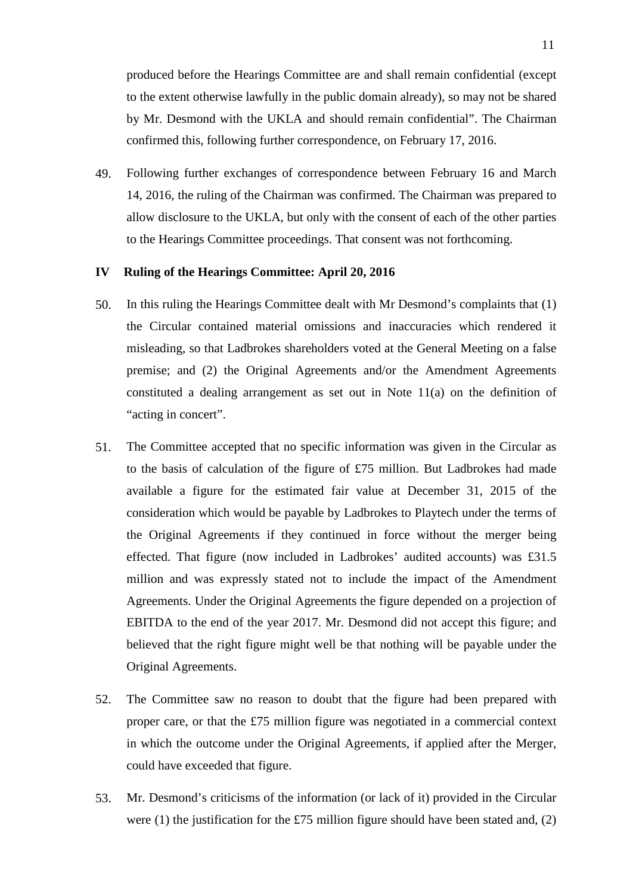produced before the Hearings Committee are and shall remain confidential (except to the extent otherwise lawfully in the public domain already), so may not be shared by Mr. Desmond with the UKLA and should remain confidential". The Chairman confirmed this, following further correspondence, on February 17, 2016.

49. Following further exchanges of correspondence between February 16 and March 14, 2016, the ruling of the Chairman was confirmed. The Chairman was prepared to allow disclosure to the UKLA, but only with the consent of each of the other parties to the Hearings Committee proceedings. That consent was not forthcoming.

#### **IV Ruling of the Hearings Committee: April 20, 2016**

- 50. In this ruling the Hearings Committee dealt with Mr Desmond's complaints that (1) the Circular contained material omissions and inaccuracies which rendered it misleading, so that Ladbrokes shareholders voted at the General Meeting on a false premise; and (2) the Original Agreements and/or the Amendment Agreements constituted a dealing arrangement as set out in Note 11(a) on the definition of "acting in concert".
- 51. The Committee accepted that no specific information was given in the Circular as to the basis of calculation of the figure of £75 million. But Ladbrokes had made available a figure for the estimated fair value at December 31, 2015 of the consideration which would be payable by Ladbrokes to Playtech under the terms of the Original Agreements if they continued in force without the merger being effected. That figure (now included in Ladbrokes' audited accounts) was £31.5 million and was expressly stated not to include the impact of the Amendment Agreements. Under the Original Agreements the figure depended on a projection of EBITDA to the end of the year 2017. Mr. Desmond did not accept this figure; and believed that the right figure might well be that nothing will be payable under the Original Agreements.
- 52. The Committee saw no reason to doubt that the figure had been prepared with proper care, or that the £75 million figure was negotiated in a commercial context in which the outcome under the Original Agreements, if applied after the Merger, could have exceeded that figure.
- 53. Mr. Desmond's criticisms of the information (or lack of it) provided in the Circular were (1) the justification for the £75 million figure should have been stated and,  $(2)$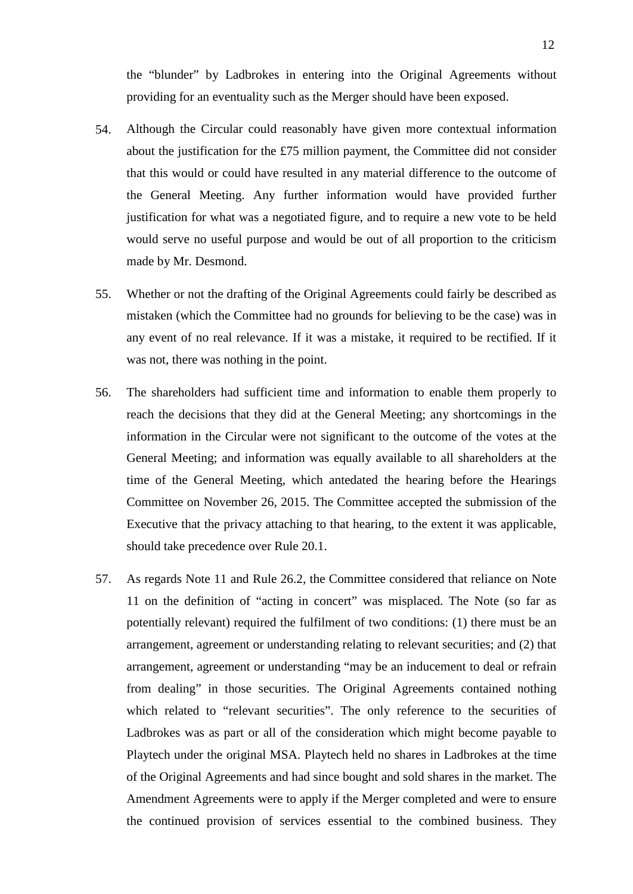the "blunder" by Ladbrokes in entering into the Original Agreements without providing for an eventuality such as the Merger should have been exposed.

- 54. Although the Circular could reasonably have given more contextual information about the justification for the £75 million payment, the Committee did not consider that this would or could have resulted in any material difference to the outcome of the General Meeting. Any further information would have provided further justification for what was a negotiated figure, and to require a new vote to be held would serve no useful purpose and would be out of all proportion to the criticism made by Mr. Desmond.
- 55. Whether or not the drafting of the Original Agreements could fairly be described as mistaken (which the Committee had no grounds for believing to be the case) was in any event of no real relevance. If it was a mistake, it required to be rectified. If it was not, there was nothing in the point.
- 56. The shareholders had sufficient time and information to enable them properly to reach the decisions that they did at the General Meeting; any shortcomings in the information in the Circular were not significant to the outcome of the votes at the General Meeting; and information was equally available to all shareholders at the time of the General Meeting, which antedated the hearing before the Hearings Committee on November 26, 2015. The Committee accepted the submission of the Executive that the privacy attaching to that hearing, to the extent it was applicable, should take precedence over Rule 20.1.
- 57. As regards Note 11 and Rule 26.2, the Committee considered that reliance on Note 11 on the definition of "acting in concert" was misplaced. The Note (so far as potentially relevant) required the fulfilment of two conditions: (1) there must be an arrangement, agreement or understanding relating to relevant securities; and (2) that arrangement, agreement or understanding "may be an inducement to deal or refrain from dealing" in those securities. The Original Agreements contained nothing which related to "relevant securities". The only reference to the securities of Ladbrokes was as part or all of the consideration which might become payable to Playtech under the original MSA. Playtech held no shares in Ladbrokes at the time of the Original Agreements and had since bought and sold shares in the market. The Amendment Agreements were to apply if the Merger completed and were to ensure the continued provision of services essential to the combined business. They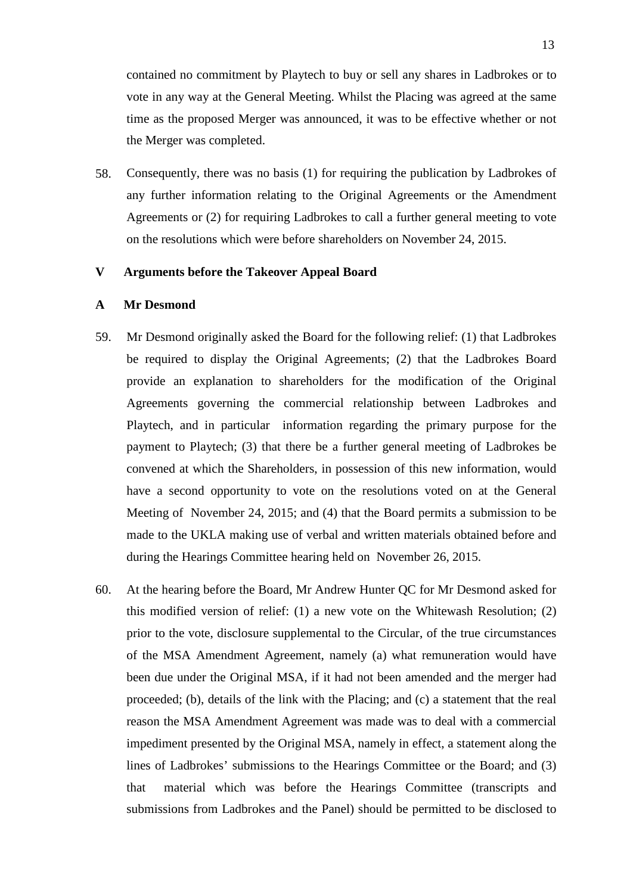contained no commitment by Playtech to buy or sell any shares in Ladbrokes or to vote in any way at the General Meeting. Whilst the Placing was agreed at the same time as the proposed Merger was announced, it was to be effective whether or not the Merger was completed.

58. Consequently, there was no basis (1) for requiring the publication by Ladbrokes of any further information relating to the Original Agreements or the Amendment Agreements or (2) for requiring Ladbrokes to call a further general meeting to vote on the resolutions which were before shareholders on November 24, 2015.

#### **V Arguments before the Takeover Appeal Board**

#### **A Mr Desmond**

- 59. Mr Desmond originally asked the Board for the following relief: (1) that Ladbrokes be required to display the Original Agreements; (2) that the Ladbrokes Board provide an explanation to shareholders for the modification of the Original Agreements governing the commercial relationship between Ladbrokes and Playtech, and in particular information regarding the primary purpose for the payment to Playtech; (3) that there be a further general meeting of Ladbrokes be convened at which the Shareholders, in possession of this new information, would have a second opportunity to vote on the resolutions voted on at the General Meeting of November 24, 2015; and (4) that the Board permits a submission to be made to the UKLA making use of verbal and written materials obtained before and during the Hearings Committee hearing held on November 26, 2015.
- 60. At the hearing before the Board, Mr Andrew Hunter QC for Mr Desmond asked for this modified version of relief: (1) a new vote on the Whitewash Resolution; (2) prior to the vote, disclosure supplemental to the Circular, of the true circumstances of the MSA Amendment Agreement, namely (a) what remuneration would have been due under the Original MSA, if it had not been amended and the merger had proceeded; (b), details of the link with the Placing; and (c) a statement that the real reason the MSA Amendment Agreement was made was to deal with a commercial impediment presented by the Original MSA, namely in effect, a statement along the lines of Ladbrokes' submissions to the Hearings Committee or the Board; and (3) that material which was before the Hearings Committee (transcripts and submissions from Ladbrokes and the Panel) should be permitted to be disclosed to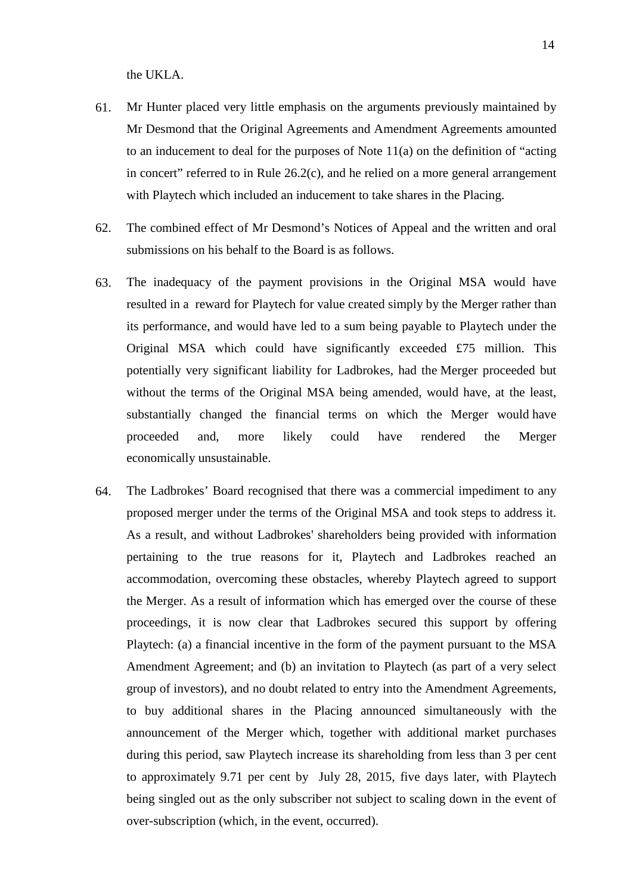the UKLA.

- 61. Mr Hunter placed very little emphasis on the arguments previously maintained by Mr Desmond that the Original Agreements and Amendment Agreements amounted to an inducement to deal for the purposes of Note 11(a) on the definition of "acting in concert" referred to in Rule 26.2(c), and he relied on a more general arrangement with Playtech which included an inducement to take shares in the Placing.
- 62. The combined effect of Mr Desmond's Notices of Appeal and the written and oral submissions on his behalf to the Board is as follows.
- 63. The inadequacy of the payment provisions in the Original MSA would have resulted in a reward for Playtech for value created simply by the Merger rather than its performance, and would have led to a sum being payable to Playtech under the Original MSA which could have significantly exceeded £75 million. This potentially very significant liability for Ladbrokes, had the Merger proceeded but without the terms of the Original MSA being amended, would have, at the least, substantially changed the financial terms on which the Merger would have proceeded and, more likely could have rendered the Merger economically unsustainable.
- 64. The Ladbrokes' Board recognised that there was a commercial impediment to any proposed merger under the terms of the Original MSA and took steps to address it. As a result, and without Ladbrokes' shareholders being provided with information pertaining to the true reasons for it, Playtech and Ladbrokes reached an accommodation, overcoming these obstacles, whereby Playtech agreed to support the Merger. As a result of information which has emerged over the course of these proceedings, it is now clear that Ladbrokes secured this support by offering Playtech: (a) a financial incentive in the form of the payment pursuant to the MSA Amendment Agreement; and (b) an invitation to Playtech (as part of a very select group of investors), and no doubt related to entry into the Amendment Agreements, to buy additional shares in the Placing announced simultaneously with the announcement of the Merger which, together with additional market purchases during this period, saw Playtech increase its shareholding from less than 3 per cent to approximately 9.71 per cent by July 28, 2015, five days later, with Playtech being singled out as the only subscriber not subject to scaling down in the event of over-subscription (which, in the event, occurred).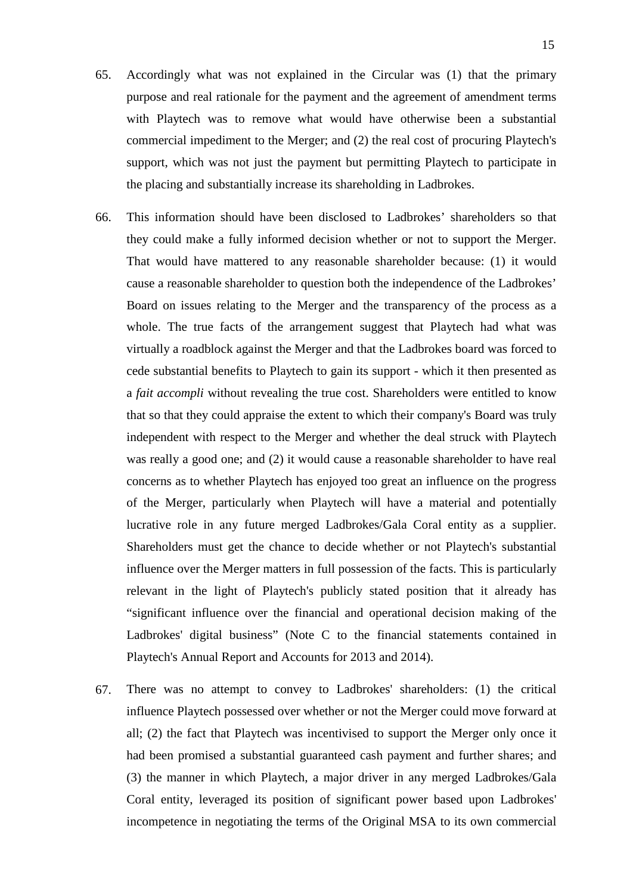- 65. Accordingly what was not explained in the Circular was (1) that the primary purpose and real rationale for the payment and the agreement of amendment terms with Playtech was to remove what would have otherwise been a substantial commercial impediment to the Merger; and (2) the real cost of procuring Playtech's support, which was not just the payment but permitting Playtech to participate in the placing and substantially increase its shareholding in Ladbrokes.
- 66. This information should have been disclosed to Ladbrokes' shareholders so that they could make a fully informed decision whether or not to support the Merger. That would have mattered to any reasonable shareholder because: (1) it would cause a reasonable shareholder to question both the independence of the Ladbrokes' Board on issues relating to the Merger and the transparency of the process as a whole. The true facts of the arrangement suggest that Playtech had what was virtually a roadblock against the Merger and that the Ladbrokes board was forced to cede substantial benefits to Playtech to gain its support - which it then presented as a *fait accompli* without revealing the true cost. Shareholders were entitled to know that so that they could appraise the extent to which their company's Board was truly independent with respect to the Merger and whether the deal struck with Playtech was really a good one; and (2) it would cause a reasonable shareholder to have real concerns as to whether Playtech has enjoyed too great an influence on the progress of the Merger, particularly when Playtech will have a material and potentially lucrative role in any future merged Ladbrokes/Gala Coral entity as a supplier. Shareholders must get the chance to decide whether or not Playtech's substantial influence over the Merger matters in full possession of the facts. This is particularly relevant in the light of Playtech's publicly stated position that it already has "significant influence over the financial and operational decision making of the Ladbrokes' digital business" (Note C to the financial statements contained in Playtech's Annual Report and Accounts for 2013 and 2014).
- 67. There was no attempt to convey to Ladbrokes' shareholders: (1) the critical influence Playtech possessed over whether or not the Merger could move forward at all; (2) the fact that Playtech was incentivised to support the Merger only once it had been promised a substantial guaranteed cash payment and further shares; and (3) the manner in which Playtech, a major driver in any merged Ladbrokes/Gala Coral entity, leveraged its position of significant power based upon Ladbrokes' incompetence in negotiating the terms of the Original MSA to its own commercial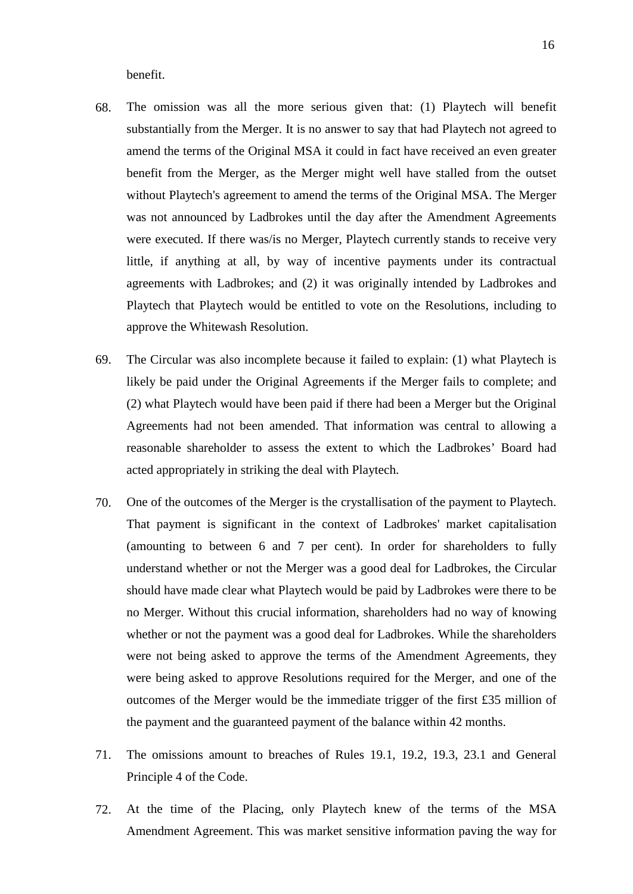benefit.

- 68. The omission was all the more serious given that: (1) Playtech will benefit substantially from the Merger. It is no answer to say that had Playtech not agreed to amend the terms of the Original MSA it could in fact have received an even greater benefit from the Merger, as the Merger might well have stalled from the outset without Playtech's agreement to amend the terms of the Original MSA. The Merger was not announced by Ladbrokes until the day after the Amendment Agreements were executed. If there was/is no Merger, Playtech currently stands to receive very little, if anything at all, by way of incentive payments under its contractual agreements with Ladbrokes; and (2) it was originally intended by Ladbrokes and Playtech that Playtech would be entitled to vote on the Resolutions, including to approve the Whitewash Resolution.
- 69. The Circular was also incomplete because it failed to explain: (1) what Playtech is likely be paid under the Original Agreements if the Merger fails to complete; and (2) what Playtech would have been paid if there had been a Merger but the Original Agreements had not been amended. That information was central to allowing a reasonable shareholder to assess the extent to which the Ladbrokes' Board had acted appropriately in striking the deal with Playtech.
- 70. One of the outcomes of the Merger is the crystallisation of the payment to Playtech. That payment is significant in the context of Ladbrokes' market capitalisation (amounting to between 6 and 7 per cent). In order for shareholders to fully understand whether or not the Merger was a good deal for Ladbrokes, the Circular should have made clear what Playtech would be paid by Ladbrokes were there to be no Merger. Without this crucial information, shareholders had no way of knowing whether or not the payment was a good deal for Ladbrokes. While the shareholders were not being asked to approve the terms of the Amendment Agreements, they were being asked to approve Resolutions required for the Merger, and one of the outcomes of the Merger would be the immediate trigger of the first £35 million of the payment and the guaranteed payment of the balance within 42 months.
- 71. The omissions amount to breaches of Rules 19.1, 19.2, 19.3, 23.1 and General Principle 4 of the Code.
- 72. At the time of the Placing, only Playtech knew of the terms of the MSA Amendment Agreement. This was market sensitive information paving the way for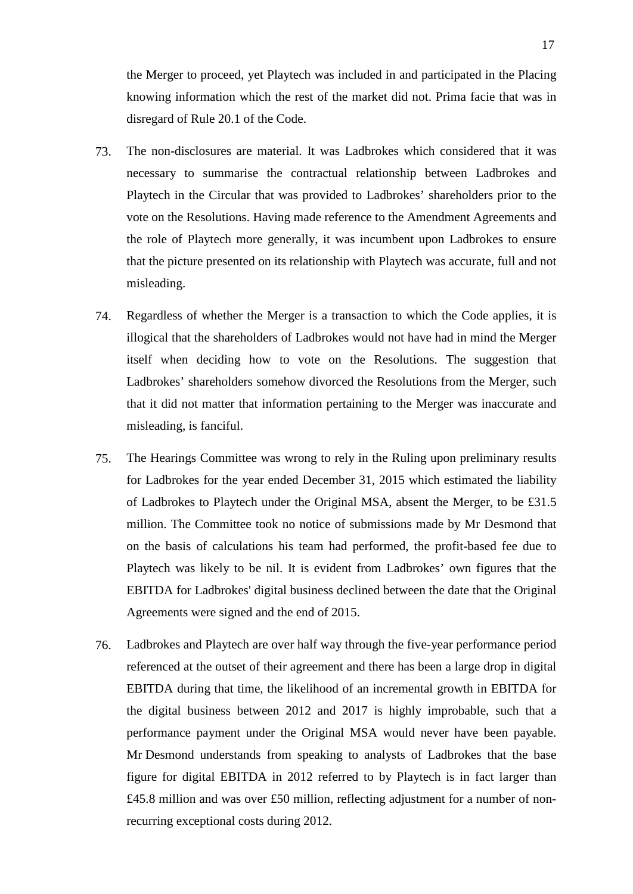the Merger to proceed, yet Playtech was included in and participated in the Placing knowing information which the rest of the market did not. Prima facie that was in disregard of Rule 20.1 of the Code.

- 73. The non-disclosures are material. It was Ladbrokes which considered that it was necessary to summarise the contractual relationship between Ladbrokes and Playtech in the Circular that was provided to Ladbrokes' shareholders prior to the vote on the Resolutions. Having made reference to the Amendment Agreements and the role of Playtech more generally, it was incumbent upon Ladbrokes to ensure that the picture presented on its relationship with Playtech was accurate, full and not misleading.
- 74. Regardless of whether the Merger is a transaction to which the Code applies, it is illogical that the shareholders of Ladbrokes would not have had in mind the Merger itself when deciding how to vote on the Resolutions. The suggestion that Ladbrokes' shareholders somehow divorced the Resolutions from the Merger, such that it did not matter that information pertaining to the Merger was inaccurate and misleading, is fanciful.
- 75. The Hearings Committee was wrong to rely in the Ruling upon preliminary results for Ladbrokes for the year ended December 31, 2015 which estimated the liability of Ladbrokes to Playtech under the Original MSA, absent the Merger, to be £31.5 million. The Committee took no notice of submissions made by Mr Desmond that on the basis of calculations his team had performed, the profit-based fee due to Playtech was likely to be nil. It is evident from Ladbrokes' own figures that the EBITDA for Ladbrokes' digital business declined between the date that the Original Agreements were signed and the end of 2015.
- 76. Ladbrokes and Playtech are over half way through the five-year performance period referenced at the outset of their agreement and there has been a large drop in digital EBITDA during that time, the likelihood of an incremental growth in EBITDA for the digital business between 2012 and 2017 is highly improbable, such that a performance payment under the Original MSA would never have been payable. Mr Desmond understands from speaking to analysts of Ladbrokes that the base figure for digital EBITDA in 2012 referred to by Playtech is in fact larger than £45.8 million and was over £50 million, reflecting adjustment for a number of nonrecurring exceptional costs during 2012.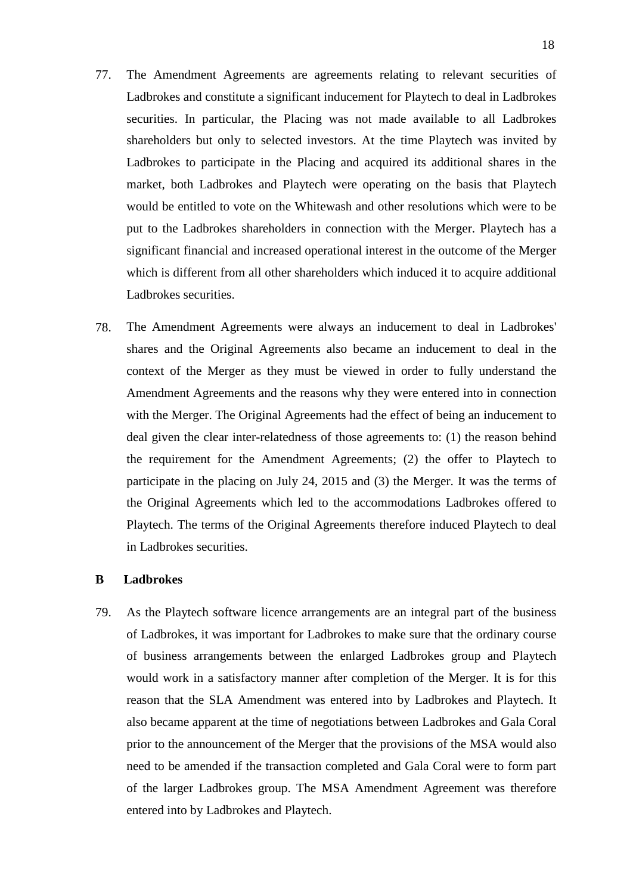- 77. The Amendment Agreements are agreements relating to relevant securities of Ladbrokes and constitute a significant inducement for Playtech to deal in Ladbrokes securities. In particular, the Placing was not made available to all Ladbrokes shareholders but only to selected investors. At the time Playtech was invited by Ladbrokes to participate in the Placing and acquired its additional shares in the market, both Ladbrokes and Playtech were operating on the basis that Playtech would be entitled to vote on the Whitewash and other resolutions which were to be put to the Ladbrokes shareholders in connection with the Merger. Playtech has a significant financial and increased operational interest in the outcome of the Merger which is different from all other shareholders which induced it to acquire additional Ladbrokes securities.
- 78. The Amendment Agreements were always an inducement to deal in Ladbrokes' shares and the Original Agreements also became an inducement to deal in the context of the Merger as they must be viewed in order to fully understand the Amendment Agreements and the reasons why they were entered into in connection with the Merger. The Original Agreements had the effect of being an inducement to deal given the clear inter-relatedness of those agreements to: (1) the reason behind the requirement for the Amendment Agreements; (2) the offer to Playtech to participate in the placing on July 24, 2015 and (3) the Merger. It was the terms of the Original Agreements which led to the accommodations Ladbrokes offered to Playtech. The terms of the Original Agreements therefore induced Playtech to deal in Ladbrokes securities.

#### **B Ladbrokes**

79. As the Playtech software licence arrangements are an integral part of the business of Ladbrokes, it was important for Ladbrokes to make sure that the ordinary course of business arrangements between the enlarged Ladbrokes group and Playtech would work in a satisfactory manner after completion of the Merger. It is for this reason that the SLA Amendment was entered into by Ladbrokes and Playtech. It also became apparent at the time of negotiations between Ladbrokes and Gala Coral prior to the announcement of the Merger that the provisions of the MSA would also need to be amended if the transaction completed and Gala Coral were to form part of the larger Ladbrokes group. The MSA Amendment Agreement was therefore entered into by Ladbrokes and Playtech.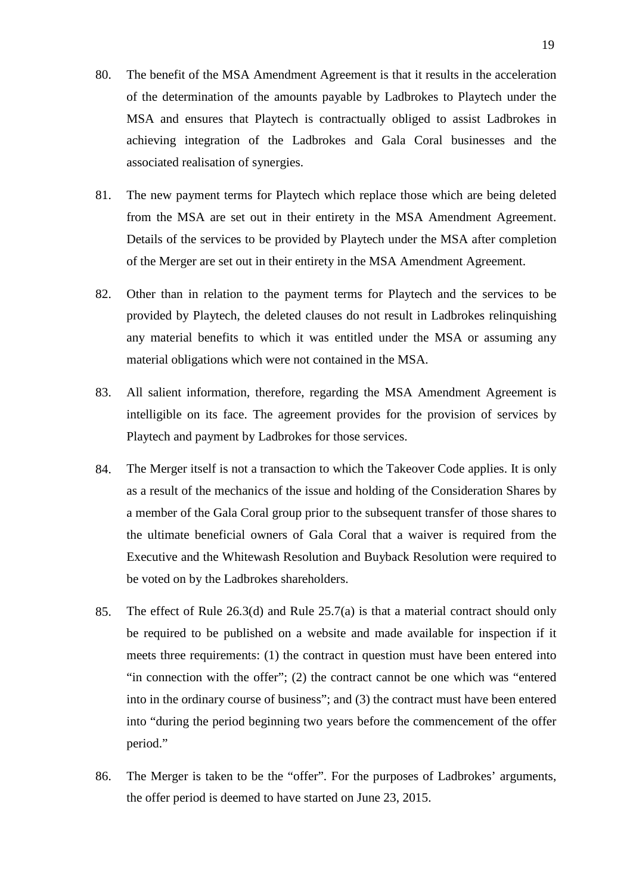- 80. The benefit of the MSA Amendment Agreement is that it results in the acceleration of the determination of the amounts payable by Ladbrokes to Playtech under the MSA and ensures that Playtech is contractually obliged to assist Ladbrokes in achieving integration of the Ladbrokes and Gala Coral businesses and the associated realisation of synergies.
- 81. The new payment terms for Playtech which replace those which are being deleted from the MSA are set out in their entirety in the MSA Amendment Agreement. Details of the services to be provided by Playtech under the MSA after completion of the Merger are set out in their entirety in the MSA Amendment Agreement.
- 82. Other than in relation to the payment terms for Playtech and the services to be provided by Playtech, the deleted clauses do not result in Ladbrokes relinquishing any material benefits to which it was entitled under the MSA or assuming any material obligations which were not contained in the MSA.
- 83. All salient information, therefore, regarding the MSA Amendment Agreement is intelligible on its face. The agreement provides for the provision of services by Playtech and payment by Ladbrokes for those services.
- 84. The Merger itself is not a transaction to which the Takeover Code applies. It is only as a result of the mechanics of the issue and holding of the Consideration Shares by a member of the Gala Coral group prior to the subsequent transfer of those shares to the ultimate beneficial owners of Gala Coral that a waiver is required from the Executive and the Whitewash Resolution and Buyback Resolution were required to be voted on by the Ladbrokes shareholders.
- 85. The effect of Rule 26.3(d) and Rule 25.7(a) is that a material contract should only be required to be published on a website and made available for inspection if it meets three requirements: (1) the contract in question must have been entered into "in connection with the offer"; (2) the contract cannot be one which was "entered into in the ordinary course of business"; and (3) the contract must have been entered into "during the period beginning two years before the commencement of the offer period."
- 86. The Merger is taken to be the "offer". For the purposes of Ladbrokes' arguments, the offer period is deemed to have started on June 23, 2015.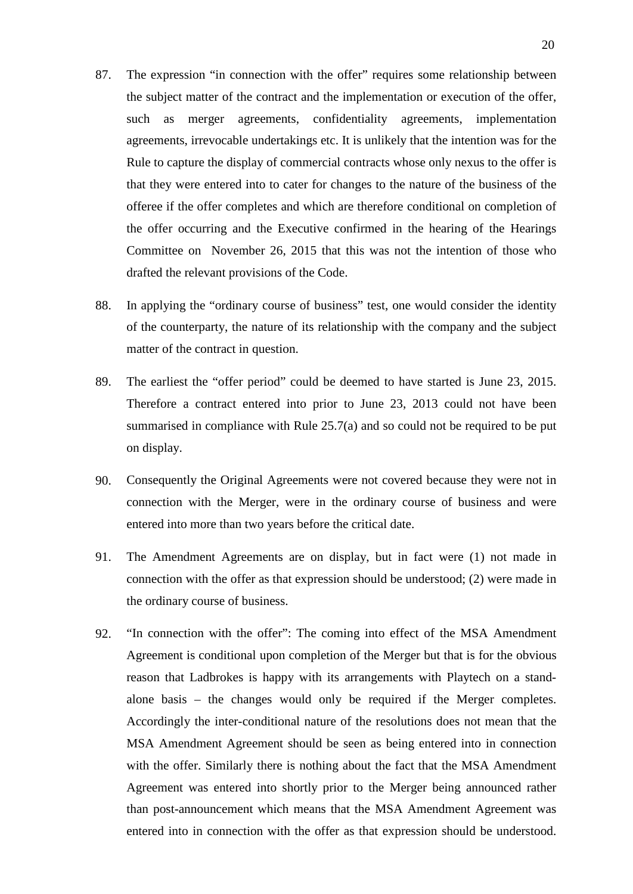- 87. The expression "in connection with the offer" requires some relationship between the subject matter of the contract and the implementation or execution of the offer, such as merger agreements, confidentiality agreements, implementation agreements, irrevocable undertakings etc. It is unlikely that the intention was for the Rule to capture the display of commercial contracts whose only nexus to the offer is that they were entered into to cater for changes to the nature of the business of the offeree if the offer completes and which are therefore conditional on completion of the offer occurring and the Executive confirmed in the hearing of the Hearings Committee on November 26, 2015 that this was not the intention of those who drafted the relevant provisions of the Code.
- 88. In applying the "ordinary course of business" test, one would consider the identity of the counterparty, the nature of its relationship with the company and the subject matter of the contract in question.
- 89. The earliest the "offer period" could be deemed to have started is June 23, 2015. Therefore a contract entered into prior to June 23, 2013 could not have been summarised in compliance with Rule 25.7(a) and so could not be required to be put on display.
- 90. Consequently the Original Agreements were not covered because they were not in connection with the Merger, were in the ordinary course of business and were entered into more than two years before the critical date.
- 91. The Amendment Agreements are on display, but in fact were (1) not made in connection with the offer as that expression should be understood; (2) were made in the ordinary course of business.
- 92. "In connection with the offer": The coming into effect of the MSA Amendment Agreement is conditional upon completion of the Merger but that is for the obvious reason that Ladbrokes is happy with its arrangements with Playtech on a standalone basis – the changes would only be required if the Merger completes. Accordingly the inter-conditional nature of the resolutions does not mean that the MSA Amendment Agreement should be seen as being entered into in connection with the offer. Similarly there is nothing about the fact that the MSA Amendment Agreement was entered into shortly prior to the Merger being announced rather than post-announcement which means that the MSA Amendment Agreement was entered into in connection with the offer as that expression should be understood.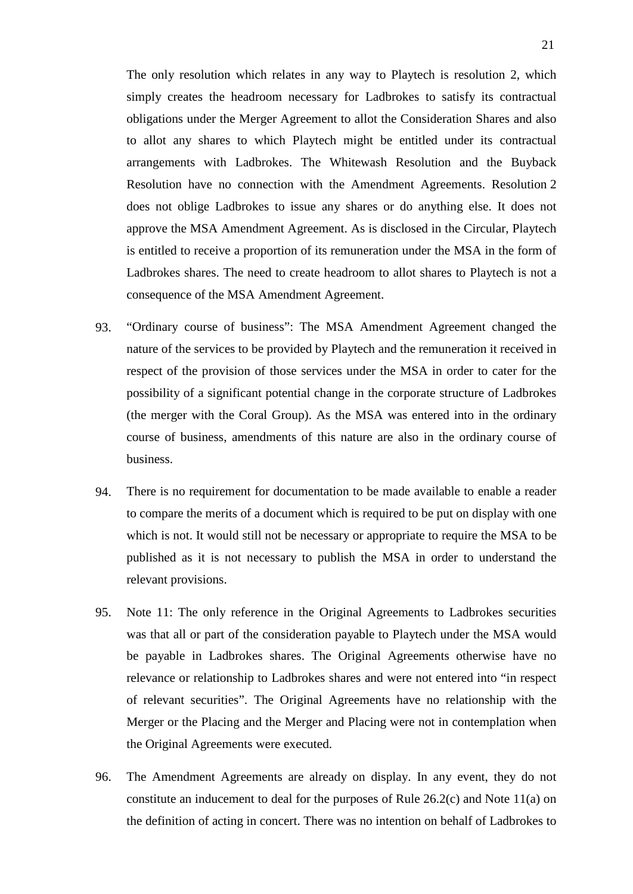The only resolution which relates in any way to Playtech is resolution 2, which simply creates the headroom necessary for Ladbrokes to satisfy its contractual obligations under the Merger Agreement to allot the Consideration Shares and also to allot any shares to which Playtech might be entitled under its contractual arrangements with Ladbrokes. The Whitewash Resolution and the Buyback Resolution have no connection with the Amendment Agreements. Resolution 2 does not oblige Ladbrokes to issue any shares or do anything else. It does not approve the MSA Amendment Agreement. As is disclosed in the Circular, Playtech is entitled to receive a proportion of its remuneration under the MSA in the form of Ladbrokes shares. The need to create headroom to allot shares to Playtech is not a consequence of the MSA Amendment Agreement.

- 93. "Ordinary course of business": The MSA Amendment Agreement changed the nature of the services to be provided by Playtech and the remuneration it received in respect of the provision of those services under the MSA in order to cater for the possibility of a significant potential change in the corporate structure of Ladbrokes (the merger with the Coral Group). As the MSA was entered into in the ordinary course of business, amendments of this nature are also in the ordinary course of business.
- 94. There is no requirement for documentation to be made available to enable a reader to compare the merits of a document which is required to be put on display with one which is not. It would still not be necessary or appropriate to require the MSA to be published as it is not necessary to publish the MSA in order to understand the relevant provisions.
- 95. Note 11: The only reference in the Original Agreements to Ladbrokes securities was that all or part of the consideration payable to Playtech under the MSA would be payable in Ladbrokes shares. The Original Agreements otherwise have no relevance or relationship to Ladbrokes shares and were not entered into "in respect of relevant securities". The Original Agreements have no relationship with the Merger or the Placing and the Merger and Placing were not in contemplation when the Original Agreements were executed.
- 96. The Amendment Agreements are already on display. In any event, they do not constitute an inducement to deal for the purposes of Rule  $26.2(c)$  and Note  $11(a)$  on the definition of acting in concert. There was no intention on behalf of Ladbrokes to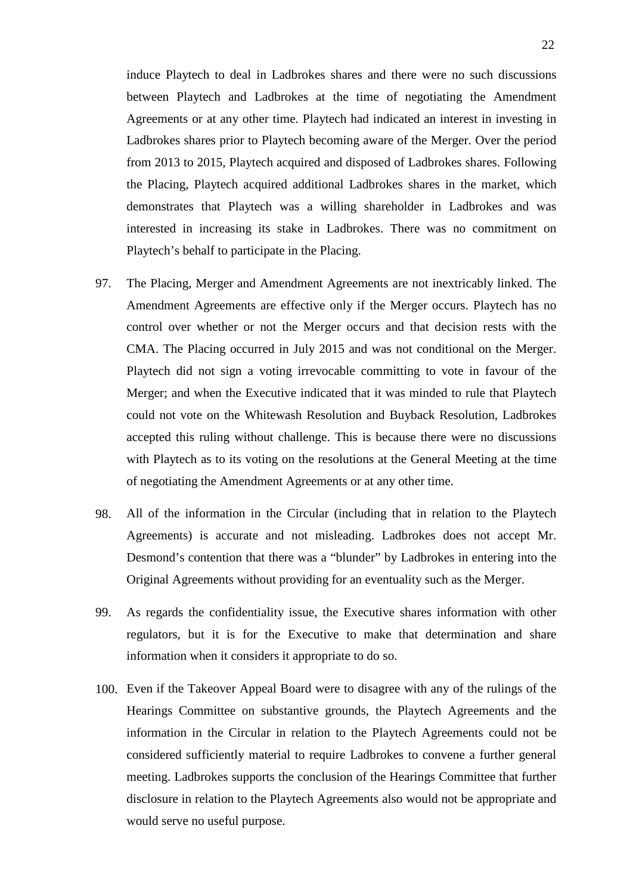induce Playtech to deal in Ladbrokes shares and there were no such discussions between Playtech and Ladbrokes at the time of negotiating the Amendment Agreements or at any other time. Playtech had indicated an interest in investing in Ladbrokes shares prior to Playtech becoming aware of the Merger. Over the period from 2013 to 2015, Playtech acquired and disposed of Ladbrokes shares. Following the Placing, Playtech acquired additional Ladbrokes shares in the market, which demonstrates that Playtech was a willing shareholder in Ladbrokes and was interested in increasing its stake in Ladbrokes. There was no commitment on Playtech's behalf to participate in the Placing.

- 97. The Placing, Merger and Amendment Agreements are not inextricably linked. The Amendment Agreements are effective only if the Merger occurs. Playtech has no control over whether or not the Merger occurs and that decision rests with the CMA. The Placing occurred in July 2015 and was not conditional on the Merger. Playtech did not sign a voting irrevocable committing to vote in favour of the Merger; and when the Executive indicated that it was minded to rule that Playtech could not vote on the Whitewash Resolution and Buyback Resolution, Ladbrokes accepted this ruling without challenge. This is because there were no discussions with Playtech as to its voting on the resolutions at the General Meeting at the time of negotiating the Amendment Agreements or at any other time.
- 98. All of the information in the Circular (including that in relation to the Playtech Agreements) is accurate and not misleading. Ladbrokes does not accept Mr. Desmond's contention that there was a "blunder" by Ladbrokes in entering into the Original Agreements without providing for an eventuality such as the Merger.
- 99. As regards the confidentiality issue, the Executive shares information with other regulators, but it is for the Executive to make that determination and share information when it considers it appropriate to do so.
- 100. Even if the Takeover Appeal Board were to disagree with any of the rulings of the Hearings Committee on substantive grounds, the Playtech Agreements and the information in the Circular in relation to the Playtech Agreements could not be considered sufficiently material to require Ladbrokes to convene a further general meeting. Ladbrokes supports the conclusion of the Hearings Committee that further disclosure in relation to the Playtech Agreements also would not be appropriate and would serve no useful purpose.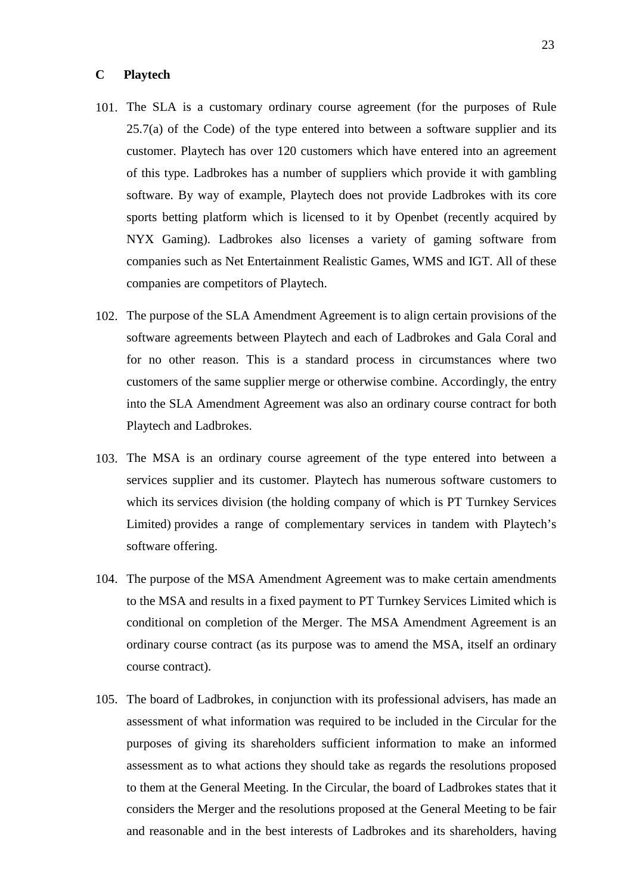#### **C Playtech**

- 101. The SLA is a customary ordinary course agreement (for the purposes of Rule  $25.7(a)$  of the Code) of the type entered into between a software supplier and its customer. Playtech has over 120 customers which have entered into an agreement of this type. Ladbrokes has a number of suppliers which provide it with gambling software. By way of example, Playtech does not provide Ladbrokes with its core sports betting platform which is licensed to it by Openbet (recently acquired by NYX Gaming). Ladbrokes also licenses a variety of gaming software from companies such as Net Entertainment Realistic Games, WMS and IGT. All of these companies are competitors of Playtech.
- 102. The purpose of the SLA Amendment Agreement is to align certain provisions of the software agreements between Playtech and each of Ladbrokes and Gala Coral and for no other reason. This is a standard process in circumstances where two customers of the same supplier merge or otherwise combine. Accordingly, the entry into the SLA Amendment Agreement was also an ordinary course contract for both Playtech and Ladbrokes.
- 103. The MSA is an ordinary course agreement of the type entered into between a services supplier and its customer. Playtech has numerous software customers to which its services division (the holding company of which is PT Turnkey Services Limited) provides a range of complementary services in tandem with Playtech's software offering.
- 104. The purpose of the MSA Amendment Agreement was to make certain amendments to the MSA and results in a fixed payment to PT Turnkey Services Limited which is conditional on completion of the Merger. The MSA Amendment Agreement is an ordinary course contract (as its purpose was to amend the MSA, itself an ordinary course contract).
- 105. The board of Ladbrokes, in conjunction with its professional advisers, has made an assessment of what information was required to be included in the Circular for the purposes of giving its shareholders sufficient information to make an informed assessment as to what actions they should take as regards the resolutions proposed to them at the General Meeting. In the Circular, the board of Ladbrokes states that it considers the Merger and the resolutions proposed at the General Meeting to be fair and reasonable and in the best interests of Ladbrokes and its shareholders, having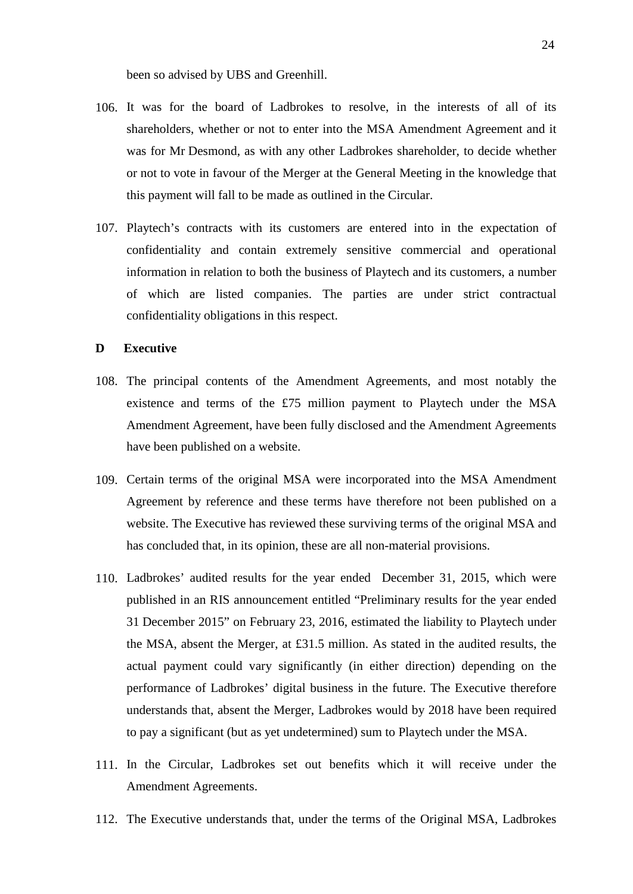been so advised by UBS and Greenhill.

- 106. It was for the board of Ladbrokes to resolve, in the interests of all of its shareholders, whether or not to enter into the MSA Amendment Agreement and it was for Mr Desmond, as with any other Ladbrokes shareholder, to decide whether or not to vote in favour of the Merger at the General Meeting in the knowledge that this payment will fall to be made as outlined in the Circular.
- 107. Playtech's contracts with its customers are entered into in the expectation of confidentiality and contain extremely sensitive commercial and operational information in relation to both the business of Playtech and its customers, a number of which are listed companies. The parties are under strict contractual confidentiality obligations in this respect.

#### **D Executive**

- 108. The principal contents of the Amendment Agreements, and most notably the existence and terms of the £75 million payment to Playtech under the MSA Amendment Agreement, have been fully disclosed and the Amendment Agreements have been published on a website.
- 109. Certain terms of the original MSA were incorporated into the MSA Amendment Agreement by reference and these terms have therefore not been published on a website. The Executive has reviewed these surviving terms of the original MSA and has concluded that, in its opinion, these are all non-material provisions.
- 110. Ladbrokes' audited results for the year ended December 31, 2015, which were published in an RIS announcement entitled "Preliminary results for the year ended 31 December 2015" on February 23, 2016, estimated the liability to Playtech under the MSA, absent the Merger, at £31.5 million. As stated in the audited results, the actual payment could vary significantly (in either direction) depending on the performance of Ladbrokes' digital business in the future. The Executive therefore understands that, absent the Merger, Ladbrokes would by 2018 have been required to pay a significant (but as yet undetermined) sum to Playtech under the MSA.
- 111. In the Circular, Ladbrokes set out benefits which it will receive under the Amendment Agreements.
- 112. The Executive understands that, under the terms of the Original MSA, Ladbrokes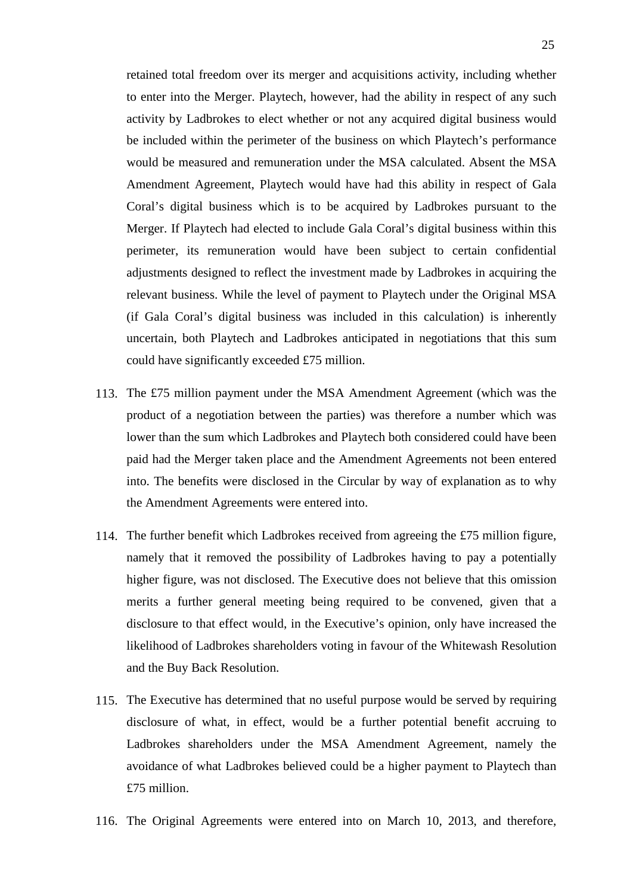retained total freedom over its merger and acquisitions activity, including whether to enter into the Merger. Playtech, however, had the ability in respect of any such activity by Ladbrokes to elect whether or not any acquired digital business would be included within the perimeter of the business on which Playtech's performance would be measured and remuneration under the MSA calculated. Absent the MSA Amendment Agreement, Playtech would have had this ability in respect of Gala Coral's digital business which is to be acquired by Ladbrokes pursuant to the Merger. If Playtech had elected to include Gala Coral's digital business within this perimeter, its remuneration would have been subject to certain confidential adjustments designed to reflect the investment made by Ladbrokes in acquiring the relevant business. While the level of payment to Playtech under the Original MSA (if Gala Coral's digital business was included in this calculation) is inherently uncertain, both Playtech and Ladbrokes anticipated in negotiations that this sum could have significantly exceeded £75 million.

- 113. The £75 million payment under the MSA Amendment Agreement (which was the product of a negotiation between the parties) was therefore a number which was lower than the sum which Ladbrokes and Playtech both considered could have been paid had the Merger taken place and the Amendment Agreements not been entered into. The benefits were disclosed in the Circular by way of explanation as to why the Amendment Agreements were entered into.
- 114. The further benefit which Ladbrokes received from agreeing the £75 million figure, namely that it removed the possibility of Ladbrokes having to pay a potentially higher figure, was not disclosed. The Executive does not believe that this omission merits a further general meeting being required to be convened, given that a disclosure to that effect would, in the Executive's opinion, only have increased the likelihood of Ladbrokes shareholders voting in favour of the Whitewash Resolution and the Buy Back Resolution.
- 115. The Executive has determined that no useful purpose would be served by requiring disclosure of what, in effect, would be a further potential benefit accruing to Ladbrokes shareholders under the MSA Amendment Agreement, namely the avoidance of what Ladbrokes believed could be a higher payment to Playtech than £75 million.
- 116. The Original Agreements were entered into on March 10, 2013, and therefore,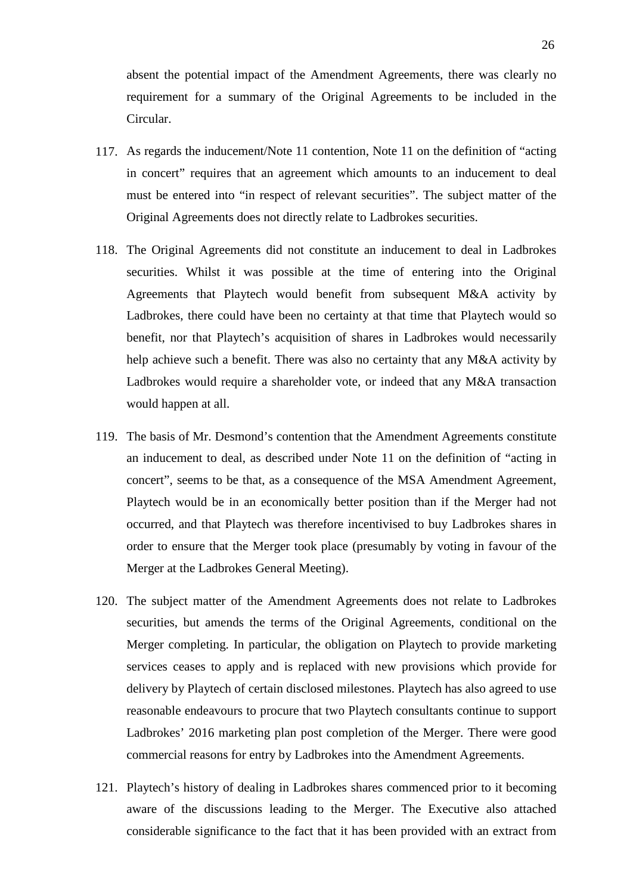absent the potential impact of the Amendment Agreements, there was clearly no requirement for a summary of the Original Agreements to be included in the Circular.

- 117. As regards the inducement/Note 11 contention, Note 11 on the definition of "acting in concert" requires that an agreement which amounts to an inducement to deal must be entered into "in respect of relevant securities". The subject matter of the Original Agreements does not directly relate to Ladbrokes securities.
- 118. The Original Agreements did not constitute an inducement to deal in Ladbrokes securities. Whilst it was possible at the time of entering into the Original Agreements that Playtech would benefit from subsequent M&A activity by Ladbrokes, there could have been no certainty at that time that Playtech would so benefit, nor that Playtech's acquisition of shares in Ladbrokes would necessarily help achieve such a benefit. There was also no certainty that any M&A activity by Ladbrokes would require a shareholder vote, or indeed that any M&A transaction would happen at all.
- 119. The basis of Mr. Desmond's contention that the Amendment Agreements constitute an inducement to deal, as described under Note 11 on the definition of "acting in concert", seems to be that, as a consequence of the MSA Amendment Agreement, Playtech would be in an economically better position than if the Merger had not occurred, and that Playtech was therefore incentivised to buy Ladbrokes shares in order to ensure that the Merger took place (presumably by voting in favour of the Merger at the Ladbrokes General Meeting).
- 120. The subject matter of the Amendment Agreements does not relate to Ladbrokes securities, but amends the terms of the Original Agreements, conditional on the Merger completing. In particular, the obligation on Playtech to provide marketing services ceases to apply and is replaced with new provisions which provide for delivery by Playtech of certain disclosed milestones. Playtech has also agreed to use reasonable endeavours to procure that two Playtech consultants continue to support Ladbrokes' 2016 marketing plan post completion of the Merger. There were good commercial reasons for entry by Ladbrokes into the Amendment Agreements.
- 121. Playtech's history of dealing in Ladbrokes shares commenced prior to it becoming aware of the discussions leading to the Merger. The Executive also attached considerable significance to the fact that it has been provided with an extract from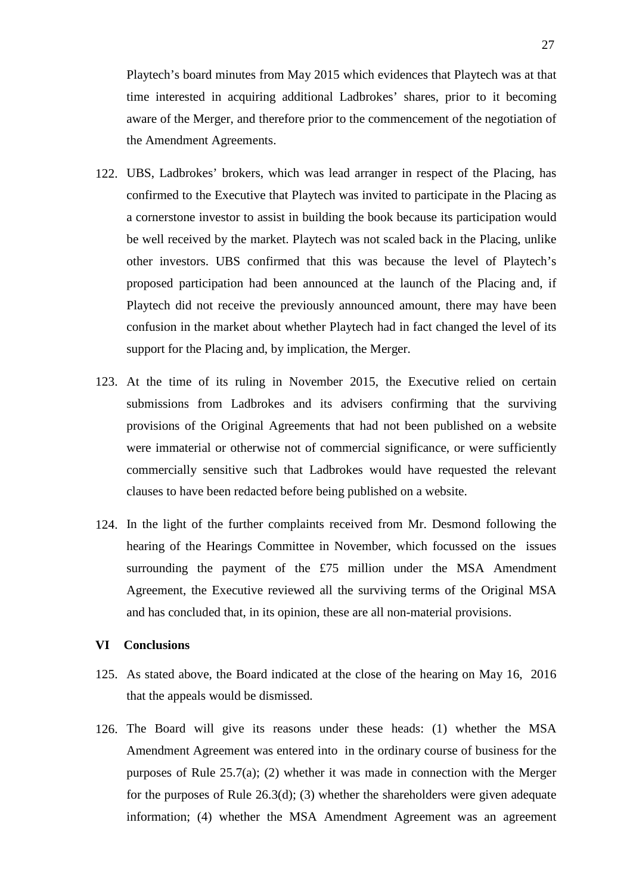Playtech's board minutes from May 2015 which evidences that Playtech was at that time interested in acquiring additional Ladbrokes' shares, prior to it becoming aware of the Merger, and therefore prior to the commencement of the negotiation of the Amendment Agreements.

- 122. UBS, Ladbrokes' brokers, which was lead arranger in respect of the Placing, has confirmed to the Executive that Playtech was invited to participate in the Placing as a cornerstone investor to assist in building the book because its participation would be well received by the market. Playtech was not scaled back in the Placing, unlike other investors. UBS confirmed that this was because the level of Playtech's proposed participation had been announced at the launch of the Placing and, if Playtech did not receive the previously announced amount, there may have been confusion in the market about whether Playtech had in fact changed the level of its support for the Placing and, by implication, the Merger.
- 123. At the time of its ruling in November 2015, the Executive relied on certain submissions from Ladbrokes and its advisers confirming that the surviving provisions of the Original Agreements that had not been published on a website were immaterial or otherwise not of commercial significance, or were sufficiently commercially sensitive such that Ladbrokes would have requested the relevant clauses to have been redacted before being published on a website.
- 124. In the light of the further complaints received from Mr. Desmond following the hearing of the Hearings Committee in November, which focussed on the issues surrounding the payment of the £75 million under the MSA Amendment Agreement, the Executive reviewed all the surviving terms of the Original MSA and has concluded that, in its opinion, these are all non-material provisions.

## **VI Conclusions**

- 125. As stated above, the Board indicated at the close of the hearing on May 16, 2016 that the appeals would be dismissed.
- 126. The Board will give its reasons under these heads: (1) whether the MSA Amendment Agreement was entered into in the ordinary course of business for the purposes of Rule 25.7(a); (2) whether it was made in connection with the Merger for the purposes of Rule 26.3(d); (3) whether the shareholders were given adequate information; (4) whether the MSA Amendment Agreement was an agreement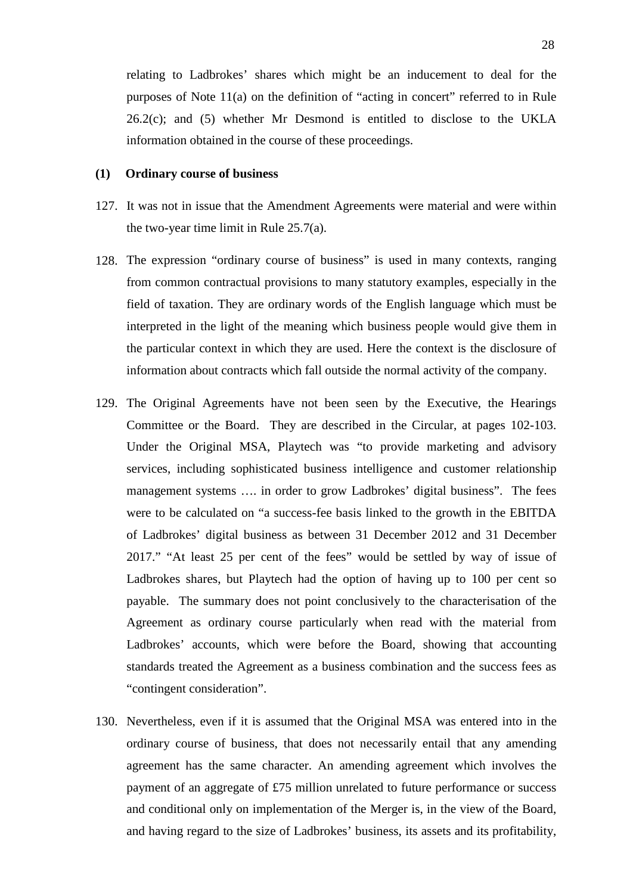relating to Ladbrokes' shares which might be an inducement to deal for the purposes of Note 11(a) on the definition of "acting in concert" referred to in Rule 26.2(c); and (5) whether Mr Desmond is entitled to disclose to the UKLA information obtained in the course of these proceedings.

## **(1) Ordinary course of business**

- 127. It was not in issue that the Amendment Agreements were material and were within the two-year time limit in Rule 25.7(a).
- 128. The expression "ordinary course of business" is used in many contexts, ranging from common contractual provisions to many statutory examples, especially in the field of taxation. They are ordinary words of the English language which must be interpreted in the light of the meaning which business people would give them in the particular context in which they are used. Here the context is the disclosure of information about contracts which fall outside the normal activity of the company.
- 129. The Original Agreements have not been seen by the Executive, the Hearings Committee or the Board. They are described in the Circular, at pages 102-103. Under the Original MSA, Playtech was "to provide marketing and advisory services, including sophisticated business intelligence and customer relationship management systems …. in order to grow Ladbrokes' digital business". The fees were to be calculated on "a success-fee basis linked to the growth in the EBITDA of Ladbrokes' digital business as between 31 December 2012 and 31 December 2017." "At least 25 per cent of the fees" would be settled by way of issue of Ladbrokes shares, but Playtech had the option of having up to 100 per cent so payable. The summary does not point conclusively to the characterisation of the Agreement as ordinary course particularly when read with the material from Ladbrokes' accounts, which were before the Board, showing that accounting standards treated the Agreement as a business combination and the success fees as "contingent consideration".
- 130. Nevertheless, even if it is assumed that the Original MSA was entered into in the ordinary course of business, that does not necessarily entail that any amending agreement has the same character. An amending agreement which involves the payment of an aggregate of £75 million unrelated to future performance or success and conditional only on implementation of the Merger is, in the view of the Board, and having regard to the size of Ladbrokes' business, its assets and its profitability,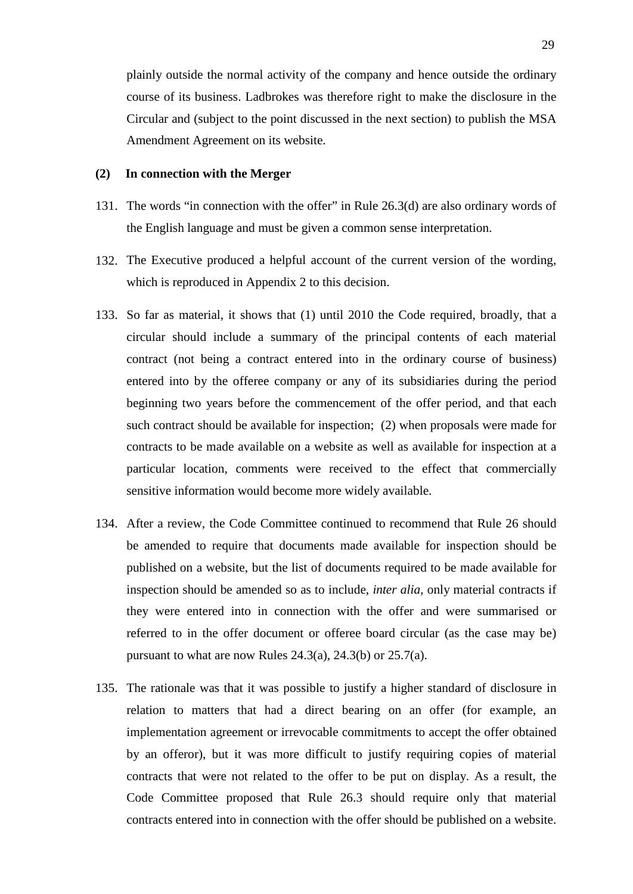plainly outside the normal activity of the company and hence outside the ordinary course of its business. Ladbrokes was therefore right to make the disclosure in the Circular and (subject to the point discussed in the next section) to publish the MSA Amendment Agreement on its website.

#### **(2) In connection with the Merger**

- 131. The words "in connection with the offer" in Rule 26.3(d) are also ordinary words of the English language and must be given a common sense interpretation.
- 132. The Executive produced a helpful account of the current version of the wording, which is reproduced in Appendix 2 to this decision.
- 133. So far as material, it shows that (1) until 2010 the Code required, broadly, that a circular should include a summary of the principal contents of each material contract (not being a contract entered into in the ordinary course of business) entered into by the offeree company or any of its subsidiaries during the period beginning two years before the commencement of the offer period, and that each such contract should be available for inspection; (2) when proposals were made for contracts to be made available on a website as well as available for inspection at a particular location, comments were received to the effect that commercially sensitive information would become more widely available.
- 134. After a review, the Code Committee continued to recommend that Rule 26 should be amended to require that documents made available for inspection should be published on a website, but the list of documents required to be made available for inspection should be amended so as to include, *inter alia*, only material contracts if they were entered into in connection with the offer and were summarised or referred to in the offer document or offeree board circular (as the case may be) pursuant to what are now Rules 24.3(a), 24.3(b) or 25.7(a).
- 135. The rationale was that it was possible to justify a higher standard of disclosure in relation to matters that had a direct bearing on an offer (for example, an implementation agreement or irrevocable commitments to accept the offer obtained by an offeror), but it was more difficult to justify requiring copies of material contracts that were not related to the offer to be put on display. As a result, the Code Committee proposed that Rule 26.3 should require only that material contracts entered into in connection with the offer should be published on a website.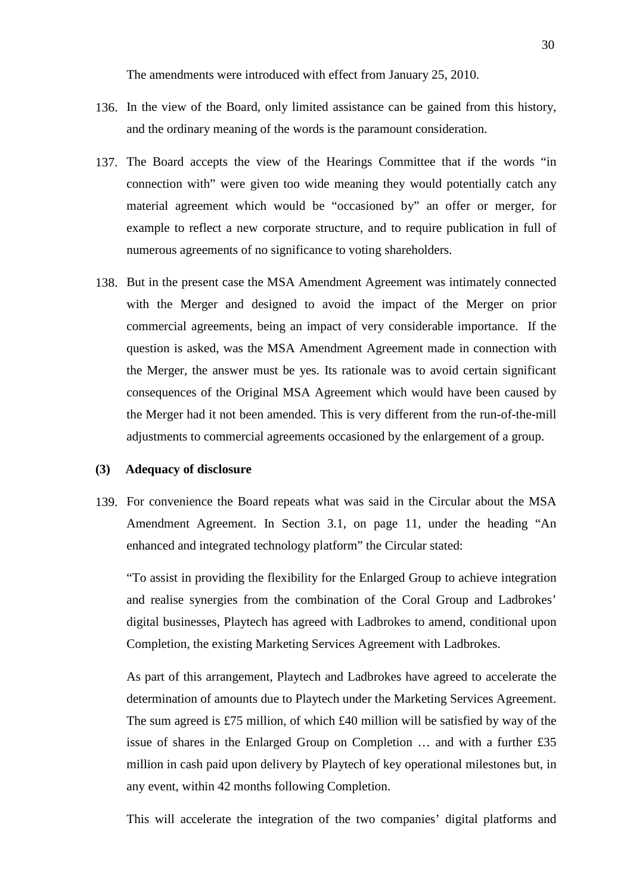The amendments were introduced with effect from January 25, 2010.

- 136. In the view of the Board, only limited assistance can be gained from this history, and the ordinary meaning of the words is the paramount consideration.
- 137. The Board accepts the view of the Hearings Committee that if the words "in connection with" were given too wide meaning they would potentially catch any material agreement which would be "occasioned by" an offer or merger, for example to reflect a new corporate structure, and to require publication in full of numerous agreements of no significance to voting shareholders.
- 138. But in the present case the MSA Amendment Agreement was intimately connected with the Merger and designed to avoid the impact of the Merger on prior commercial agreements, being an impact of very considerable importance. If the question is asked, was the MSA Amendment Agreement made in connection with the Merger, the answer must be yes. Its rationale was to avoid certain significant consequences of the Original MSA Agreement which would have been caused by the Merger had it not been amended. This is very different from the run-of-the-mill adjustments to commercial agreements occasioned by the enlargement of a group.

#### **(3) Adequacy of disclosure**

139. For convenience the Board repeats what was said in the Circular about the MSA Amendment Agreement. In Section 3.1, on page 11, under the heading "An enhanced and integrated technology platform" the Circular stated:

"To assist in providing the flexibility for the Enlarged Group to achieve integration and realise synergies from the combination of the Coral Group and Ladbrokes' digital businesses, Playtech has agreed with Ladbrokes to amend, conditional upon Completion, the existing Marketing Services Agreement with Ladbrokes.

As part of this arrangement, Playtech and Ladbrokes have agreed to accelerate the determination of amounts due to Playtech under the Marketing Services Agreement. The sum agreed is £75 million, of which £40 million will be satisfied by way of the issue of shares in the Enlarged Group on Completion … and with a further £35 million in cash paid upon delivery by Playtech of key operational milestones but, in any event, within 42 months following Completion.

This will accelerate the integration of the two companies' digital platforms and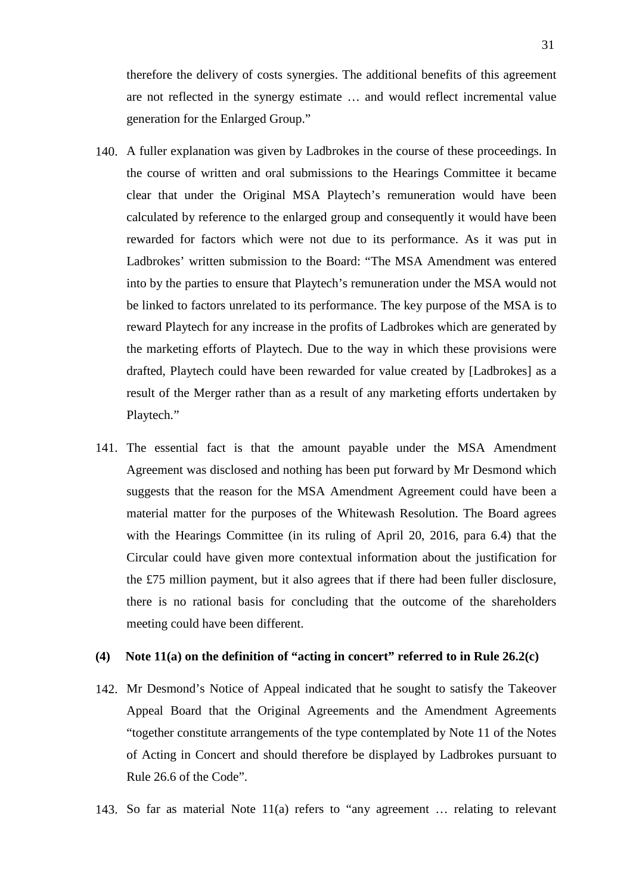therefore the delivery of costs synergies. The additional benefits of this agreement are not reflected in the synergy estimate … and would reflect incremental value generation for the Enlarged Group."

- 140. A fuller explanation was given by Ladbrokes in the course of these proceedings. In the course of written and oral submissions to the Hearings Committee it became clear that under the Original MSA Playtech's remuneration would have been calculated by reference to the enlarged group and consequently it would have been rewarded for factors which were not due to its performance. As it was put in Ladbrokes' written submission to the Board: "The MSA Amendment was entered into by the parties to ensure that Playtech's remuneration under the MSA would not be linked to factors unrelated to its performance. The key purpose of the MSA is to reward Playtech for any increase in the profits of Ladbrokes which are generated by the marketing efforts of Playtech. Due to the way in which these provisions were drafted, Playtech could have been rewarded for value created by [Ladbrokes] as a result of the Merger rather than as a result of any marketing efforts undertaken by Playtech."
- 141. The essential fact is that the amount payable under the MSA Amendment Agreement was disclosed and nothing has been put forward by Mr Desmond which suggests that the reason for the MSA Amendment Agreement could have been a material matter for the purposes of the Whitewash Resolution. The Board agrees with the Hearings Committee (in its ruling of April 20, 2016, para 6.4) that the Circular could have given more contextual information about the justification for the £75 million payment, but it also agrees that if there had been fuller disclosure, there is no rational basis for concluding that the outcome of the shareholders meeting could have been different.

## **(4) Note 11(a) on the definition of "acting in concert" referred to in Rule 26.2(c)**

- 142. Mr Desmond's Notice of Appeal indicated that he sought to satisfy the Takeover Appeal Board that the Original Agreements and the Amendment Agreements "together constitute arrangements of the type contemplated by Note 11 of the Notes of Acting in Concert and should therefore be displayed by Ladbrokes pursuant to Rule 26.6 of the Code".
- 143. So far as material Note 11(a) refers to "any agreement … relating to relevant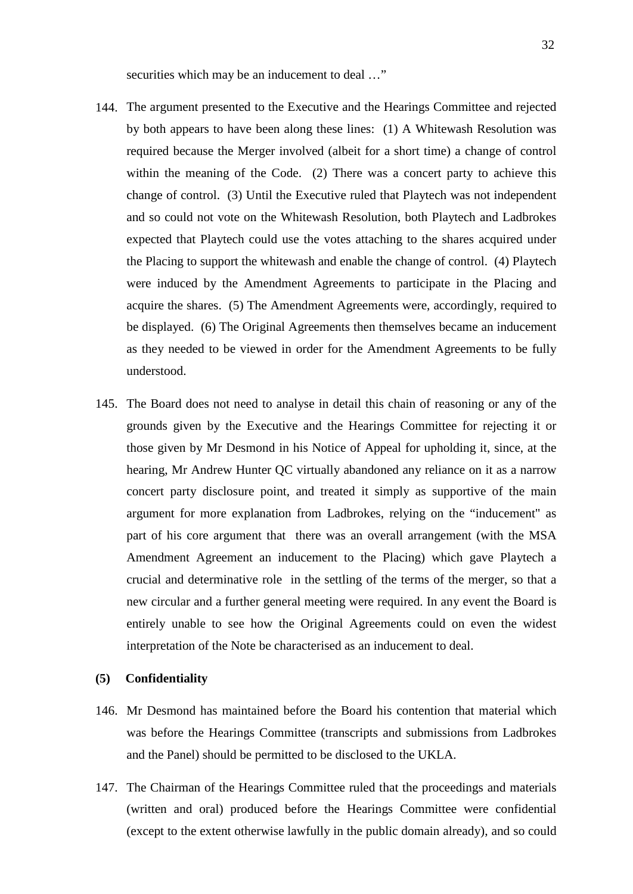securities which may be an inducement to deal ..."

- 144. The argument presented to the Executive and the Hearings Committee and rejected by both appears to have been along these lines: (1) A Whitewash Resolution was required because the Merger involved (albeit for a short time) a change of control within the meaning of the Code. (2) There was a concert party to achieve this change of control. (3) Until the Executive ruled that Playtech was not independent and so could not vote on the Whitewash Resolution, both Playtech and Ladbrokes expected that Playtech could use the votes attaching to the shares acquired under the Placing to support the whitewash and enable the change of control. (4) Playtech were induced by the Amendment Agreements to participate in the Placing and acquire the shares. (5) The Amendment Agreements were, accordingly, required to be displayed. (6) The Original Agreements then themselves became an inducement as they needed to be viewed in order for the Amendment Agreements to be fully understood.
- 145. The Board does not need to analyse in detail this chain of reasoning or any of the grounds given by the Executive and the Hearings Committee for rejecting it or those given by Mr Desmond in his Notice of Appeal for upholding it, since, at the hearing, Mr Andrew Hunter QC virtually abandoned any reliance on it as a narrow concert party disclosure point, and treated it simply as supportive of the main argument for more explanation from Ladbrokes, relying on the "inducement" as part of his core argument that there was an overall arrangement (with the MSA Amendment Agreement an inducement to the Placing) which gave Playtech a crucial and determinative role in the settling of the terms of the merger, so that a new circular and a further general meeting were required. In any event the Board is entirely unable to see how the Original Agreements could on even the widest interpretation of the Note be characterised as an inducement to deal.

#### **(5) Confidentiality**

- 146. Mr Desmond has maintained before the Board his contention that material which was before the Hearings Committee (transcripts and submissions from Ladbrokes and the Panel) should be permitted to be disclosed to the UKLA.
- 147. The Chairman of the Hearings Committee ruled that the proceedings and materials (written and oral) produced before the Hearings Committee were confidential (except to the extent otherwise lawfully in the public domain already), and so could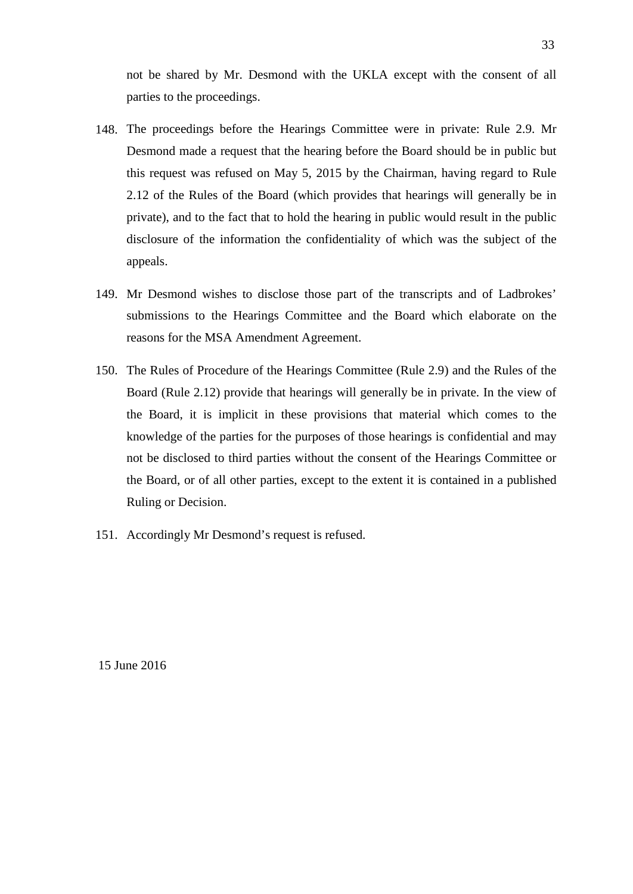not be shared by Mr. Desmond with the UKLA except with the consent of all parties to the proceedings.

- 148. The proceedings before the Hearings Committee were in private: Rule 2.9. Mr Desmond made a request that the hearing before the Board should be in public but this request was refused on May 5, 2015 by the Chairman, having regard to Rule 2.12 of the Rules of the Board (which provides that hearings will generally be in private), and to the fact that to hold the hearing in public would result in the public disclosure of the information the confidentiality of which was the subject of the appeals.
- 149. Mr Desmond wishes to disclose those part of the transcripts and of Ladbrokes' submissions to the Hearings Committee and the Board which elaborate on the reasons for the MSA Amendment Agreement.
- 150. The Rules of Procedure of the Hearings Committee (Rule 2.9) and the Rules of the Board (Rule 2.12) provide that hearings will generally be in private. In the view of the Board, it is implicit in these provisions that material which comes to the knowledge of the parties for the purposes of those hearings is confidential and may not be disclosed to third parties without the consent of the Hearings Committee or the Board, or of all other parties, except to the extent it is contained in a published Ruling or Decision.
- 151. Accordingly Mr Desmond's request is refused.

15 June 2016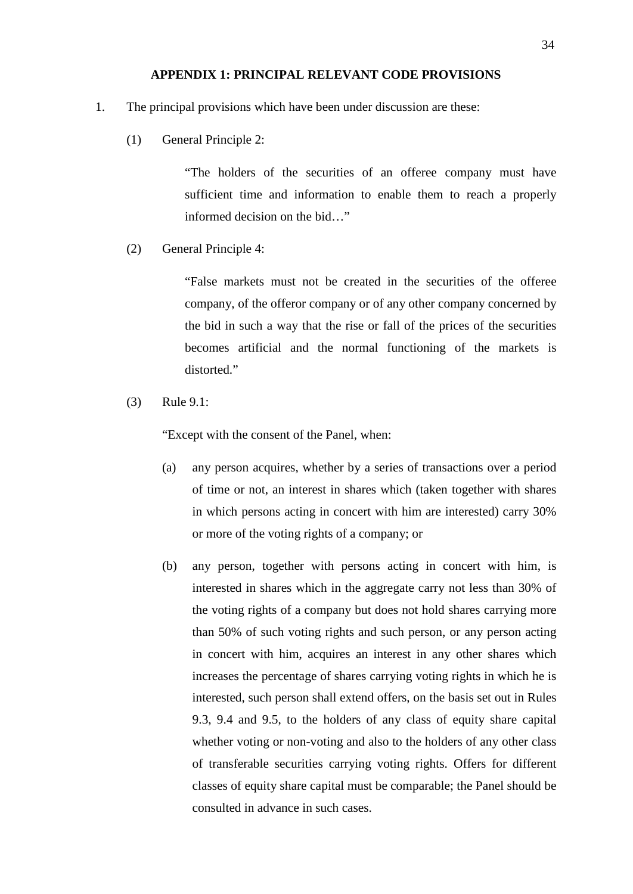### **APPENDIX 1: PRINCIPAL RELEVANT CODE PROVISIONS**

- 1. The principal provisions which have been under discussion are these:
	- (1) General Principle 2:

"The holders of the securities of an offeree company must have sufficient time and information to enable them to reach a properly informed decision on the bid…"

(2) General Principle 4:

"False markets must not be created in the securities of the offeree company, of the offeror company or of any other company concerned by the bid in such a way that the rise or fall of the prices of the securities becomes artificial and the normal functioning of the markets is distorted."

(3) Rule 9.1:

"Except with the consent of the Panel, when:

- (a) any person acquires, whether by a series of transactions over a period of time or not, an interest in shares which (taken together with shares in which persons acting in concert with him are interested) carry 30% or more of the voting rights of a company; or
- (b) any person, together with persons acting in concert with him, is interested in shares which in the aggregate carry not less than 30% of the voting rights of a company but does not hold shares carrying more than 50% of such voting rights and such person, or any person acting in concert with him, acquires an interest in any other shares which increases the percentage of shares carrying voting rights in which he is interested, such person shall extend offers, on the basis set out in Rules 9.3, 9.4 and 9.5, to the holders of any class of equity share capital whether voting or non-voting and also to the holders of any other class of transferable securities carrying voting rights. Offers for different classes of equity share capital must be comparable; the Panel should be consulted in advance in such cases.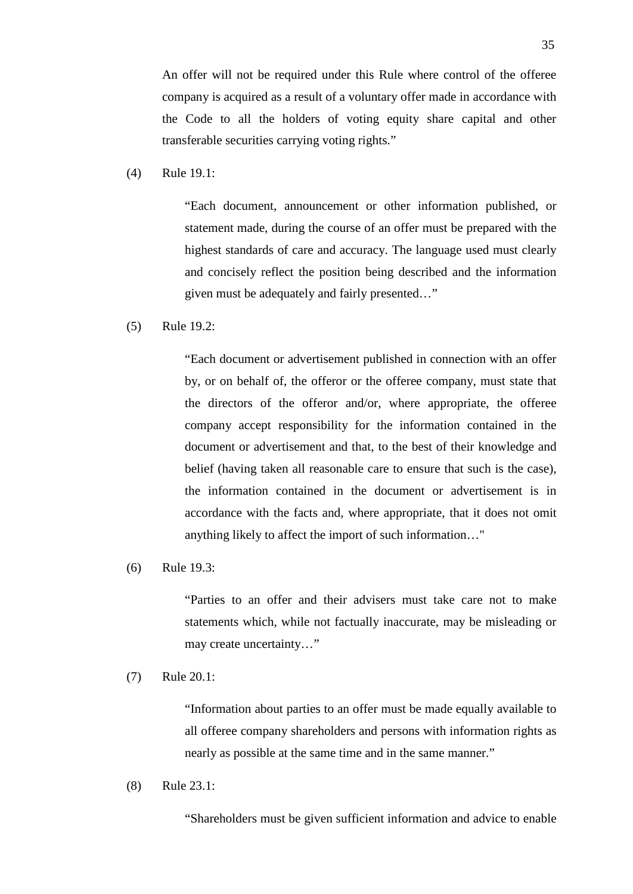An offer will not be required under this Rule where control of the offeree company is acquired as a result of a voluntary offer made in accordance with the Code to all the holders of voting equity share capital and other transferable securities carrying voting rights."

(4) Rule 19.1:

"Each document, announcement or other information published, or statement made, during the course of an offer must be prepared with the highest standards of care and accuracy. The language used must clearly and concisely reflect the position being described and the information given must be adequately and fairly presented…"

#### (5) Rule 19.2:

"Each document or advertisement published in connection with an offer by, or on behalf of, the offeror or the offeree company, must state that the directors of the offeror and/or, where appropriate, the offeree company accept responsibility for the information contained in the document or advertisement and that, to the best of their knowledge and belief (having taken all reasonable care to ensure that such is the case), the information contained in the document or advertisement is in accordance with the facts and, where appropriate, that it does not omit anything likely to affect the import of such information…"

#### (6) Rule 19.3:

"Parties to an offer and their advisers must take care not to make statements which, while not factually inaccurate, may be misleading or may create uncertainty…"

(7) Rule 20.1:

"Information about parties to an offer must be made equally available to all offeree company shareholders and persons with information rights as nearly as possible at the same time and in the same manner."

(8) Rule 23.1:

"Shareholders must be given sufficient information and advice to enable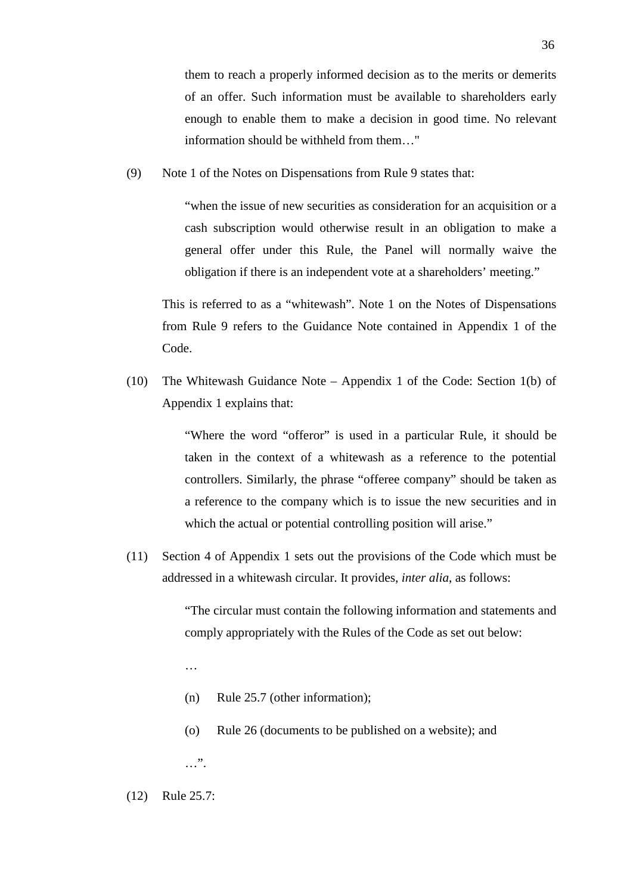them to reach a properly informed decision as to the merits or demerits of an offer. Such information must be available to shareholders early enough to enable them to make a decision in good time. No relevant information should be withheld from them…"

(9) Note 1 of the Notes on Dispensations from Rule 9 states that:

"when the issue of new securities as consideration for an acquisition or a cash subscription would otherwise result in an obligation to make a general offer under this Rule, the Panel will normally waive the obligation if there is an independent vote at a shareholders' meeting."

This is referred to as a "whitewash". Note 1 on the Notes of Dispensations from Rule 9 refers to the Guidance Note contained in Appendix 1 of the Code.

(10) The Whitewash Guidance Note – Appendix 1 of the Code: Section 1(b) of Appendix 1 explains that:

> "Where the word "offeror" is used in a particular Rule, it should be taken in the context of a whitewash as a reference to the potential controllers. Similarly, the phrase "offeree company" should be taken as a reference to the company which is to issue the new securities and in which the actual or potential controlling position will arise."

(11) Section 4 of Appendix 1 sets out the provisions of the Code which must be addressed in a whitewash circular. It provides, *inter alia*, as follows:

> "The circular must contain the following information and statements and comply appropriately with the Rules of the Code as set out below:

…

- (n) Rule 25.7 (other information);
- (o) Rule 26 (documents to be published on a website); and

 $\ldots$ ".

(12) Rule 25.7: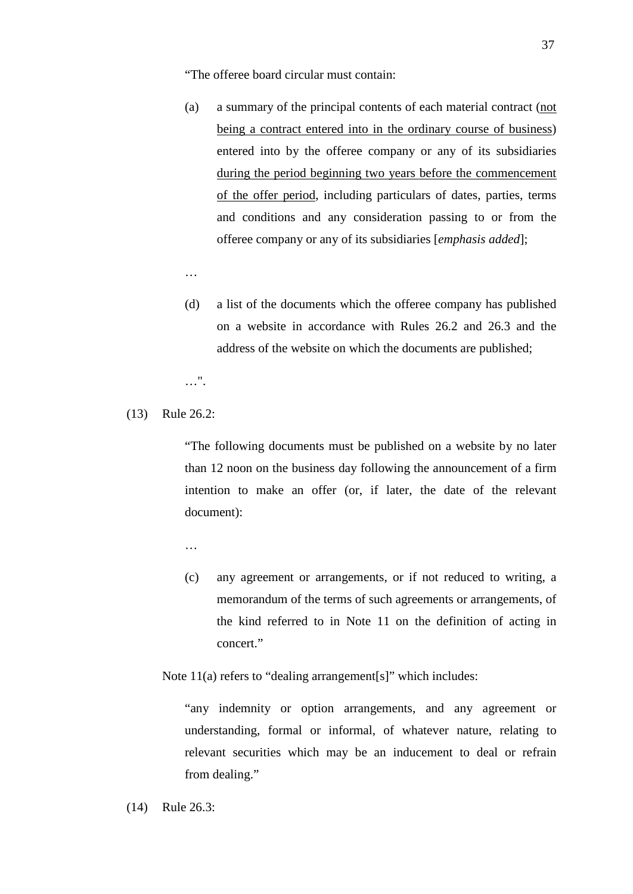"The offeree board circular must contain:

- (a) a summary of the principal contents of each material contract (not being a contract entered into in the ordinary course of business) entered into by the offeree company or any of its subsidiaries during the period beginning two years before the commencement of the offer period, including particulars of dates, parties, terms and conditions and any consideration passing to or from the offeree company or any of its subsidiaries [*emphasis added*];
- …
- (d) a list of the documents which the offeree company has published on a website in accordance with Rules 26.2 and 26.3 and the address of the website on which the documents are published;

…".

(13) Rule 26.2:

"The following documents must be published on a website by no later than 12 noon on the business day following the announcement of a firm intention to make an offer (or, if later, the date of the relevant document):

…

(c) any agreement or arrangements, or if not reduced to writing, a memorandum of the terms of such agreements or arrangements, of the kind referred to in Note 11 on the definition of acting in concert."

Note 11(a) refers to "dealing arrangement[s]" which includes:

"any indemnity or option arrangements, and any agreement or understanding, formal or informal, of whatever nature, relating to relevant securities which may be an inducement to deal or refrain from dealing."

(14) Rule 26.3: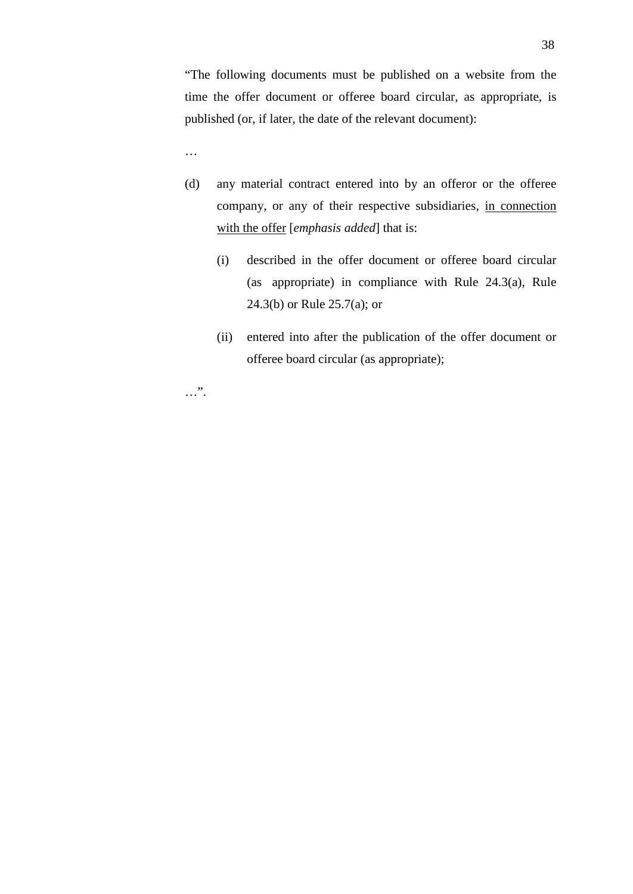"The following documents must be published on a website from the time the offer document or offeree board circular, as appropriate, is published (or, if later, the date of the relevant document):

…

- (d) any material contract entered into by an offeror or the offeree company, or any of their respective subsidiaries, in connection with the offer [*emphasis added*] that is:
	- (i) described in the offer document or offeree board circular (as appropriate) in compliance with Rule 24.3(a), Rule 24.3(b) or Rule 25.7(a); or
	- (ii) entered into after the publication of the offer document or offeree board circular (as appropriate);

…".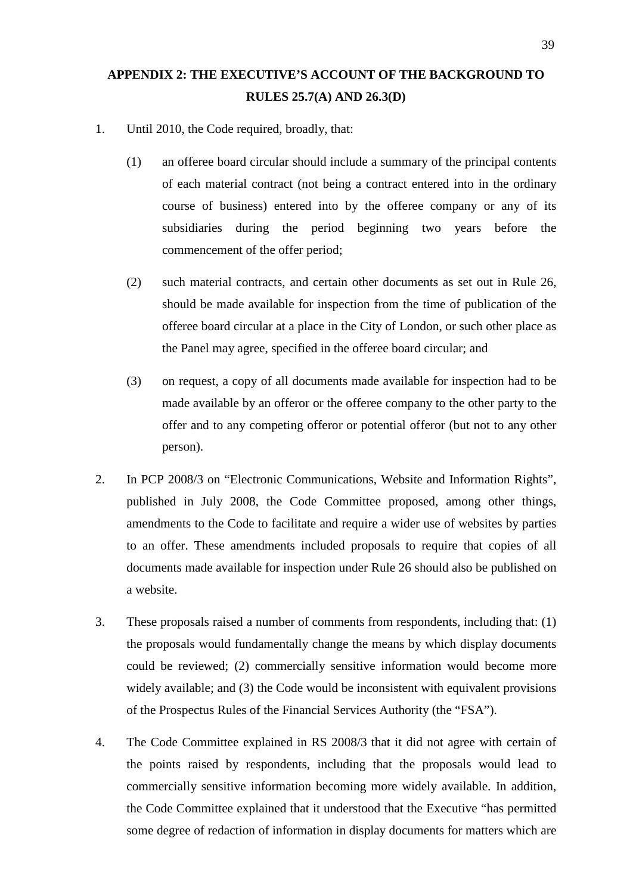# **APPENDIX 2: THE EXECUTIVE'S ACCOUNT OF THE BACKGROUND TO RULES 25.7(A) AND 26.3(D)**

- 1. Until 2010, the Code required, broadly, that:
	- (1) an offeree board circular should include a summary of the principal contents of each material contract (not being a contract entered into in the ordinary course of business) entered into by the offeree company or any of its subsidiaries during the period beginning two years before the commencement of the offer period;
	- (2) such material contracts, and certain other documents as set out in Rule 26, should be made available for inspection from the time of publication of the offeree board circular at a place in the City of London, or such other place as the Panel may agree, specified in the offeree board circular; and
	- (3) on request, a copy of all documents made available for inspection had to be made available by an offeror or the offeree company to the other party to the offer and to any competing offeror or potential offeror (but not to any other person).
- 2. In PCP 2008/3 on "Electronic Communications, Website and Information Rights", published in July 2008, the Code Committee proposed, among other things, amendments to the Code to facilitate and require a wider use of websites by parties to an offer. These amendments included proposals to require that copies of all documents made available for inspection under Rule 26 should also be published on a website.
- 3. These proposals raised a number of comments from respondents, including that: (1) the proposals would fundamentally change the means by which display documents could be reviewed; (2) commercially sensitive information would become more widely available; and (3) the Code would be inconsistent with equivalent provisions of the Prospectus Rules of the Financial Services Authority (the "FSA").
- 4. The Code Committee explained in RS 2008/3 that it did not agree with certain of the points raised by respondents, including that the proposals would lead to commercially sensitive information becoming more widely available. In addition, the Code Committee explained that it understood that the Executive "has permitted some degree of redaction of information in display documents for matters which are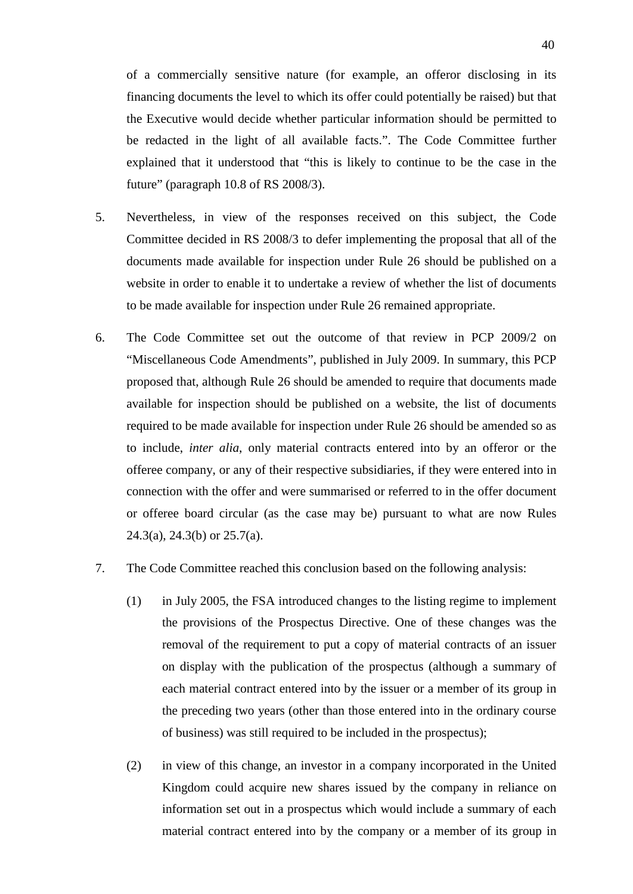of a commercially sensitive nature (for example, an offeror disclosing in its financing documents the level to which its offer could potentially be raised) but that the Executive would decide whether particular information should be permitted to be redacted in the light of all available facts.". The Code Committee further explained that it understood that "this is likely to continue to be the case in the future" (paragraph 10.8 of RS 2008/3).

- 5. Nevertheless, in view of the responses received on this subject, the Code Committee decided in RS 2008/3 to defer implementing the proposal that all of the documents made available for inspection under Rule 26 should be published on a website in order to enable it to undertake a review of whether the list of documents to be made available for inspection under Rule 26 remained appropriate.
- 6. The Code Committee set out the outcome of that review in PCP 2009/2 on "Miscellaneous Code Amendments", published in July 2009. In summary, this PCP proposed that, although Rule 26 should be amended to require that documents made available for inspection should be published on a website, the list of documents required to be made available for inspection under Rule 26 should be amended so as to include, *inter alia*, only material contracts entered into by an offeror or the offeree company, or any of their respective subsidiaries, if they were entered into in connection with the offer and were summarised or referred to in the offer document or offeree board circular (as the case may be) pursuant to what are now Rules 24.3(a), 24.3(b) or 25.7(a).
- 7. The Code Committee reached this conclusion based on the following analysis:
	- (1) in July 2005, the FSA introduced changes to the listing regime to implement the provisions of the Prospectus Directive. One of these changes was the removal of the requirement to put a copy of material contracts of an issuer on display with the publication of the prospectus (although a summary of each material contract entered into by the issuer or a member of its group in the preceding two years (other than those entered into in the ordinary course of business) was still required to be included in the prospectus);
	- (2) in view of this change, an investor in a company incorporated in the United Kingdom could acquire new shares issued by the company in reliance on information set out in a prospectus which would include a summary of each material contract entered into by the company or a member of its group in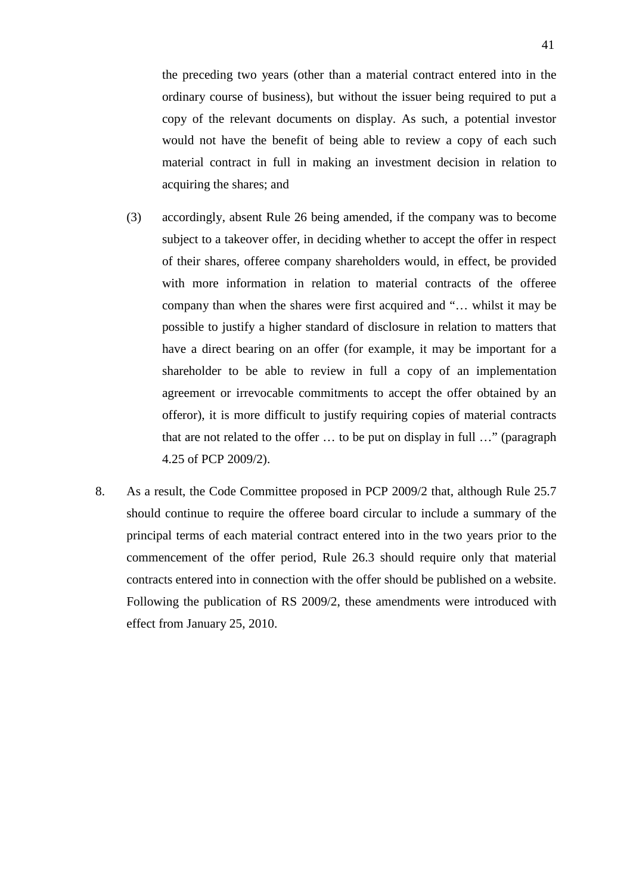the preceding two years (other than a material contract entered into in the ordinary course of business), but without the issuer being required to put a copy of the relevant documents on display. As such, a potential investor would not have the benefit of being able to review a copy of each such material contract in full in making an investment decision in relation to acquiring the shares; and

- (3) accordingly, absent Rule 26 being amended, if the company was to become subject to a takeover offer, in deciding whether to accept the offer in respect of their shares, offeree company shareholders would, in effect, be provided with more information in relation to material contracts of the offeree company than when the shares were first acquired and "… whilst it may be possible to justify a higher standard of disclosure in relation to matters that have a direct bearing on an offer (for example, it may be important for a shareholder to be able to review in full a copy of an implementation agreement or irrevocable commitments to accept the offer obtained by an offeror), it is more difficult to justify requiring copies of material contracts that are not related to the offer … to be put on display in full …" (paragraph 4.25 of PCP 2009/2).
- 8. As a result, the Code Committee proposed in PCP 2009/2 that, although Rule 25.7 should continue to require the offeree board circular to include a summary of the principal terms of each material contract entered into in the two years prior to the commencement of the offer period, Rule 26.3 should require only that material contracts entered into in connection with the offer should be published on a website. Following the publication of RS 2009/2, these amendments were introduced with effect from January 25, 2010.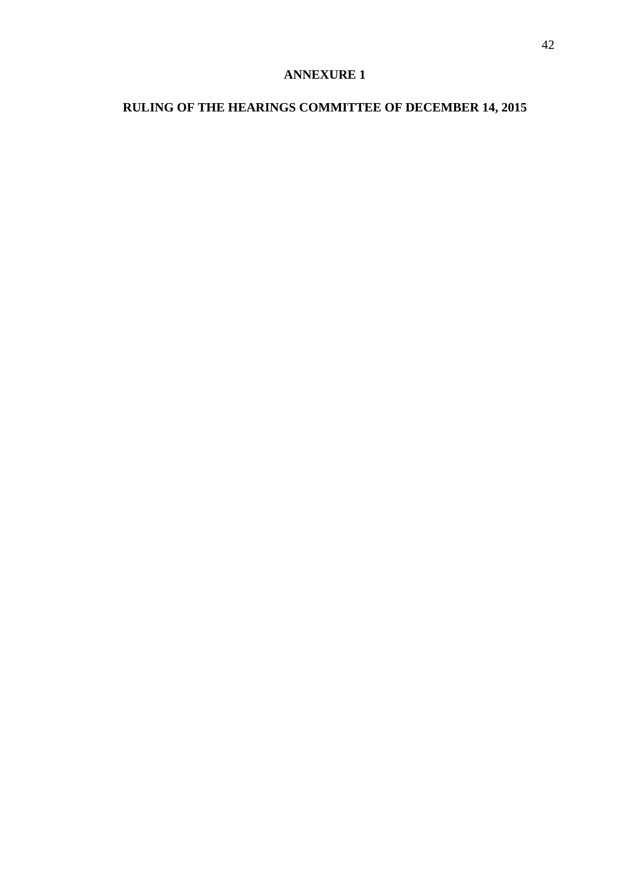# **ANNEXURE 1**

# **RULING OF THE HEARINGS COMMITTEE OF DECEMBER 14, 2015**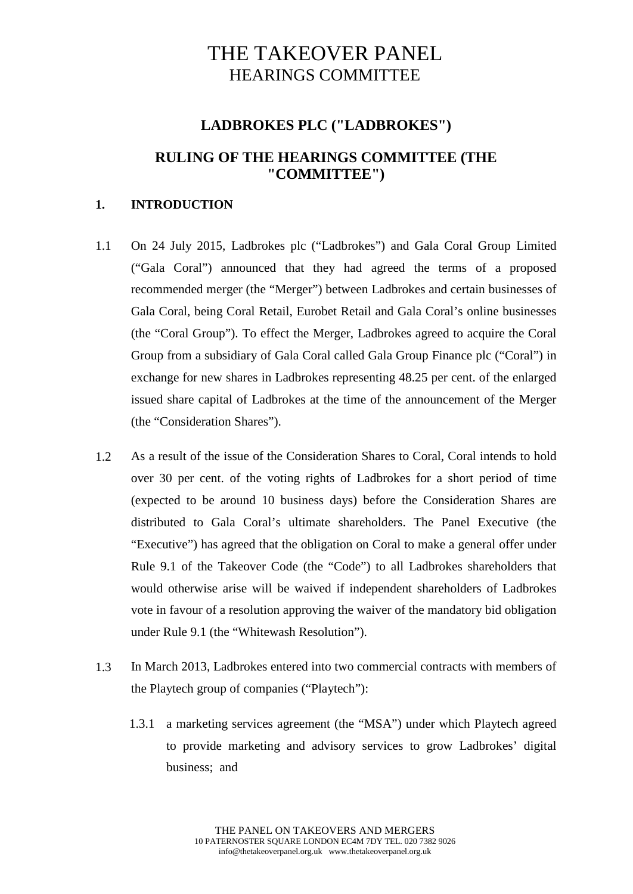# THE TAKEOVER PANEL HEARINGS COMMITTEE

## **LADBROKES PLC ("LADBROKES")**

## **RULING OF THE HEARINGS COMMITTEE (THE "COMMITTEE")**

## **1. INTRODUCTION**

- 1.1 On 24 July 2015, Ladbrokes plc ("Ladbrokes") and Gala Coral Group Limited ("Gala Coral") announced that they had agreed the terms of a proposed recommended merger (the "Merger") between Ladbrokes and certain businesses of Gala Coral, being Coral Retail, Eurobet Retail and Gala Coral's online businesses (the "Coral Group"). To effect the Merger, Ladbrokes agreed to acquire the Coral Group from a subsidiary of Gala Coral called Gala Group Finance plc ("Coral") in exchange for new shares in Ladbrokes representing 48.25 per cent. of the enlarged issued share capital of Ladbrokes at the time of the announcement of the Merger (the "Consideration Shares").
- 1.2 As a result of the issue of the Consideration Shares to Coral, Coral intends to hold over 30 per cent. of the voting rights of Ladbrokes for a short period of time (expected to be around 10 business days) before the Consideration Shares are distributed to Gala Coral's ultimate shareholders. The Panel Executive (the "Executive") has agreed that the obligation on Coral to make a general offer under Rule 9.1 of the Takeover Code (the "Code") to all Ladbrokes shareholders that would otherwise arise will be waived if independent shareholders of Ladbrokes vote in favour of a resolution approving the waiver of the mandatory bid obligation under Rule 9.1 (the "Whitewash Resolution").
- 1.3 In March 2013, Ladbrokes entered into two commercial contracts with members of the Playtech group of companies ("Playtech"):
	- 1.3.1 a marketing services agreement (the "MSA") under which Playtech agreed to provide marketing and advisory services to grow Ladbrokes' digital business; and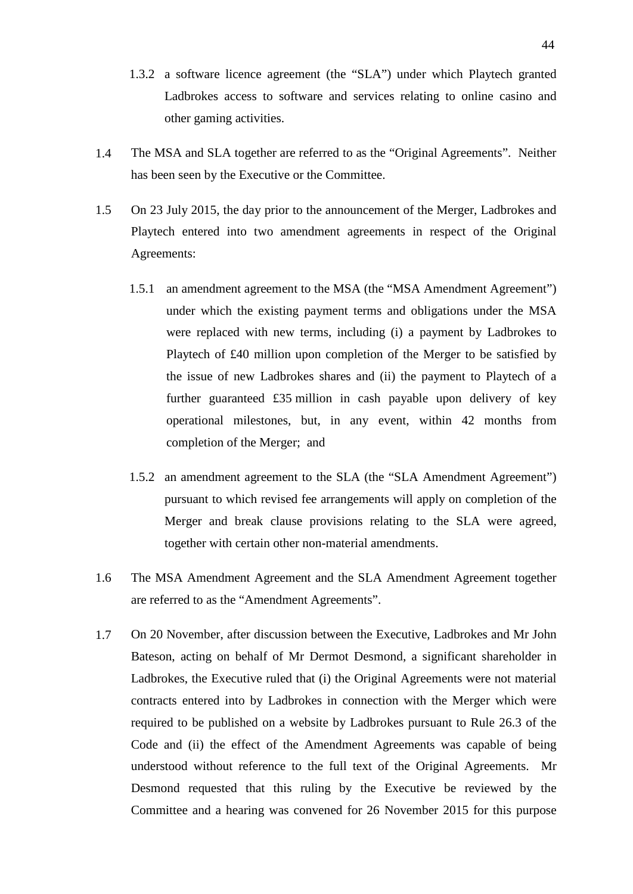- 1.3.2 a software licence agreement (the "SLA") under which Playtech granted Ladbrokes access to software and services relating to online casino and other gaming activities.
- 1.4 The MSA and SLA together are referred to as the "Original Agreements". Neither has been seen by the Executive or the Committee.
- 1.5 On 23 July 2015, the day prior to the announcement of the Merger, Ladbrokes and Playtech entered into two amendment agreements in respect of the Original Agreements:
	- 1.5.1 an amendment agreement to the MSA (the "MSA Amendment Agreement") under which the existing payment terms and obligations under the MSA were replaced with new terms, including (i) a payment by Ladbrokes to Playtech of £40 million upon completion of the Merger to be satisfied by the issue of new Ladbrokes shares and (ii) the payment to Playtech of a further guaranteed £35 million in cash payable upon delivery of key operational milestones, but, in any event, within 42 months from completion of the Merger; and
	- 1.5.2 an amendment agreement to the SLA (the "SLA Amendment Agreement") pursuant to which revised fee arrangements will apply on completion of the Merger and break clause provisions relating to the SLA were agreed, together with certain other non-material amendments.
- 1.6 The MSA Amendment Agreement and the SLA Amendment Agreement together are referred to as the "Amendment Agreements".
- 1.7 On 20 November, after discussion between the Executive, Ladbrokes and Mr John Bateson, acting on behalf of Mr Dermot Desmond, a significant shareholder in Ladbrokes, the Executive ruled that (i) the Original Agreements were not material contracts entered into by Ladbrokes in connection with the Merger which were required to be published on a website by Ladbrokes pursuant to Rule 26.3 of the Code and (ii) the effect of the Amendment Agreements was capable of being understood without reference to the full text of the Original Agreements. Mr Desmond requested that this ruling by the Executive be reviewed by the Committee and a hearing was convened for 26 November 2015 for this purpose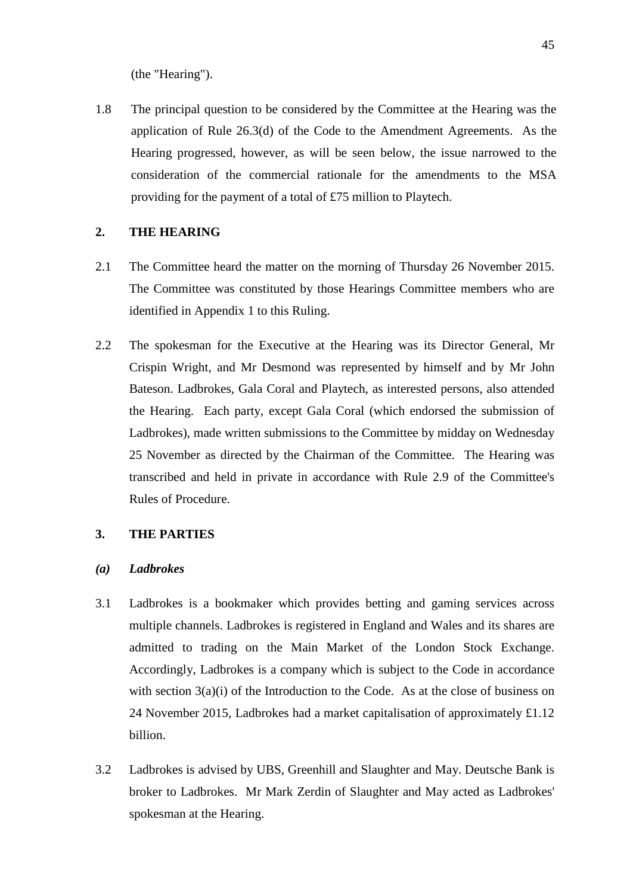(the "Hearing").

1.8 The principal question to be considered by the Committee at the Hearing was the application of Rule 26.3(d) of the Code to the Amendment Agreements. As the Hearing progressed, however, as will be seen below, the issue narrowed to the consideration of the commercial rationale for the amendments to the MSA providing for the payment of a total of £75 million to Playtech.

## **2. THE HEARING**

- 2.1 The Committee heard the matter on the morning of Thursday 26 November 2015. The Committee was constituted by those Hearings Committee members who are identified in Appendix 1 to this Ruling.
- 2.2 The spokesman for the Executive at the Hearing was its Director General, Mr Crispin Wright, and Mr Desmond was represented by himself and by Mr John Bateson. Ladbrokes, Gala Coral and Playtech, as interested persons, also attended the Hearing. Each party, except Gala Coral (which endorsed the submission of Ladbrokes), made written submissions to the Committee by midday on Wednesday 25 November as directed by the Chairman of the Committee. The Hearing was transcribed and held in private in accordance with Rule 2.9 of the Committee's Rules of Procedure.

#### **3. THE PARTIES**

#### *(a) Ladbrokes*

- 3.1 Ladbrokes is a bookmaker which provides betting and gaming services across multiple channels. Ladbrokes is registered in England and Wales and its shares are admitted to trading on the Main Market of the London Stock Exchange. Accordingly, Ladbrokes is a company which is subject to the Code in accordance with section  $3(a)(i)$  of the Introduction to the Code. As at the close of business on 24 November 2015, Ladbrokes had a market capitalisation of approximately £1.12 billion.
- 3.2 Ladbrokes is advised by UBS, Greenhill and Slaughter and May. Deutsche Bank is broker to Ladbrokes. Mr Mark Zerdin of Slaughter and May acted as Ladbrokes' spokesman at the Hearing.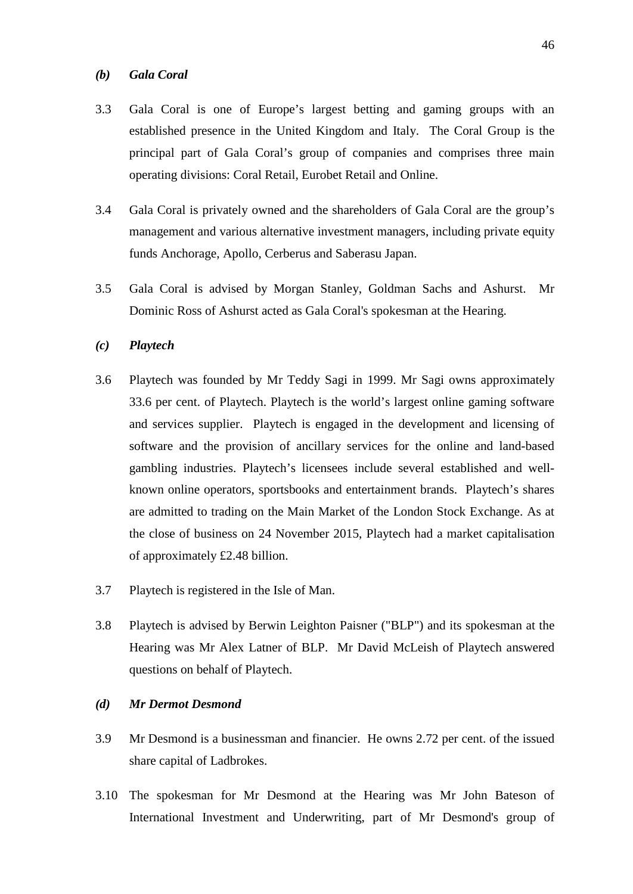#### *(b) Gala Coral*

- 3.3 Gala Coral is one of Europe's largest betting and gaming groups with an established presence in the United Kingdom and Italy. The Coral Group is the principal part of Gala Coral's group of companies and comprises three main operating divisions: Coral Retail, Eurobet Retail and Online.
- 3.4 Gala Coral is privately owned and the shareholders of Gala Coral are the group's management and various alternative investment managers, including private equity funds Anchorage, Apollo, Cerberus and Saberasu Japan.
- 3.5 Gala Coral is advised by Morgan Stanley, Goldman Sachs and Ashurst. Mr Dominic Ross of Ashurst acted as Gala Coral's spokesman at the Hearing.

### *(c) Playtech*

- 3.6 Playtech was founded by Mr Teddy Sagi in 1999. Mr Sagi owns approximately 33.6 per cent. of Playtech. Playtech is the world's largest online gaming software and services supplier. Playtech is engaged in the development and licensing of software and the provision of ancillary services for the online and land-based gambling industries. Playtech's licensees include several established and wellknown online operators, sportsbooks and entertainment brands. Playtech's shares are admitted to trading on the Main Market of the London Stock Exchange. As at the close of business on 24 November 2015, Playtech had a market capitalisation of approximately £2.48 billion.
- 3.7 Playtech is registered in the Isle of Man.
- 3.8 Playtech is advised by Berwin Leighton Paisner ("BLP") and its spokesman at the Hearing was Mr Alex Latner of BLP. Mr David McLeish of Playtech answered questions on behalf of Playtech.

## *(d) Mr Dermot Desmond*

- 3.9 Mr Desmond is a businessman and financier. He owns 2.72 per cent. of the issued share capital of Ladbrokes.
- 3.10 The spokesman for Mr Desmond at the Hearing was Mr John Bateson of International Investment and Underwriting, part of Mr Desmond's group of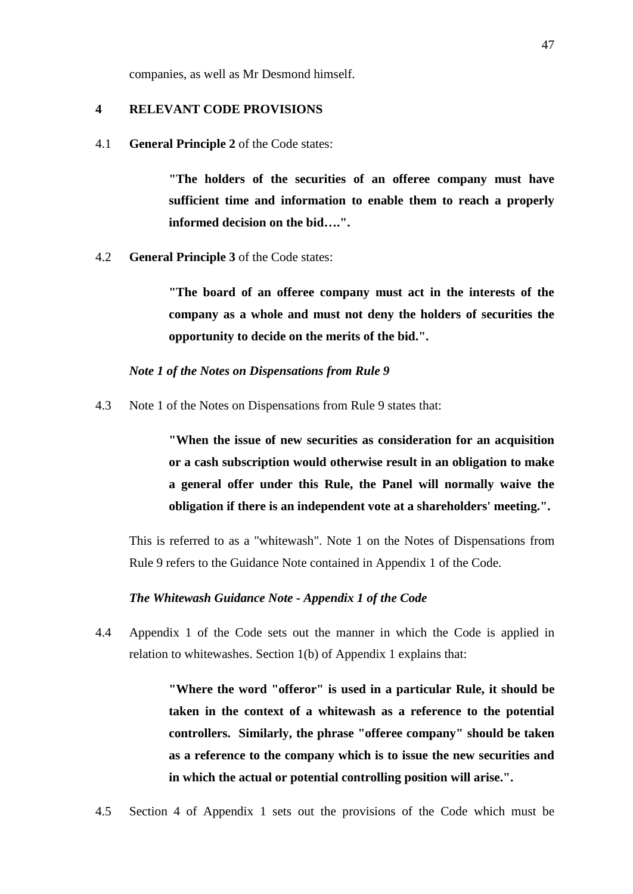companies, as well as Mr Desmond himself.

#### **4 RELEVANT CODE PROVISIONS**

4.1 **General Principle 2** of the Code states:

**"The holders of the securities of an offeree company must have sufficient time and information to enable them to reach a properly informed decision on the bid….".**

4.2 **General Principle 3** of the Code states:

**"The board of an offeree company must act in the interests of the company as a whole and must not deny the holders of securities the opportunity to decide on the merits of the bid.".**

#### *Note 1 of the Notes on Dispensations from Rule 9*

4.3 Note 1 of the Notes on Dispensations from Rule 9 states that:

**"When the issue of new securities as consideration for an acquisition or a cash subscription would otherwise result in an obligation to make a general offer under this Rule, the Panel will normally waive the obligation if there is an independent vote at a shareholders' meeting.".**

This is referred to as a "whitewash". Note 1 on the Notes of Dispensations from Rule 9 refers to the Guidance Note contained in Appendix 1 of the Code.

#### *The Whitewash Guidance Note - Appendix 1 of the Code*

4.4 Appendix 1 of the Code sets out the manner in which the Code is applied in relation to whitewashes. Section 1(b) of Appendix 1 explains that:

> **"Where the word "offeror" is used in a particular Rule, it should be taken in the context of a whitewash as a reference to the potential controllers. Similarly, the phrase "offeree company" should be taken as a reference to the company which is to issue the new securities and in which the actual or potential controlling position will arise.".**

4.5 Section 4 of Appendix 1 sets out the provisions of the Code which must be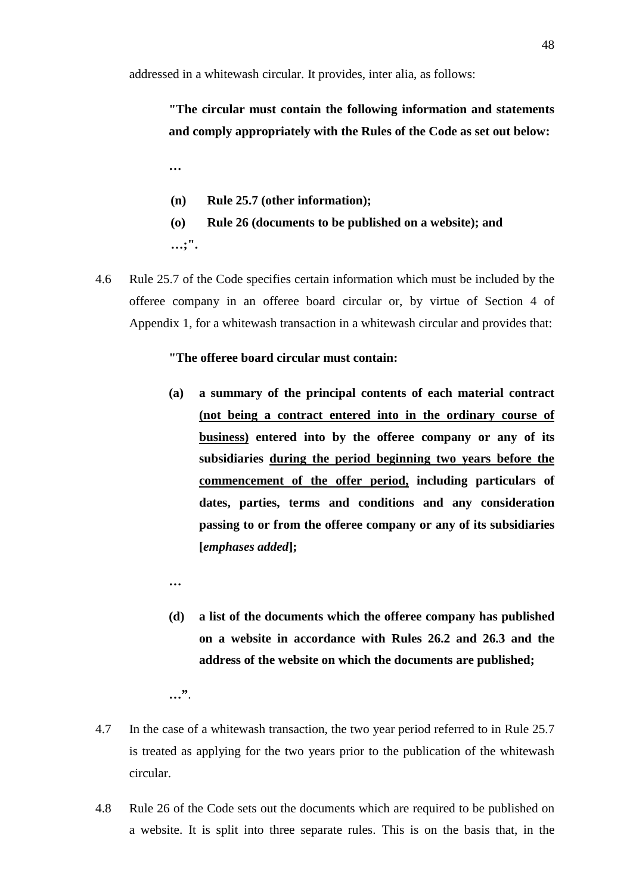addressed in a whitewash circular. It provides, inter alia, as follows:

# **"The circular must contain the following information and statements and comply appropriately with the Rules of the Code as set out below:**

**…**

- **(n) Rule 25.7 (other information);**
- **(o) Rule 26 (documents to be published on a website); and …;".**
- 4.6 Rule 25.7 of the Code specifies certain information which must be included by the offeree company in an offeree board circular or, by virtue of Section 4 of Appendix 1, for a whitewash transaction in a whitewash circular and provides that:

#### **"The offeree board circular must contain:**

- **(a) a summary of the principal contents of each material contract (not being a contract entered into in the ordinary course of business) entered into by the offeree company or any of its subsidiaries during the period beginning two years before the commencement of the offer period, including particulars of dates, parties, terms and conditions and any consideration passing to or from the offeree company or any of its subsidiaries [***emphases added***];**
- **(d) a list of the documents which the offeree company has published on a website in accordance with Rules 26.2 and 26.3 and the address of the website on which the documents are published;**

**…**

- 4.7 In the case of a whitewash transaction, the two year period referred to in Rule 25.7 is treated as applying for the two years prior to the publication of the whitewash circular.
- 4.8 Rule 26 of the Code sets out the documents which are required to be published on a website. It is split into three separate rules. This is on the basis that, in the

**<sup>…&</sup>quot;**.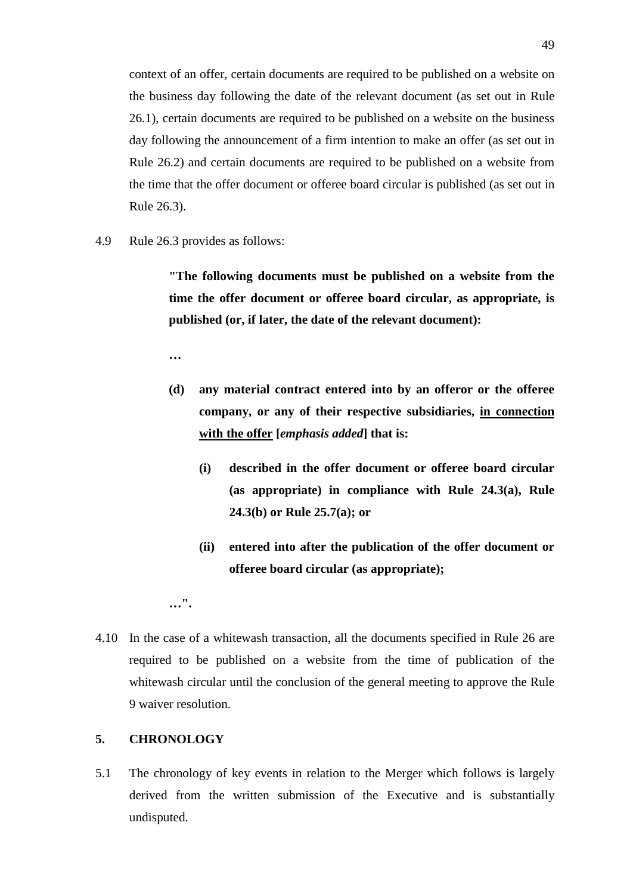context of an offer, certain documents are required to be published on a website on the business day following the date of the relevant document (as set out in Rule 26.1), certain documents are required to be published on a website on the business day following the announcement of a firm intention to make an offer (as set out in Rule 26.2) and certain documents are required to be published on a website from the time that the offer document or offeree board circular is published (as set out in Rule 26.3).

4.9 Rule 26.3 provides as follows:

**"The following documents must be published on a website from the time the offer document or offeree board circular, as appropriate, is published (or, if later, the date of the relevant document):**

**…**

- **(d) any material contract entered into by an offeror or the offeree company, or any of their respective subsidiaries, in connection with the offer [***emphasis added***] that is:**
	- **(i) described in the offer document or offeree board circular (as appropriate) in compliance with Rule 24.3(a), Rule 24.3(b) or Rule 25.7(a); or**
	- **(ii) entered into after the publication of the offer document or offeree board circular (as appropriate);**

**…".**

4.10 In the case of a whitewash transaction, all the documents specified in Rule 26 are required to be published on a website from the time of publication of the whitewash circular until the conclusion of the general meeting to approve the Rule 9 waiver resolution.

### **5. CHRONOLOGY**

5.1 The chronology of key events in relation to the Merger which follows is largely derived from the written submission of the Executive and is substantially undisputed.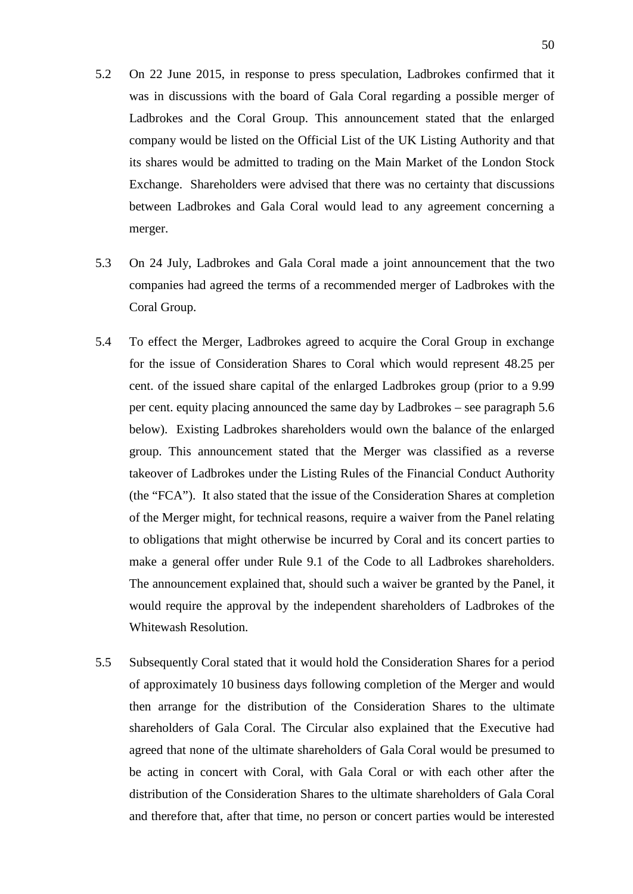- 5.2 On 22 June 2015, in response to press speculation, Ladbrokes confirmed that it was in discussions with the board of Gala Coral regarding a possible merger of Ladbrokes and the Coral Group. This announcement stated that the enlarged company would be listed on the Official List of the UK Listing Authority and that its shares would be admitted to trading on the Main Market of the London Stock Exchange. Shareholders were advised that there was no certainty that discussions between Ladbrokes and Gala Coral would lead to any agreement concerning a merger.
- 5.3 On 24 July, Ladbrokes and Gala Coral made a joint announcement that the two companies had agreed the terms of a recommended merger of Ladbrokes with the Coral Group.
- 5.4 To effect the Merger, Ladbrokes agreed to acquire the Coral Group in exchange for the issue of Consideration Shares to Coral which would represent 48.25 per cent. of the issued share capital of the enlarged Ladbrokes group (prior to a 9.99 per cent. equity placing announced the same day by Ladbrokes – see paragraph 5.6 below). Existing Ladbrokes shareholders would own the balance of the enlarged group. This announcement stated that the Merger was classified as a reverse takeover of Ladbrokes under the Listing Rules of the Financial Conduct Authority (the "FCA"). It also stated that the issue of the Consideration Shares at completion of the Merger might, for technical reasons, require a waiver from the Panel relating to obligations that might otherwise be incurred by Coral and its concert parties to make a general offer under Rule 9.1 of the Code to all Ladbrokes shareholders. The announcement explained that, should such a waiver be granted by the Panel, it would require the approval by the independent shareholders of Ladbrokes of the Whitewash Resolution.
- 5.5 Subsequently Coral stated that it would hold the Consideration Shares for a period of approximately 10 business days following completion of the Merger and would then arrange for the distribution of the Consideration Shares to the ultimate shareholders of Gala Coral. The Circular also explained that the Executive had agreed that none of the ultimate shareholders of Gala Coral would be presumed to be acting in concert with Coral, with Gala Coral or with each other after the distribution of the Consideration Shares to the ultimate shareholders of Gala Coral and therefore that, after that time, no person or concert parties would be interested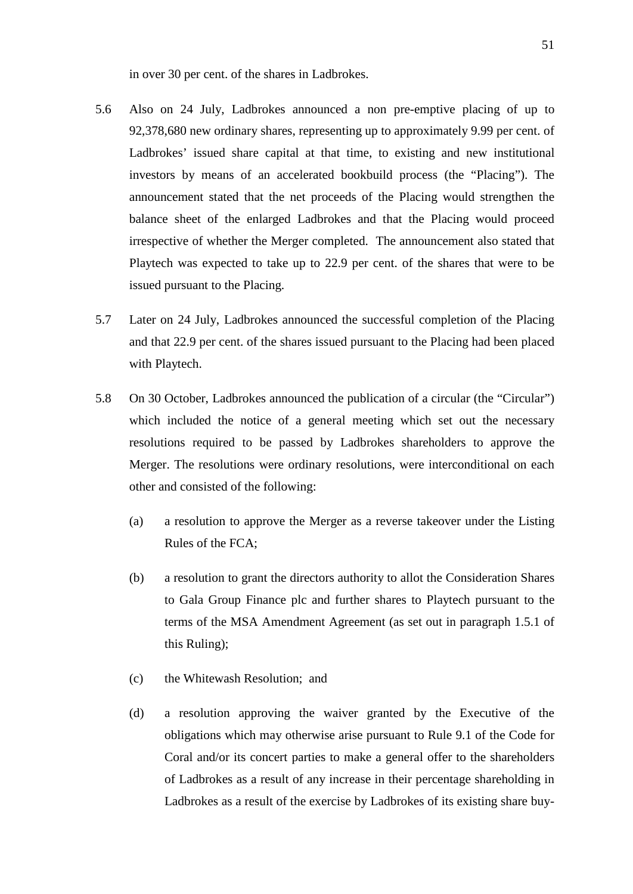in over 30 per cent. of the shares in Ladbrokes.

- 5.6 Also on 24 July, Ladbrokes announced a non pre-emptive placing of up to 92,378,680 new ordinary shares, representing up to approximately 9.99 per cent. of Ladbrokes' issued share capital at that time, to existing and new institutional investors by means of an accelerated bookbuild process (the "Placing"). The announcement stated that the net proceeds of the Placing would strengthen the balance sheet of the enlarged Ladbrokes and that the Placing would proceed irrespective of whether the Merger completed. The announcement also stated that Playtech was expected to take up to 22.9 per cent. of the shares that were to be issued pursuant to the Placing.
- 5.7 Later on 24 July, Ladbrokes announced the successful completion of the Placing and that 22.9 per cent. of the shares issued pursuant to the Placing had been placed with Playtech.
- 5.8 On 30 October, Ladbrokes announced the publication of a circular (the "Circular") which included the notice of a general meeting which set out the necessary resolutions required to be passed by Ladbrokes shareholders to approve the Merger. The resolutions were ordinary resolutions, were interconditional on each other and consisted of the following:
	- (a) a resolution to approve the Merger as a reverse takeover under the Listing Rules of the FCA;
	- (b) a resolution to grant the directors authority to allot the Consideration Shares to Gala Group Finance plc and further shares to Playtech pursuant to the terms of the MSA Amendment Agreement (as set out in paragraph 1.5.1 of this Ruling);
	- (c) the Whitewash Resolution; and
	- (d) a resolution approving the waiver granted by the Executive of the obligations which may otherwise arise pursuant to Rule 9.1 of the Code for Coral and/or its concert parties to make a general offer to the shareholders of Ladbrokes as a result of any increase in their percentage shareholding in Ladbrokes as a result of the exercise by Ladbrokes of its existing share buy-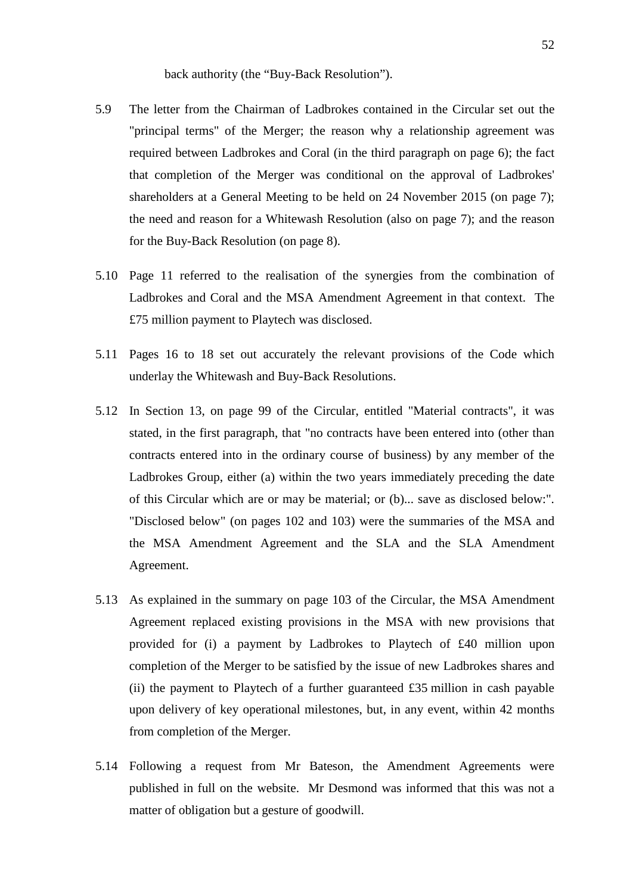back authority (the "Buy-Back Resolution").

- 5.9 The letter from the Chairman of Ladbrokes contained in the Circular set out the "principal terms" of the Merger; the reason why a relationship agreement was required between Ladbrokes and Coral (in the third paragraph on page 6); the fact that completion of the Merger was conditional on the approval of Ladbrokes' shareholders at a General Meeting to be held on 24 November 2015 (on page 7); the need and reason for a Whitewash Resolution (also on page 7); and the reason for the Buy-Back Resolution (on page 8).
- 5.10 Page 11 referred to the realisation of the synergies from the combination of Ladbrokes and Coral and the MSA Amendment Agreement in that context. The £75 million payment to Playtech was disclosed.
- 5.11 Pages 16 to 18 set out accurately the relevant provisions of the Code which underlay the Whitewash and Buy-Back Resolutions.
- 5.12 In Section 13, on page 99 of the Circular, entitled "Material contracts", it was stated, in the first paragraph, that "no contracts have been entered into (other than contracts entered into in the ordinary course of business) by any member of the Ladbrokes Group, either (a) within the two years immediately preceding the date of this Circular which are or may be material; or (b)... save as disclosed below:". "Disclosed below" (on pages 102 and 103) were the summaries of the MSA and the MSA Amendment Agreement and the SLA and the SLA Amendment Agreement.
- 5.13 As explained in the summary on page 103 of the Circular, the MSA Amendment Agreement replaced existing provisions in the MSA with new provisions that provided for (i) a payment by Ladbrokes to Playtech of £40 million upon completion of the Merger to be satisfied by the issue of new Ladbrokes shares and (ii) the payment to Playtech of a further guaranteed £35 million in cash payable upon delivery of key operational milestones, but, in any event, within 42 months from completion of the Merger.
- 5.14 Following a request from Mr Bateson, the Amendment Agreements were published in full on the website. Mr Desmond was informed that this was not a matter of obligation but a gesture of goodwill.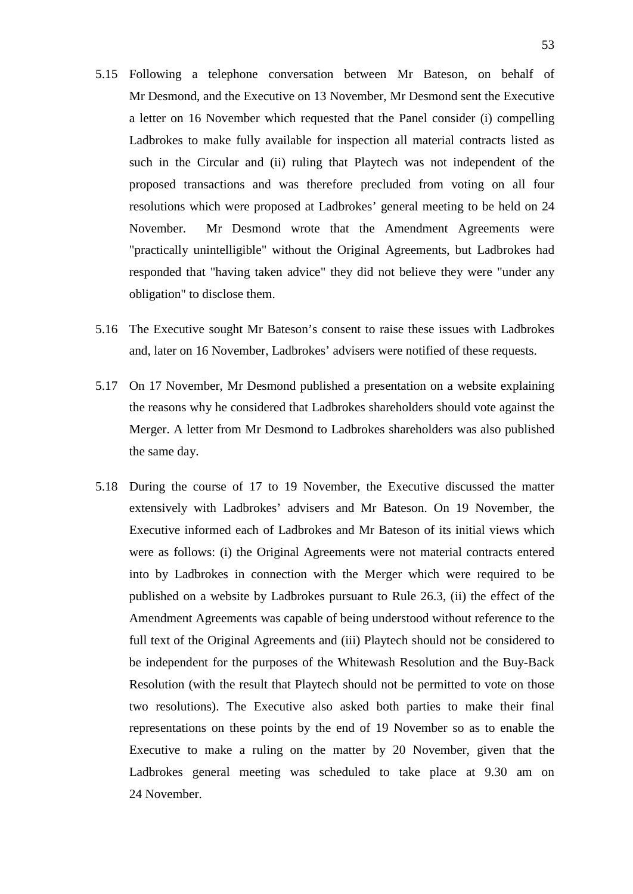- 5.15 Following a telephone conversation between Mr Bateson, on behalf of Mr Desmond, and the Executive on 13 November, Mr Desmond sent the Executive a letter on 16 November which requested that the Panel consider (i) compelling Ladbrokes to make fully available for inspection all material contracts listed as such in the Circular and (ii) ruling that Playtech was not independent of the proposed transactions and was therefore precluded from voting on all four resolutions which were proposed at Ladbrokes' general meeting to be held on 24 November. Mr Desmond wrote that the Amendment Agreements were "practically unintelligible" without the Original Agreements, but Ladbrokes had responded that "having taken advice" they did not believe they were "under any obligation" to disclose them.
- 5.16 The Executive sought Mr Bateson's consent to raise these issues with Ladbrokes and, later on 16 November, Ladbrokes' advisers were notified of these requests.
- 5.17 On 17 November, Mr Desmond published a presentation on a website explaining the reasons why he considered that Ladbrokes shareholders should vote against the Merger. A letter from Mr Desmond to Ladbrokes shareholders was also published the same day.
- 5.18 During the course of 17 to 19 November, the Executive discussed the matter extensively with Ladbrokes' advisers and Mr Bateson. On 19 November, the Executive informed each of Ladbrokes and Mr Bateson of its initial views which were as follows: (i) the Original Agreements were not material contracts entered into by Ladbrokes in connection with the Merger which were required to be published on a website by Ladbrokes pursuant to Rule 26.3, (ii) the effect of the Amendment Agreements was capable of being understood without reference to the full text of the Original Agreements and (iii) Playtech should not be considered to be independent for the purposes of the Whitewash Resolution and the Buy-Back Resolution (with the result that Playtech should not be permitted to vote on those two resolutions). The Executive also asked both parties to make their final representations on these points by the end of 19 November so as to enable the Executive to make a ruling on the matter by 20 November, given that the Ladbrokes general meeting was scheduled to take place at 9.30 am on 24 November.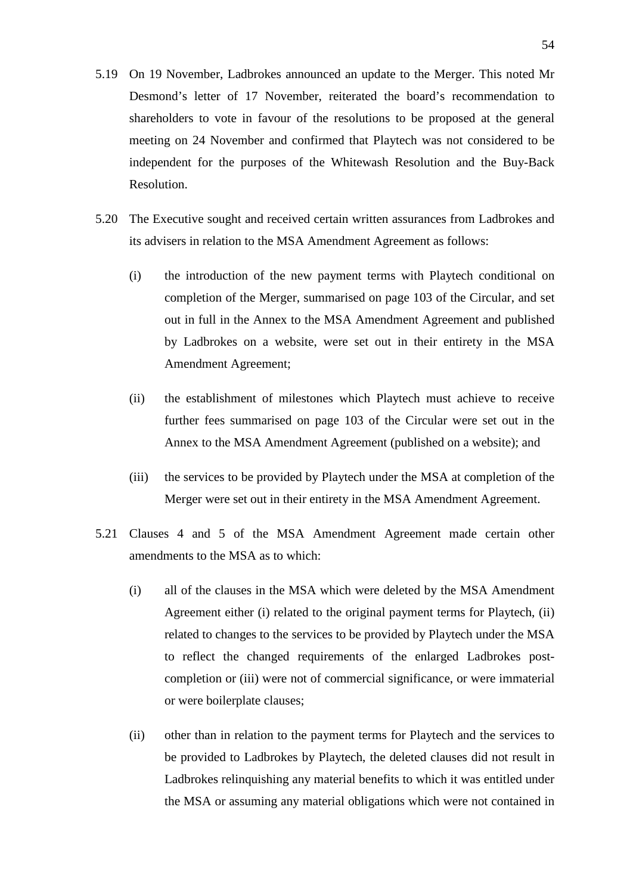- 5.19 On 19 November, Ladbrokes announced an update to the Merger. This noted Mr Desmond's letter of 17 November, reiterated the board's recommendation to shareholders to vote in favour of the resolutions to be proposed at the general meeting on 24 November and confirmed that Playtech was not considered to be independent for the purposes of the Whitewash Resolution and the Buy-Back Resolution.
- 5.20 The Executive sought and received certain written assurances from Ladbrokes and its advisers in relation to the MSA Amendment Agreement as follows:
	- (i) the introduction of the new payment terms with Playtech conditional on completion of the Merger, summarised on page 103 of the Circular, and set out in full in the Annex to the MSA Amendment Agreement and published by Ladbrokes on a website, were set out in their entirety in the MSA Amendment Agreement;
	- (ii) the establishment of milestones which Playtech must achieve to receive further fees summarised on page 103 of the Circular were set out in the Annex to the MSA Amendment Agreement (published on a website); and
	- (iii) the services to be provided by Playtech under the MSA at completion of the Merger were set out in their entirety in the MSA Amendment Agreement.
- 5.21 Clauses 4 and 5 of the MSA Amendment Agreement made certain other amendments to the MSA as to which:
	- (i) all of the clauses in the MSA which were deleted by the MSA Amendment Agreement either (i) related to the original payment terms for Playtech, (ii) related to changes to the services to be provided by Playtech under the MSA to reflect the changed requirements of the enlarged Ladbrokes postcompletion or (iii) were not of commercial significance, or were immaterial or were boilerplate clauses;
	- (ii) other than in relation to the payment terms for Playtech and the services to be provided to Ladbrokes by Playtech, the deleted clauses did not result in Ladbrokes relinquishing any material benefits to which it was entitled under the MSA or assuming any material obligations which were not contained in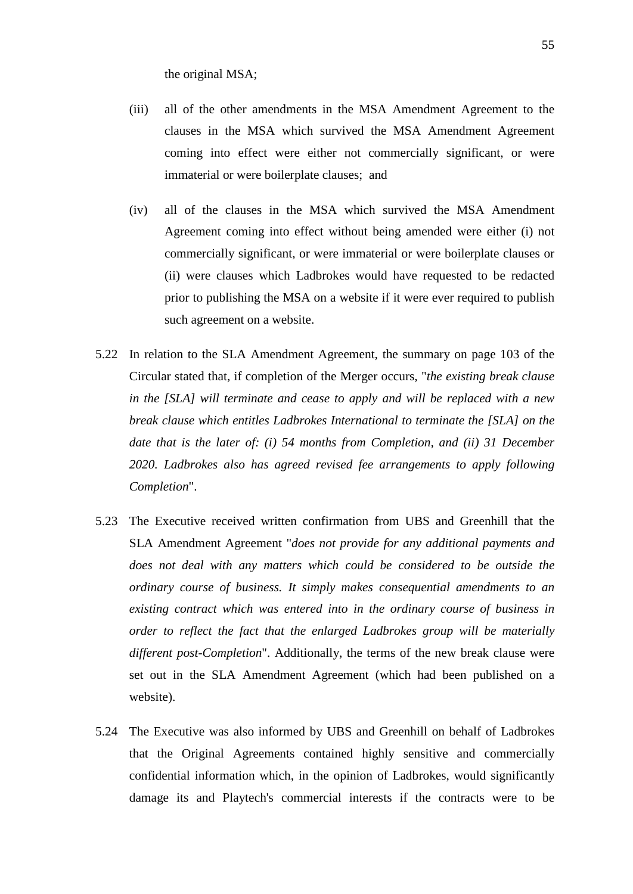the original MSA;

- (iii) all of the other amendments in the MSA Amendment Agreement to the clauses in the MSA which survived the MSA Amendment Agreement coming into effect were either not commercially significant, or were immaterial or were boilerplate clauses; and
- (iv) all of the clauses in the MSA which survived the MSA Amendment Agreement coming into effect without being amended were either (i) not commercially significant, or were immaterial or were boilerplate clauses or (ii) were clauses which Ladbrokes would have requested to be redacted prior to publishing the MSA on a website if it were ever required to publish such agreement on a website.
- 5.22 In relation to the SLA Amendment Agreement, the summary on page 103 of the Circular stated that, if completion of the Merger occurs, "*the existing break clause in the [SLA] will terminate and cease to apply and will be replaced with a new break clause which entitles Ladbrokes International to terminate the [SLA] on the date that is the later of: (i) 54 months from Completion, and (ii) 31 December 2020. Ladbrokes also has agreed revised fee arrangements to apply following Completion*".
- 5.23 The Executive received written confirmation from UBS and Greenhill that the SLA Amendment Agreement "*does not provide for any additional payments and does not deal with any matters which could be considered to be outside the ordinary course of business. It simply makes consequential amendments to an existing contract which was entered into in the ordinary course of business in order to reflect the fact that the enlarged Ladbrokes group will be materially different post-Completion*". Additionally, the terms of the new break clause were set out in the SLA Amendment Agreement (which had been published on a website).
- 5.24 The Executive was also informed by UBS and Greenhill on behalf of Ladbrokes that the Original Agreements contained highly sensitive and commercially confidential information which, in the opinion of Ladbrokes, would significantly damage its and Playtech's commercial interests if the contracts were to be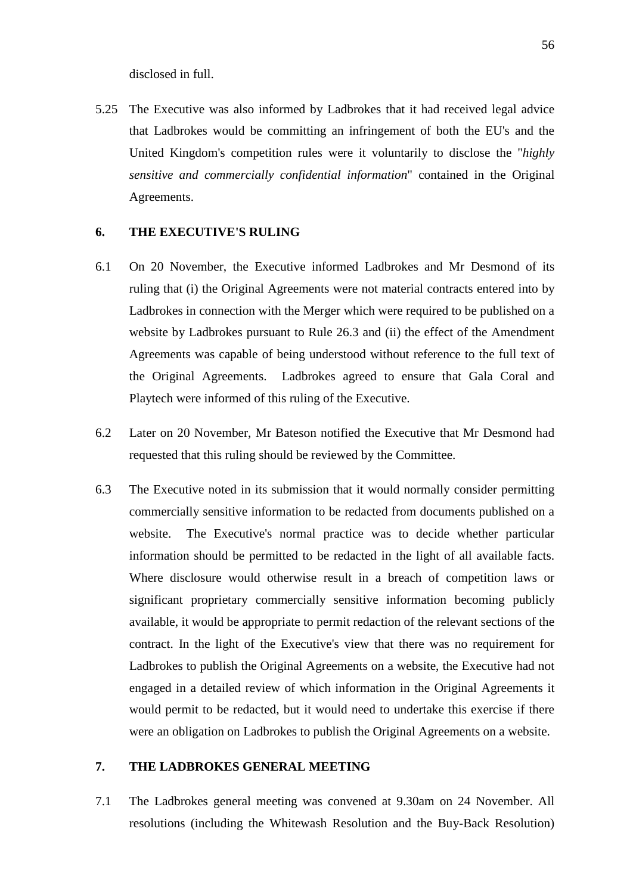disclosed in full.

5.25 The Executive was also informed by Ladbrokes that it had received legal advice that Ladbrokes would be committing an infringement of both the EU's and the United Kingdom's competition rules were it voluntarily to disclose the "*highly sensitive and commercially confidential information*" contained in the Original Agreements.

#### **6. THE EXECUTIVE'S RULING**

- 6.1 On 20 November, the Executive informed Ladbrokes and Mr Desmond of its ruling that (i) the Original Agreements were not material contracts entered into by Ladbrokes in connection with the Merger which were required to be published on a website by Ladbrokes pursuant to Rule 26.3 and (ii) the effect of the Amendment Agreements was capable of being understood without reference to the full text of the Original Agreements. Ladbrokes agreed to ensure that Gala Coral and Playtech were informed of this ruling of the Executive.
- 6.2 Later on 20 November, Mr Bateson notified the Executive that Mr Desmond had requested that this ruling should be reviewed by the Committee.
- 6.3 The Executive noted in its submission that it would normally consider permitting commercially sensitive information to be redacted from documents published on a website. The Executive's normal practice was to decide whether particular information should be permitted to be redacted in the light of all available facts. Where disclosure would otherwise result in a breach of competition laws or significant proprietary commercially sensitive information becoming publicly available, it would be appropriate to permit redaction of the relevant sections of the contract. In the light of the Executive's view that there was no requirement for Ladbrokes to publish the Original Agreements on a website, the Executive had not engaged in a detailed review of which information in the Original Agreements it would permit to be redacted, but it would need to undertake this exercise if there were an obligation on Ladbrokes to publish the Original Agreements on a website.

#### **7. THE LADBROKES GENERAL MEETING**

7.1 The Ladbrokes general meeting was convened at 9.30am on 24 November. All resolutions (including the Whitewash Resolution and the Buy-Back Resolution)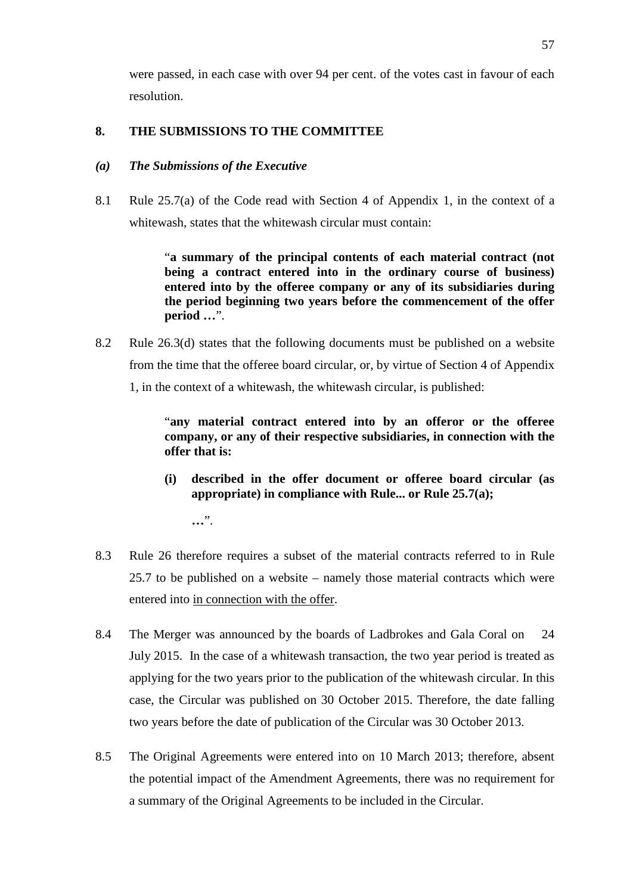were passed, in each case with over 94 per cent. of the votes cast in favour of each resolution.

## **8. THE SUBMISSIONS TO THE COMMITTEE**

### *(a) The Submissions of the Executive*

8.1 Rule 25.7(a) of the Code read with Section 4 of Appendix 1, in the context of a whitewash, states that the whitewash circular must contain:

> "**a summary of the principal contents of each material contract (not being a contract entered into in the ordinary course of business) entered into by the offeree company or any of its subsidiaries during the period beginning two years before the commencement of the offer period …**".

8.2 Rule 26.3(d) states that the following documents must be published on a website from the time that the offeree board circular, or, by virtue of Section 4 of Appendix 1, in the context of a whitewash, the whitewash circular, is published:

> "**any material contract entered into by an offeror or the offeree company, or any of their respective subsidiaries, in connection with the offer that is:**

> **(i) described in the offer document or offeree board circular (as appropriate) in compliance with Rule... or Rule 25.7(a);**

**…**".

- 8.3 Rule 26 therefore requires a subset of the material contracts referred to in Rule 25.7 to be published on a website – namely those material contracts which were entered into in connection with the offer.
- 8.4 The Merger was announced by the boards of Ladbrokes and Gala Coral on 24 July 2015. In the case of a whitewash transaction, the two year period is treated as applying for the two years prior to the publication of the whitewash circular. In this case, the Circular was published on 30 October 2015. Therefore, the date falling two years before the date of publication of the Circular was 30 October 2013.
- 8.5 The Original Agreements were entered into on 10 March 2013; therefore, absent the potential impact of the Amendment Agreements, there was no requirement for a summary of the Original Agreements to be included in the Circular.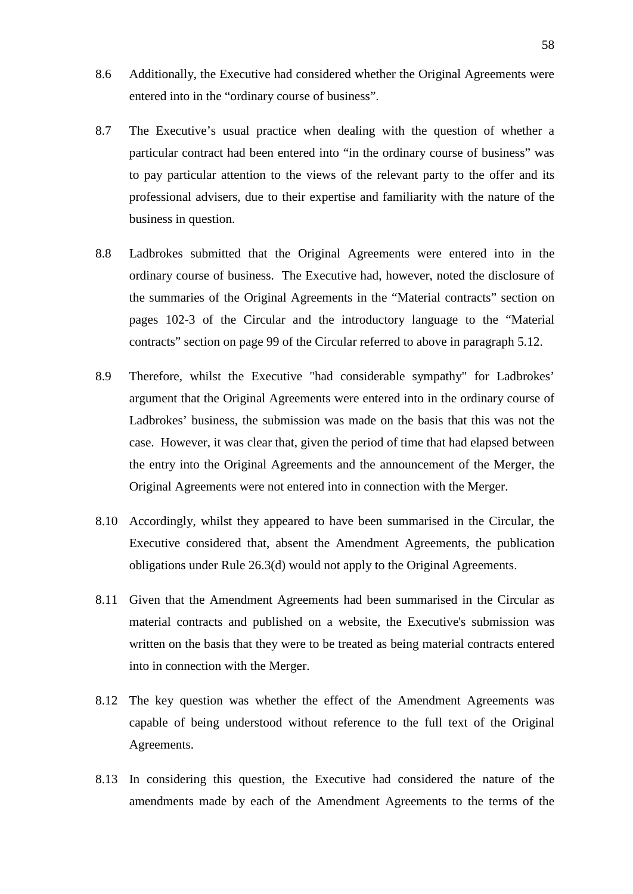- 8.6 Additionally, the Executive had considered whether the Original Agreements were entered into in the "ordinary course of business".
- 8.7 The Executive's usual practice when dealing with the question of whether a particular contract had been entered into "in the ordinary course of business" was to pay particular attention to the views of the relevant party to the offer and its professional advisers, due to their expertise and familiarity with the nature of the business in question.
- 8.8 Ladbrokes submitted that the Original Agreements were entered into in the ordinary course of business. The Executive had, however, noted the disclosure of the summaries of the Original Agreements in the "Material contracts" section on pages 102-3 of the Circular and the introductory language to the "Material contracts" section on page 99 of the Circular referred to above in paragraph 5.12.
- 8.9 Therefore, whilst the Executive "had considerable sympathy" for Ladbrokes' argument that the Original Agreements were entered into in the ordinary course of Ladbrokes' business, the submission was made on the basis that this was not the case. However, it was clear that, given the period of time that had elapsed between the entry into the Original Agreements and the announcement of the Merger, the Original Agreements were not entered into in connection with the Merger.
- 8.10 Accordingly, whilst they appeared to have been summarised in the Circular, the Executive considered that, absent the Amendment Agreements, the publication obligations under Rule 26.3(d) would not apply to the Original Agreements.
- 8.11 Given that the Amendment Agreements had been summarised in the Circular as material contracts and published on a website, the Executive's submission was written on the basis that they were to be treated as being material contracts entered into in connection with the Merger.
- 8.12 The key question was whether the effect of the Amendment Agreements was capable of being understood without reference to the full text of the Original Agreements.
- 8.13 In considering this question, the Executive had considered the nature of the amendments made by each of the Amendment Agreements to the terms of the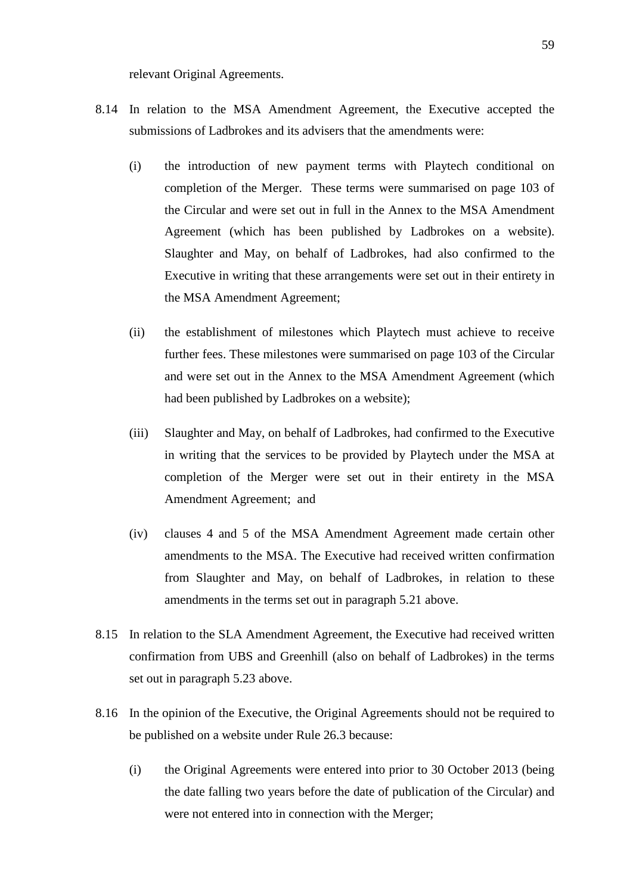relevant Original Agreements.

- 8.14 In relation to the MSA Amendment Agreement, the Executive accepted the submissions of Ladbrokes and its advisers that the amendments were:
	- (i) the introduction of new payment terms with Playtech conditional on completion of the Merger. These terms were summarised on page 103 of the Circular and were set out in full in the Annex to the MSA Amendment Agreement (which has been published by Ladbrokes on a website). Slaughter and May, on behalf of Ladbrokes, had also confirmed to the Executive in writing that these arrangements were set out in their entirety in the MSA Amendment Agreement;
	- (ii) the establishment of milestones which Playtech must achieve to receive further fees. These milestones were summarised on page 103 of the Circular and were set out in the Annex to the MSA Amendment Agreement (which had been published by Ladbrokes on a website);
	- (iii) Slaughter and May, on behalf of Ladbrokes, had confirmed to the Executive in writing that the services to be provided by Playtech under the MSA at completion of the Merger were set out in their entirety in the MSA Amendment Agreement; and
	- (iv) clauses 4 and 5 of the MSA Amendment Agreement made certain other amendments to the MSA. The Executive had received written confirmation from Slaughter and May, on behalf of Ladbrokes, in relation to these amendments in the terms set out in paragraph 5.21 above.
- 8.15 In relation to the SLA Amendment Agreement, the Executive had received written confirmation from UBS and Greenhill (also on behalf of Ladbrokes) in the terms set out in paragraph 5.23 above.
- 8.16 In the opinion of the Executive, the Original Agreements should not be required to be published on a website under Rule 26.3 because:
	- (i) the Original Agreements were entered into prior to 30 October 2013 (being the date falling two years before the date of publication of the Circular) and were not entered into in connection with the Merger;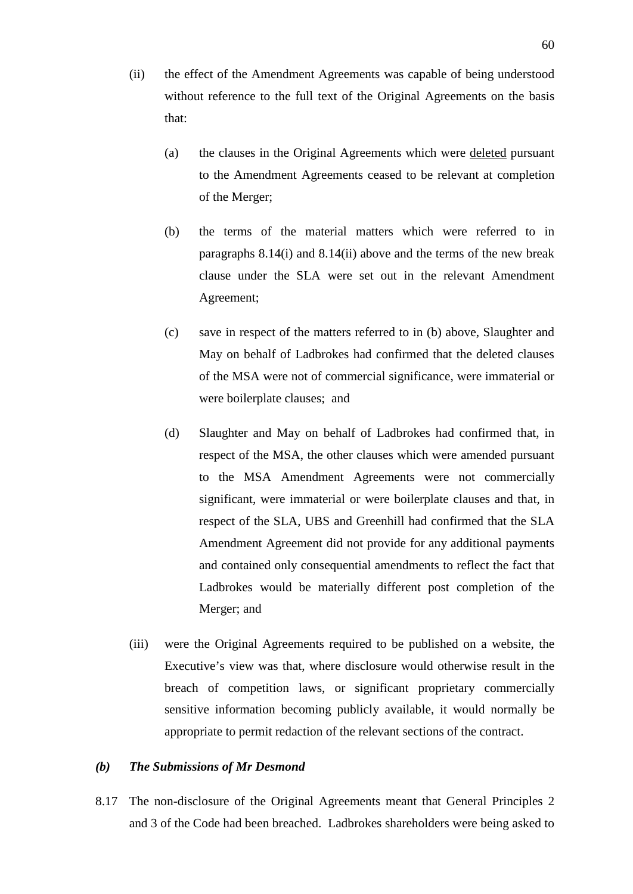- (ii) the effect of the Amendment Agreements was capable of being understood without reference to the full text of the Original Agreements on the basis that:
	- (a) the clauses in the Original Agreements which were deleted pursuant to the Amendment Agreements ceased to be relevant at completion of the Merger;
	- (b) the terms of the material matters which were referred to in paragraphs 8.14(i) and 8.14(ii) above and the terms of the new break clause under the SLA were set out in the relevant Amendment Agreement;
	- (c) save in respect of the matters referred to in (b) above, Slaughter and May on behalf of Ladbrokes had confirmed that the deleted clauses of the MSA were not of commercial significance, were immaterial or were boilerplate clauses; and
	- (d) Slaughter and May on behalf of Ladbrokes had confirmed that, in respect of the MSA, the other clauses which were amended pursuant to the MSA Amendment Agreements were not commercially significant, were immaterial or were boilerplate clauses and that, in respect of the SLA, UBS and Greenhill had confirmed that the SLA Amendment Agreement did not provide for any additional payments and contained only consequential amendments to reflect the fact that Ladbrokes would be materially different post completion of the Merger; and
- (iii) were the Original Agreements required to be published on a website, the Executive's view was that, where disclosure would otherwise result in the breach of competition laws, or significant proprietary commercially sensitive information becoming publicly available, it would normally be appropriate to permit redaction of the relevant sections of the contract.

#### *(b) The Submissions of Mr Desmond*

8.17 The non-disclosure of the Original Agreements meant that General Principles 2 and 3 of the Code had been breached. Ladbrokes shareholders were being asked to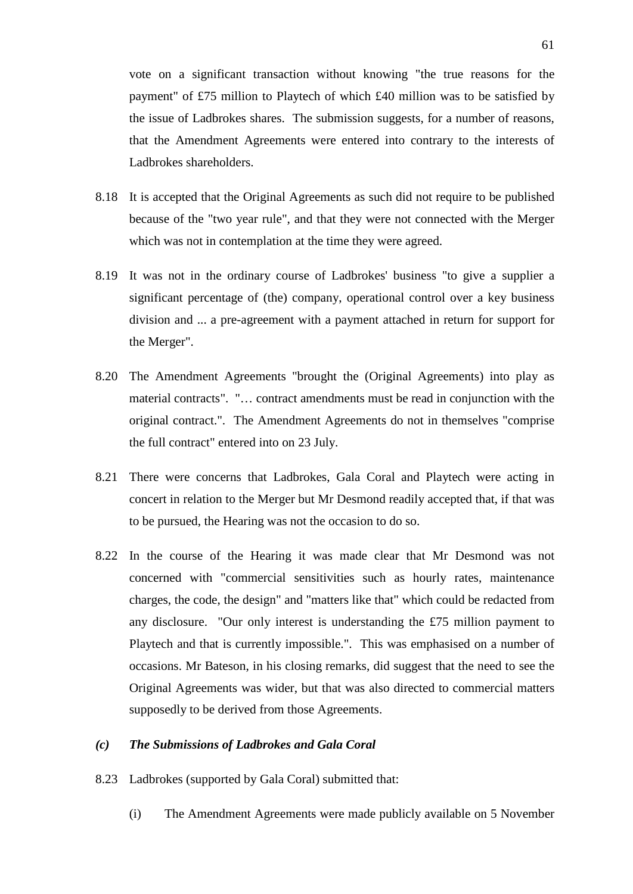vote on a significant transaction without knowing "the true reasons for the payment" of £75 million to Playtech of which £40 million was to be satisfied by the issue of Ladbrokes shares. The submission suggests, for a number of reasons, that the Amendment Agreements were entered into contrary to the interests of Ladbrokes shareholders.

- 8.18 It is accepted that the Original Agreements as such did not require to be published because of the "two year rule", and that they were not connected with the Merger which was not in contemplation at the time they were agreed.
- 8.19 It was not in the ordinary course of Ladbrokes' business "to give a supplier a significant percentage of (the) company, operational control over a key business division and ... a pre-agreement with a payment attached in return for support for the Merger".
- 8.20 The Amendment Agreements "brought the (Original Agreements) into play as material contracts". "… contract amendments must be read in conjunction with the original contract.". The Amendment Agreements do not in themselves "comprise the full contract" entered into on 23 July.
- 8.21 There were concerns that Ladbrokes, Gala Coral and Playtech were acting in concert in relation to the Merger but Mr Desmond readily accepted that, if that was to be pursued, the Hearing was not the occasion to do so.
- 8.22 In the course of the Hearing it was made clear that Mr Desmond was not concerned with "commercial sensitivities such as hourly rates, maintenance charges, the code, the design" and "matters like that" which could be redacted from any disclosure. "Our only interest is understanding the £75 million payment to Playtech and that is currently impossible.". This was emphasised on a number of occasions. Mr Bateson, in his closing remarks, did suggest that the need to see the Original Agreements was wider, but that was also directed to commercial matters supposedly to be derived from those Agreements.

#### *(c) The Submissions of Ladbrokes and Gala Coral*

- 8.23 Ladbrokes (supported by Gala Coral) submitted that:
	- (i) The Amendment Agreements were made publicly available on 5 November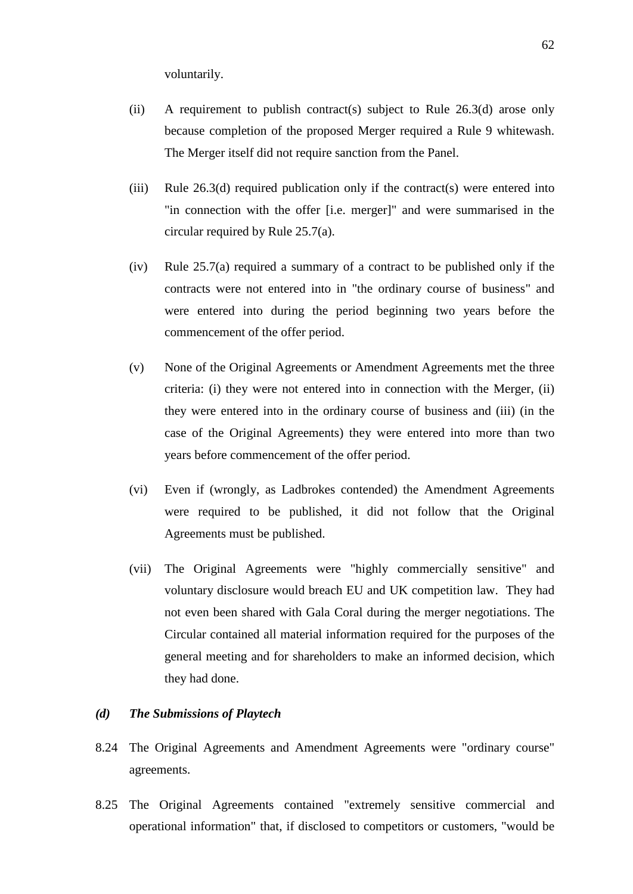voluntarily.

- (ii) A requirement to publish contract(s) subject to Rule 26.3(d) arose only because completion of the proposed Merger required a Rule 9 whitewash. The Merger itself did not require sanction from the Panel.
- (iii) Rule 26.3(d) required publication only if the contract(s) were entered into "in connection with the offer [i.e. merger]" and were summarised in the circular required by Rule 25.7(a).
- (iv) Rule 25.7(a) required a summary of a contract to be published only if the contracts were not entered into in "the ordinary course of business" and were entered into during the period beginning two years before the commencement of the offer period.
- (v) None of the Original Agreements or Amendment Agreements met the three criteria: (i) they were not entered into in connection with the Merger, (ii) they were entered into in the ordinary course of business and (iii) (in the case of the Original Agreements) they were entered into more than two years before commencement of the offer period.
- (vi) Even if (wrongly, as Ladbrokes contended) the Amendment Agreements were required to be published, it did not follow that the Original Agreements must be published.
- (vii) The Original Agreements were "highly commercially sensitive" and voluntary disclosure would breach EU and UK competition law. They had not even been shared with Gala Coral during the merger negotiations. The Circular contained all material information required for the purposes of the general meeting and for shareholders to make an informed decision, which they had done.

#### *(d) The Submissions of Playtech*

- 8.24 The Original Agreements and Amendment Agreements were "ordinary course" agreements.
- 8.25 The Original Agreements contained "extremely sensitive commercial and operational information" that, if disclosed to competitors or customers, "would be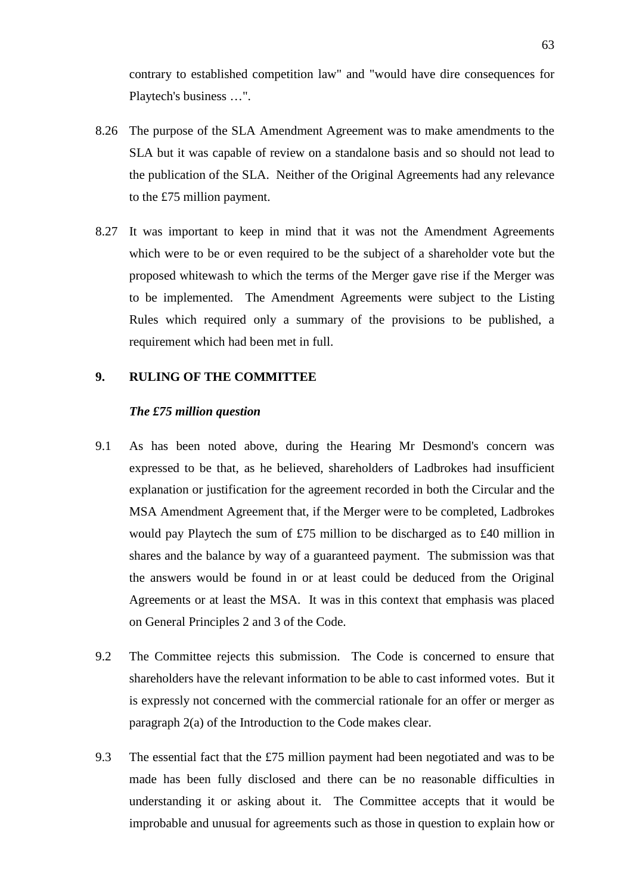contrary to established competition law" and "would have dire consequences for Playtech's business …".

- 8.26 The purpose of the SLA Amendment Agreement was to make amendments to the SLA but it was capable of review on a standalone basis and so should not lead to the publication of the SLA. Neither of the Original Agreements had any relevance to the £75 million payment.
- 8.27 It was important to keep in mind that it was not the Amendment Agreements which were to be or even required to be the subject of a shareholder vote but the proposed whitewash to which the terms of the Merger gave rise if the Merger was to be implemented. The Amendment Agreements were subject to the Listing Rules which required only a summary of the provisions to be published, a requirement which had been met in full.

#### **9. RULING OF THE COMMITTEE**

#### *The £75 million question*

- 9.1 As has been noted above, during the Hearing Mr Desmond's concern was expressed to be that, as he believed, shareholders of Ladbrokes had insufficient explanation or justification for the agreement recorded in both the Circular and the MSA Amendment Agreement that, if the Merger were to be completed, Ladbrokes would pay Playtech the sum of £75 million to be discharged as to £40 million in shares and the balance by way of a guaranteed payment. The submission was that the answers would be found in or at least could be deduced from the Original Agreements or at least the MSA. It was in this context that emphasis was placed on General Principles 2 and 3 of the Code.
- 9.2 The Committee rejects this submission. The Code is concerned to ensure that shareholders have the relevant information to be able to cast informed votes. But it is expressly not concerned with the commercial rationale for an offer or merger as paragraph 2(a) of the Introduction to the Code makes clear.
- 9.3 The essential fact that the £75 million payment had been negotiated and was to be made has been fully disclosed and there can be no reasonable difficulties in understanding it or asking about it. The Committee accepts that it would be improbable and unusual for agreements such as those in question to explain how or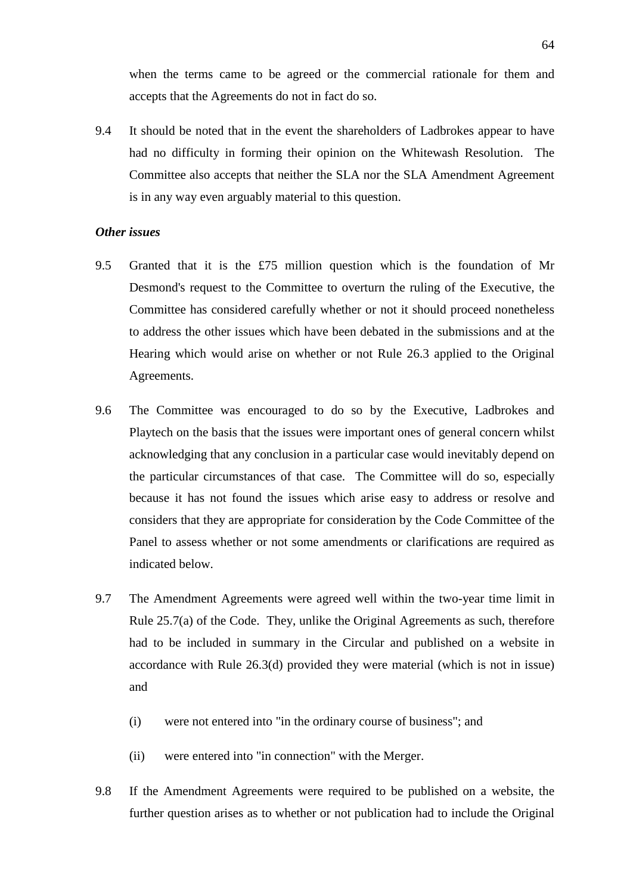when the terms came to be agreed or the commercial rationale for them and accepts that the Agreements do not in fact do so.

9.4 It should be noted that in the event the shareholders of Ladbrokes appear to have had no difficulty in forming their opinion on the Whitewash Resolution. The Committee also accepts that neither the SLA nor the SLA Amendment Agreement is in any way even arguably material to this question.

#### *Other issues*

- 9.5 Granted that it is the £75 million question which is the foundation of Mr Desmond's request to the Committee to overturn the ruling of the Executive, the Committee has considered carefully whether or not it should proceed nonetheless to address the other issues which have been debated in the submissions and at the Hearing which would arise on whether or not Rule 26.3 applied to the Original Agreements.
- 9.6 The Committee was encouraged to do so by the Executive, Ladbrokes and Playtech on the basis that the issues were important ones of general concern whilst acknowledging that any conclusion in a particular case would inevitably depend on the particular circumstances of that case. The Committee will do so, especially because it has not found the issues which arise easy to address or resolve and considers that they are appropriate for consideration by the Code Committee of the Panel to assess whether or not some amendments or clarifications are required as indicated below.
- 9.7 The Amendment Agreements were agreed well within the two-year time limit in Rule 25.7(a) of the Code. They, unlike the Original Agreements as such, therefore had to be included in summary in the Circular and published on a website in accordance with Rule 26.3(d) provided they were material (which is not in issue) and
	- (i) were not entered into "in the ordinary course of business"; and
	- (ii) were entered into "in connection" with the Merger.
- 9.8 If the Amendment Agreements were required to be published on a website, the further question arises as to whether or not publication had to include the Original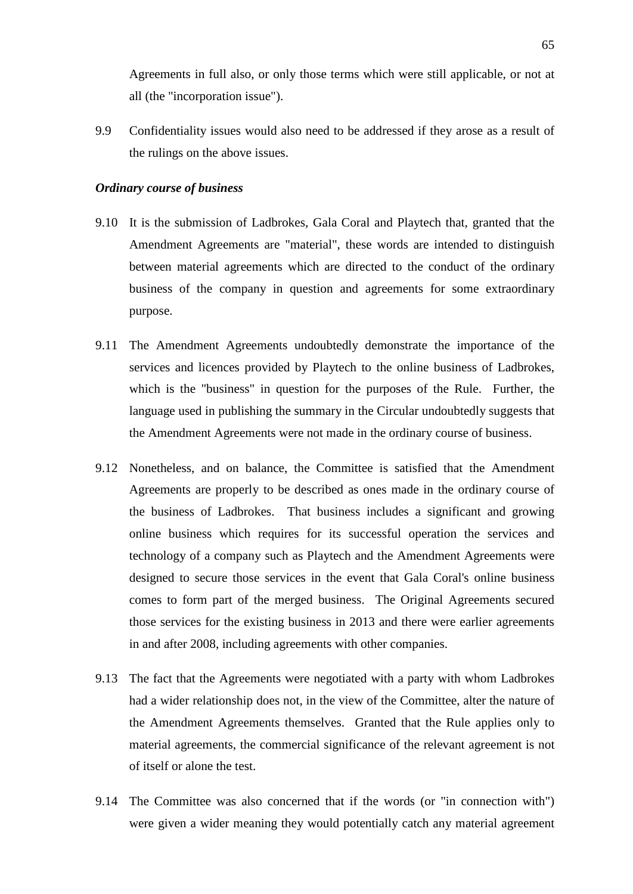Agreements in full also, or only those terms which were still applicable, or not at all (the "incorporation issue").

9.9 Confidentiality issues would also need to be addressed if they arose as a result of the rulings on the above issues.

### *Ordinary course of business*

- 9.10 It is the submission of Ladbrokes, Gala Coral and Playtech that, granted that the Amendment Agreements are "material", these words are intended to distinguish between material agreements which are directed to the conduct of the ordinary business of the company in question and agreements for some extraordinary purpose.
- 9.11 The Amendment Agreements undoubtedly demonstrate the importance of the services and licences provided by Playtech to the online business of Ladbrokes, which is the "business" in question for the purposes of the Rule. Further, the language used in publishing the summary in the Circular undoubtedly suggests that the Amendment Agreements were not made in the ordinary course of business.
- 9.12 Nonetheless, and on balance, the Committee is satisfied that the Amendment Agreements are properly to be described as ones made in the ordinary course of the business of Ladbrokes. That business includes a significant and growing online business which requires for its successful operation the services and technology of a company such as Playtech and the Amendment Agreements were designed to secure those services in the event that Gala Coral's online business comes to form part of the merged business. The Original Agreements secured those services for the existing business in 2013 and there were earlier agreements in and after 2008, including agreements with other companies.
- 9.13 The fact that the Agreements were negotiated with a party with whom Ladbrokes had a wider relationship does not, in the view of the Committee, alter the nature of the Amendment Agreements themselves. Granted that the Rule applies only to material agreements, the commercial significance of the relevant agreement is not of itself or alone the test.
- 9.14 The Committee was also concerned that if the words (or "in connection with") were given a wider meaning they would potentially catch any material agreement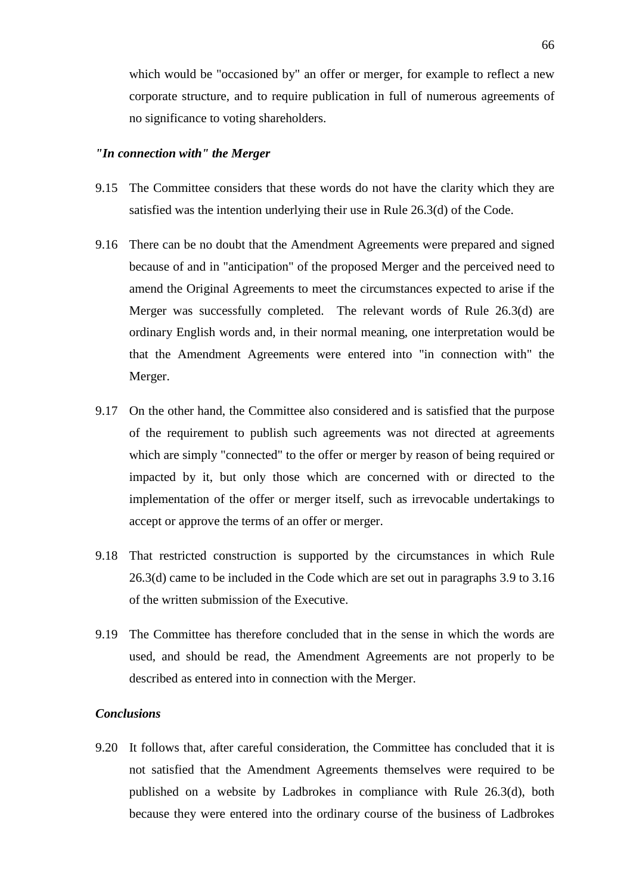which would be "occasioned by" an offer or merger, for example to reflect a new corporate structure, and to require publication in full of numerous agreements of no significance to voting shareholders.

#### *"In connection with" the Merger*

- 9.15 The Committee considers that these words do not have the clarity which they are satisfied was the intention underlying their use in Rule 26.3(d) of the Code.
- 9.16 There can be no doubt that the Amendment Agreements were prepared and signed because of and in "anticipation" of the proposed Merger and the perceived need to amend the Original Agreements to meet the circumstances expected to arise if the Merger was successfully completed. The relevant words of Rule 26.3(d) are ordinary English words and, in their normal meaning, one interpretation would be that the Amendment Agreements were entered into "in connection with" the Merger.
- 9.17 On the other hand, the Committee also considered and is satisfied that the purpose of the requirement to publish such agreements was not directed at agreements which are simply "connected" to the offer or merger by reason of being required or impacted by it, but only those which are concerned with or directed to the implementation of the offer or merger itself, such as irrevocable undertakings to accept or approve the terms of an offer or merger.
- 9.18 That restricted construction is supported by the circumstances in which Rule 26.3(d) came to be included in the Code which are set out in paragraphs 3.9 to 3.16 of the written submission of the Executive.
- 9.19 The Committee has therefore concluded that in the sense in which the words are used, and should be read, the Amendment Agreements are not properly to be described as entered into in connection with the Merger.

## *Conclusions*

9.20 It follows that, after careful consideration, the Committee has concluded that it is not satisfied that the Amendment Agreements themselves were required to be published on a website by Ladbrokes in compliance with Rule 26.3(d), both because they were entered into the ordinary course of the business of Ladbrokes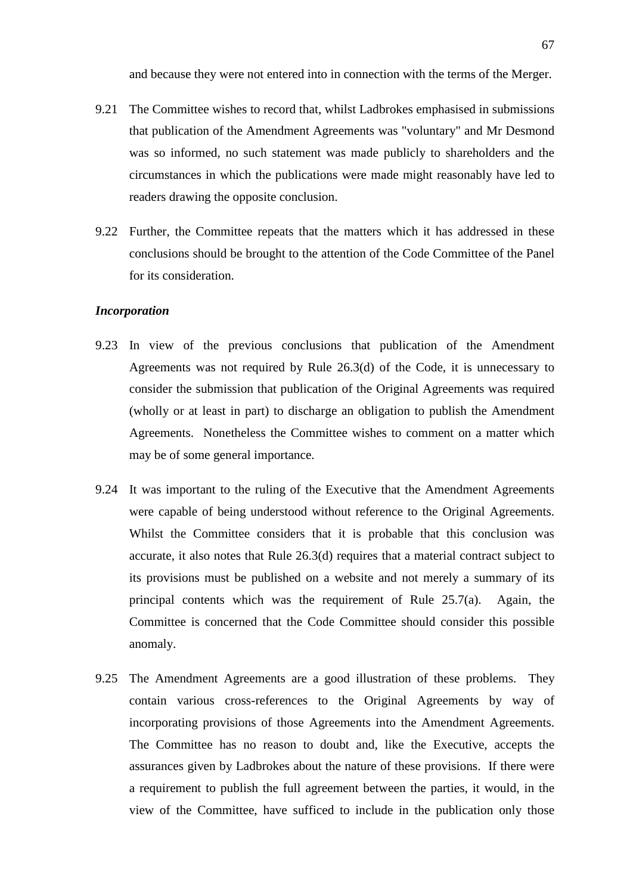and because they were not entered into in connection with the terms of the Merger.

- 9.21 The Committee wishes to record that, whilst Ladbrokes emphasised in submissions that publication of the Amendment Agreements was "voluntary" and Mr Desmond was so informed, no such statement was made publicly to shareholders and the circumstances in which the publications were made might reasonably have led to readers drawing the opposite conclusion.
- 9.22 Further, the Committee repeats that the matters which it has addressed in these conclusions should be brought to the attention of the Code Committee of the Panel for its consideration.

#### *Incorporation*

- 9.23 In view of the previous conclusions that publication of the Amendment Agreements was not required by Rule 26.3(d) of the Code, it is unnecessary to consider the submission that publication of the Original Agreements was required (wholly or at least in part) to discharge an obligation to publish the Amendment Agreements. Nonetheless the Committee wishes to comment on a matter which may be of some general importance.
- 9.24 It was important to the ruling of the Executive that the Amendment Agreements were capable of being understood without reference to the Original Agreements. Whilst the Committee considers that it is probable that this conclusion was accurate, it also notes that Rule 26.3(d) requires that a material contract subject to its provisions must be published on a website and not merely a summary of its principal contents which was the requirement of Rule 25.7(a). Again, the Committee is concerned that the Code Committee should consider this possible anomaly.
- 9.25 The Amendment Agreements are a good illustration of these problems. They contain various cross-references to the Original Agreements by way of incorporating provisions of those Agreements into the Amendment Agreements. The Committee has no reason to doubt and, like the Executive, accepts the assurances given by Ladbrokes about the nature of these provisions. If there were a requirement to publish the full agreement between the parties, it would, in the view of the Committee, have sufficed to include in the publication only those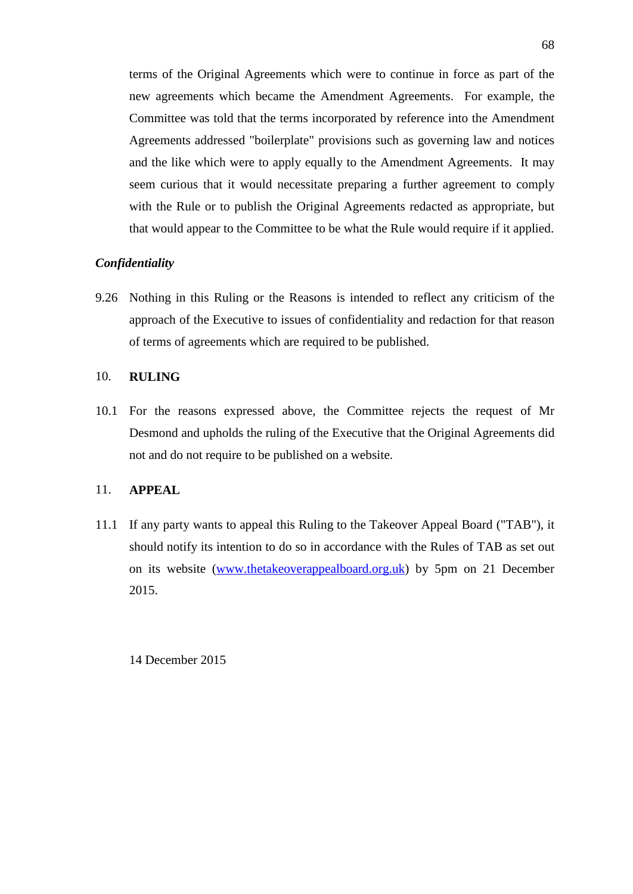terms of the Original Agreements which were to continue in force as part of the new agreements which became the Amendment Agreements. For example, the Committee was told that the terms incorporated by reference into the Amendment Agreements addressed "boilerplate" provisions such as governing law and notices and the like which were to apply equally to the Amendment Agreements. It may seem curious that it would necessitate preparing a further agreement to comply with the Rule or to publish the Original Agreements redacted as appropriate, but that would appear to the Committee to be what the Rule would require if it applied.

## *Confidentiality*

9.26 Nothing in this Ruling or the Reasons is intended to reflect any criticism of the approach of the Executive to issues of confidentiality and redaction for that reason of terms of agreements which are required to be published.

### 10. **RULING**

10.1 For the reasons expressed above, the Committee rejects the request of Mr Desmond and upholds the ruling of the Executive that the Original Agreements did not and do not require to be published on a website.

### 11. **APPEAL**

11.1 If any party wants to appeal this Ruling to the Takeover Appeal Board ("TAB"), it should notify its intention to do so in accordance with the Rules of TAB as set out on its website [\(www.thetakeoverappealboard.org.uk\)](http://www.thetakeoverapealboard.or.uk/) by 5pm on 21 December 2015.

14 December 2015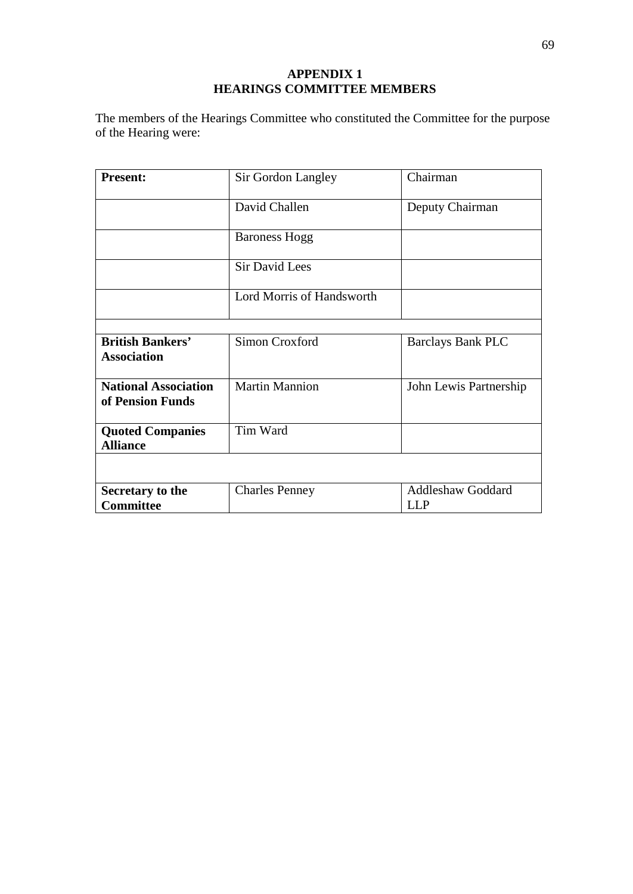## **APPENDIX 1 HEARINGS COMMITTEE MEMBERS**

The members of the Hearings Committee who constituted the Committee for the purpose of the Hearing were:

| <b>Present:</b>                                 | Sir Gordon Langley        | Chairman                 |
|-------------------------------------------------|---------------------------|--------------------------|
|                                                 | David Challen             | Deputy Chairman          |
|                                                 | <b>Baroness Hogg</b>      |                          |
|                                                 | <b>Sir David Lees</b>     |                          |
|                                                 | Lord Morris of Handsworth |                          |
|                                                 |                           |                          |
| <b>British Bankers'</b><br><b>Association</b>   | Simon Croxford            | <b>Barclays Bank PLC</b> |
| <b>National Association</b><br>of Pension Funds | <b>Martin Mannion</b>     | John Lewis Partnership   |
| <b>Quoted Companies</b><br><b>Alliance</b>      | Tim Ward                  |                          |
|                                                 |                           |                          |
| Secretary to the                                | <b>Charles Penney</b>     | <b>Addleshaw Goddard</b> |
| <b>Committee</b>                                |                           | LL P                     |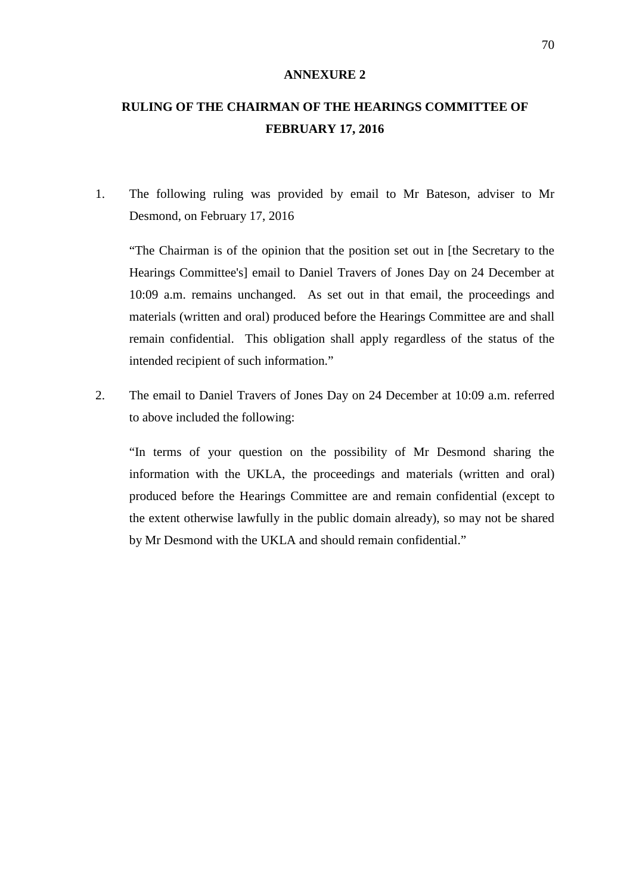#### **ANNEXURE 2**

# **RULING OF THE CHAIRMAN OF THE HEARINGS COMMITTEE OF FEBRUARY 17, 2016**

1. The following ruling was provided by email to Mr Bateson, adviser to Mr Desmond, on February 17, 2016

"The Chairman is of the opinion that the position set out in [the Secretary to the Hearings Committee's] email to Daniel Travers of Jones Day on 24 December at 10:09 a.m. remains unchanged. As set out in that email, the proceedings and materials (written and oral) produced before the Hearings Committee are and shall remain confidential. This obligation shall apply regardless of the status of the intended recipient of such information."

2. The email to Daniel Travers of Jones Day on 24 December at 10:09 a.m. referred to above included the following:

"In terms of your question on the possibility of Mr Desmond sharing the information with the UKLA, the proceedings and materials (written and oral) produced before the Hearings Committee are and remain confidential (except to the extent otherwise lawfully in the public domain already), so may not be shared by Mr Desmond with the UKLA and should remain confidential."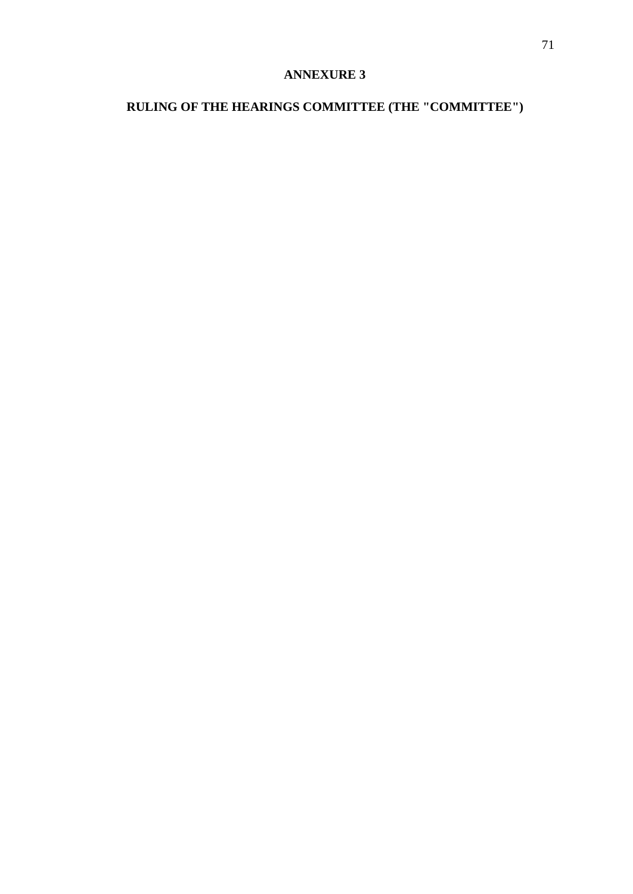## **ANNEXURE 3**

# **RULING OF THE HEARINGS COMMITTEE (THE "COMMITTEE")**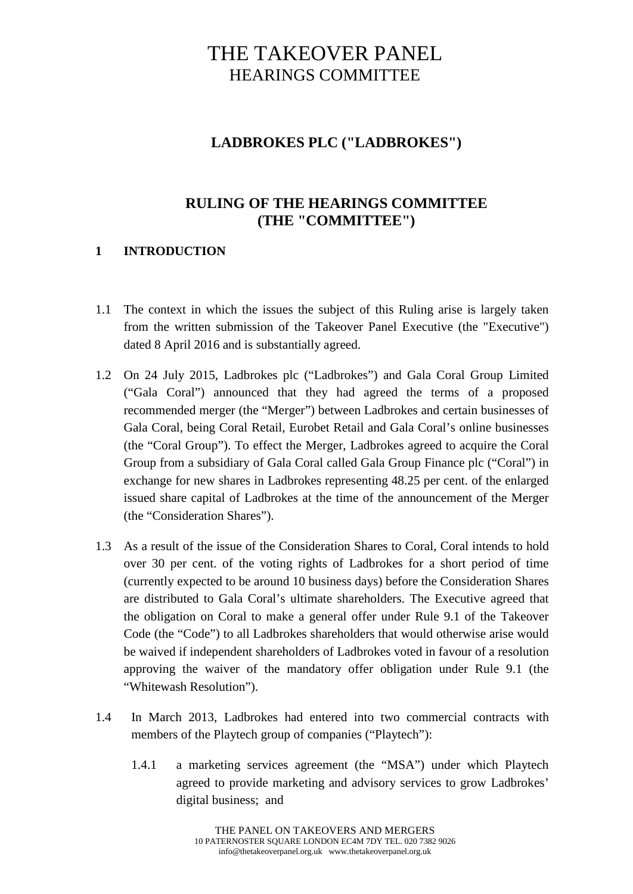# THE TAKEOVER PANEL HEARINGS COMMITTEE

## **LADBROKES PLC ("LADBROKES")**

## **RULING OF THE HEARINGS COMMITTEE (THE "COMMITTEE")**

## **1 INTRODUCTION**

- 1.1 The context in which the issues the subject of this Ruling arise is largely taken from the written submission of the Takeover Panel Executive (the "Executive") dated 8 April 2016 and is substantially agreed.
- 1.2 On 24 July 2015, Ladbrokes plc ("Ladbrokes") and Gala Coral Group Limited ("Gala Coral") announced that they had agreed the terms of a proposed recommended merger (the "Merger") between Ladbrokes and certain businesses of Gala Coral, being Coral Retail, Eurobet Retail and Gala Coral's online businesses (the "Coral Group"). To effect the Merger, Ladbrokes agreed to acquire the Coral Group from a subsidiary of Gala Coral called Gala Group Finance plc ("Coral") in exchange for new shares in Ladbrokes representing 48.25 per cent. of the enlarged issued share capital of Ladbrokes at the time of the announcement of the Merger (the "Consideration Shares").
- 1.3 As a result of the issue of the Consideration Shares to Coral, Coral intends to hold over 30 per cent. of the voting rights of Ladbrokes for a short period of time (currently expected to be around 10 business days) before the Consideration Shares are distributed to Gala Coral's ultimate shareholders. The Executive agreed that the obligation on Coral to make a general offer under Rule 9.1 of the Takeover Code (the "Code") to all Ladbrokes shareholders that would otherwise arise would be waived if independent shareholders of Ladbrokes voted in favour of a resolution approving the waiver of the mandatory offer obligation under Rule 9.1 (the "Whitewash Resolution").
- 1.4 In March 2013, Ladbrokes had entered into two commercial contracts with members of the Playtech group of companies ("Playtech"):
	- 1.4.1 a marketing services agreement (the "MSA") under which Playtech agreed to provide marketing and advisory services to grow Ladbrokes' digital business; and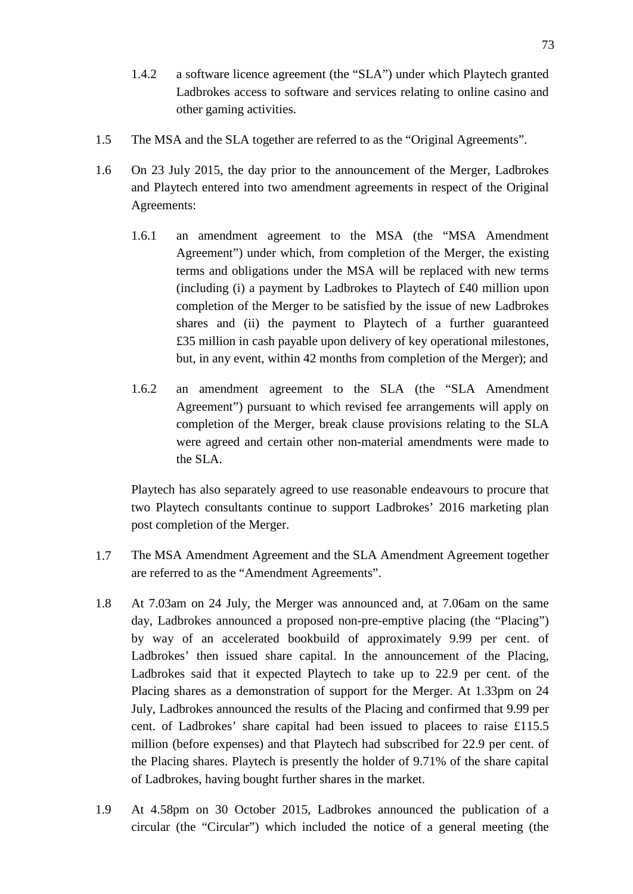- 1.4.2 a software licence agreement (the "SLA") under which Playtech granted Ladbrokes access to software and services relating to online casino and other gaming activities.
- 1.5 The MSA and the SLA together are referred to as the "Original Agreements".
- 1.6 On 23 July 2015, the day prior to the announcement of the Merger, Ladbrokes and Playtech entered into two amendment agreements in respect of the Original Agreements:
	- 1.6.1 an amendment agreement to the MSA (the "MSA Amendment Agreement") under which, from completion of the Merger, the existing terms and obligations under the MSA will be replaced with new terms (including (i) a payment by Ladbrokes to Playtech of £40 million upon completion of the Merger to be satisfied by the issue of new Ladbrokes shares and (ii) the payment to Playtech of a further guaranteed £35 million in cash payable upon delivery of key operational milestones, but, in any event, within 42 months from completion of the Merger); and
	- 1.6.2 an amendment agreement to the SLA (the "SLA Amendment Agreement") pursuant to which revised fee arrangements will apply on completion of the Merger, break clause provisions relating to the SLA were agreed and certain other non-material amendments were made to the SLA.

Playtech has also separately agreed to use reasonable endeavours to procure that two Playtech consultants continue to support Ladbrokes' 2016 marketing plan post completion of the Merger.

- 1.7 The MSA Amendment Agreement and the SLA Amendment Agreement together are referred to as the "Amendment Agreements".
- 1.8 At 7.03am on 24 July, the Merger was announced and, at 7.06am on the same day, Ladbrokes announced a proposed non-pre-emptive placing (the "Placing") by way of an accelerated bookbuild of approximately 9.99 per cent. of Ladbrokes' then issued share capital. In the announcement of the Placing, Ladbrokes said that it expected Playtech to take up to 22.9 per cent. of the Placing shares as a demonstration of support for the Merger. At 1.33pm on 24 July, Ladbrokes announced the results of the Placing and confirmed that 9.99 per cent. of Ladbrokes' share capital had been issued to placees to raise £115.5 million (before expenses) and that Playtech had subscribed for 22.9 per cent. of the Placing shares. Playtech is presently the holder of 9.71% of the share capital of Ladbrokes, having bought further shares in the market.
- 1.9 At 4.58pm on 30 October 2015, Ladbrokes announced the publication of a circular (the "Circular") which included the notice of a general meeting (the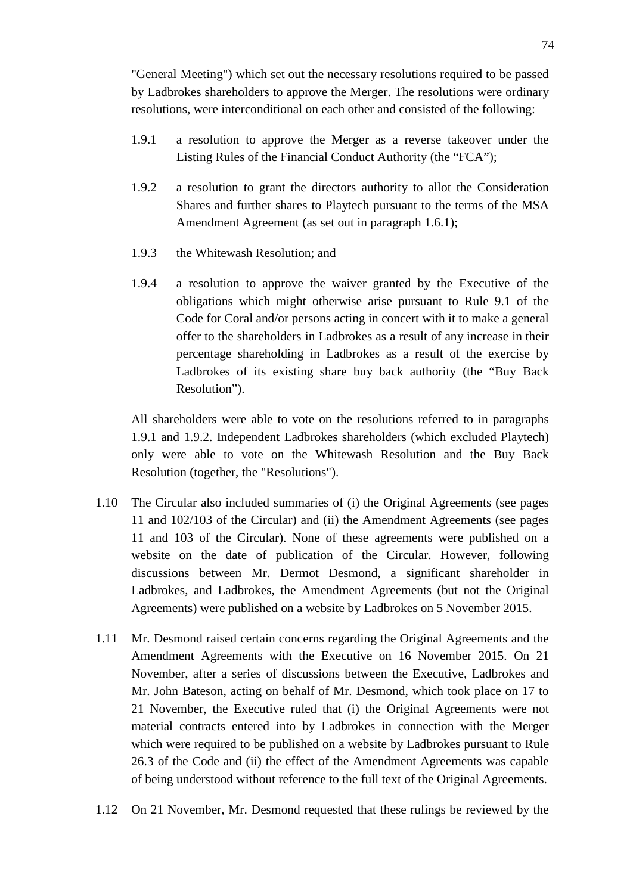"General Meeting") which set out the necessary resolutions required to be passed by Ladbrokes shareholders to approve the Merger. The resolutions were ordinary resolutions, were interconditional on each other and consisted of the following:

- 1.9.1 a resolution to approve the Merger as a reverse takeover under the Listing Rules of the Financial Conduct Authority (the "FCA");
- 1.9.2 a resolution to grant the directors authority to allot the Consideration Shares and further shares to Playtech pursuant to the terms of the MSA Amendment Agreement (as set out in paragraph 1.6.1);
- 1.9.3 the Whitewash Resolution; and
- 1.9.4 a resolution to approve the waiver granted by the Executive of the obligations which might otherwise arise pursuant to Rule 9.1 of the Code for Coral and/or persons acting in concert with it to make a general offer to the shareholders in Ladbrokes as a result of any increase in their percentage shareholding in Ladbrokes as a result of the exercise by Ladbrokes of its existing share buy back authority (the "Buy Back Resolution").

All shareholders were able to vote on the resolutions referred to in paragraphs 1.9.1 and 1.9.2. Independent Ladbrokes shareholders (which excluded Playtech) only were able to vote on the Whitewash Resolution and the Buy Back Resolution (together, the "Resolutions").

- 1.10 The Circular also included summaries of (i) the Original Agreements (see pages 11 and 102/103 of the Circular) and (ii) the Amendment Agreements (see pages 11 and 103 of the Circular). None of these agreements were published on a website on the date of publication of the Circular. However, following discussions between Mr. Dermot Desmond, a significant shareholder in Ladbrokes, and Ladbrokes, the Amendment Agreements (but not the Original Agreements) were published on a website by Ladbrokes on 5 November 2015.
- 1.11 Mr. Desmond raised certain concerns regarding the Original Agreements and the Amendment Agreements with the Executive on 16 November 2015. On 21 November, after a series of discussions between the Executive, Ladbrokes and Mr. John Bateson, acting on behalf of Mr. Desmond, which took place on 17 to 21 November, the Executive ruled that (i) the Original Agreements were not material contracts entered into by Ladbrokes in connection with the Merger which were required to be published on a website by Ladbrokes pursuant to Rule 26.3 of the Code and (ii) the effect of the Amendment Agreements was capable of being understood without reference to the full text of the Original Agreements.
- 1.12 On 21 November, Mr. Desmond requested that these rulings be reviewed by the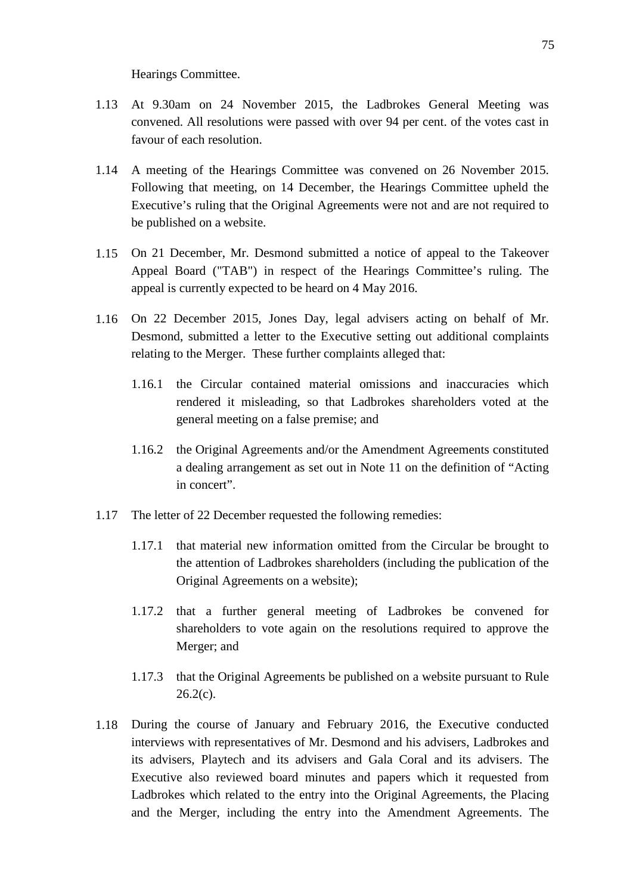#### Hearings Committee.

- 1.13 At 9.30am on 24 November 2015, the Ladbrokes General Meeting was convened. All resolutions were passed with over 94 per cent. of the votes cast in favour of each resolution.
- 1.14 A meeting of the Hearings Committee was convened on 26 November 2015. Following that meeting, on 14 December, the Hearings Committee upheld the Executive's ruling that the Original Agreements were not and are not required to be published on a website.
- 1.15 On 21 December, Mr. Desmond submitted a notice of appeal to the Takeover Appeal Board ("TAB") in respect of the Hearings Committee's ruling. The appeal is currently expected to be heard on 4 May 2016.
- 1.16 On 22 December 2015, Jones Day, legal advisers acting on behalf of Mr. Desmond, submitted a letter to the Executive setting out additional complaints relating to the Merger. These further complaints alleged that:
	- 1.16.1 the Circular contained material omissions and inaccuracies which rendered it misleading, so that Ladbrokes shareholders voted at the general meeting on a false premise; and
	- 1.16.2 the Original Agreements and/or the Amendment Agreements constituted a dealing arrangement as set out in Note 11 on the definition of "Acting in concert".
- 1.17 The letter of 22 December requested the following remedies:
	- 1.17.1 that material new information omitted from the Circular be brought to the attention of Ladbrokes shareholders (including the publication of the Original Agreements on a website);
	- 1.17.2 that a further general meeting of Ladbrokes be convened for shareholders to vote again on the resolutions required to approve the Merger; and
	- 1.17.3 that the Original Agreements be published on a website pursuant to Rule  $26.2(c)$ .
- 1.18 During the course of January and February 2016, the Executive conducted interviews with representatives of Mr. Desmond and his advisers, Ladbrokes and its advisers, Playtech and its advisers and Gala Coral and its advisers. The Executive also reviewed board minutes and papers which it requested from Ladbrokes which related to the entry into the Original Agreements, the Placing and the Merger, including the entry into the Amendment Agreements. The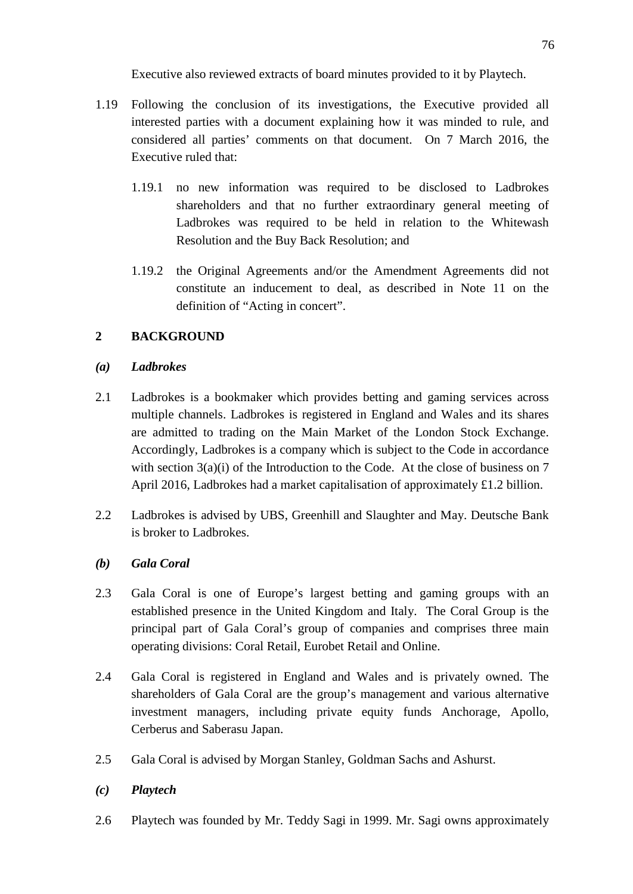Executive also reviewed extracts of board minutes provided to it by Playtech.

- 1.19 Following the conclusion of its investigations, the Executive provided all interested parties with a document explaining how it was minded to rule, and considered all parties' comments on that document. On 7 March 2016, the Executive ruled that:
	- 1.19.1 no new information was required to be disclosed to Ladbrokes shareholders and that no further extraordinary general meeting of Ladbrokes was required to be held in relation to the Whitewash Resolution and the Buy Back Resolution; and
	- 1.19.2 the Original Agreements and/or the Amendment Agreements did not constitute an inducement to deal, as described in Note 11 on the definition of "Acting in concert".

# **2 BACKGROUND**

## *(a) Ladbrokes*

- 2.1 Ladbrokes is a bookmaker which provides betting and gaming services across multiple channels. Ladbrokes is registered in England and Wales and its shares are admitted to trading on the Main Market of the London Stock Exchange. Accordingly, Ladbrokes is a company which is subject to the Code in accordance with section  $3(a)(i)$  of the Introduction to the Code. At the close of business on 7 April 2016, Ladbrokes had a market capitalisation of approximately £1.2 billion.
- 2.2 Ladbrokes is advised by UBS, Greenhill and Slaughter and May. Deutsche Bank is broker to Ladbrokes.

# *(b) Gala Coral*

- 2.3 Gala Coral is one of Europe's largest betting and gaming groups with an established presence in the United Kingdom and Italy. The Coral Group is the principal part of Gala Coral's group of companies and comprises three main operating divisions: Coral Retail, Eurobet Retail and Online.
- 2.4 Gala Coral is registered in England and Wales and is privately owned. The shareholders of Gala Coral are the group's management and various alternative investment managers, including private equity funds Anchorage, Apollo, Cerberus and Saberasu Japan.
- 2.5 Gala Coral is advised by Morgan Stanley, Goldman Sachs and Ashurst.

# *(c) Playtech*

2.6 Playtech was founded by Mr. Teddy Sagi in 1999. Mr. Sagi owns approximately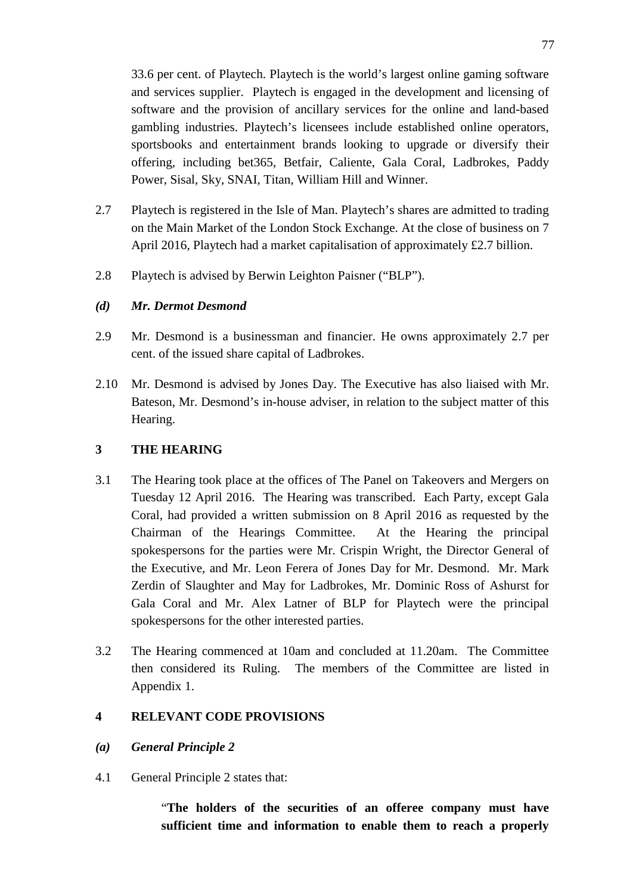33.6 per cent. of Playtech. Playtech is the world's largest online gaming software and services supplier. Playtech is engaged in the development and licensing of software and the provision of ancillary services for the online and land-based gambling industries. Playtech's licensees include established online operators, sportsbooks and entertainment brands looking to upgrade or diversify their offering, including bet365, Betfair, Caliente, Gala Coral, Ladbrokes, Paddy Power, Sisal, Sky, SNAI, Titan, William Hill and Winner.

- 2.7 Playtech is registered in the Isle of Man. Playtech's shares are admitted to trading on the Main Market of the London Stock Exchange. At the close of business on 7 April 2016, Playtech had a market capitalisation of approximately £2.7 billion.
- 2.8 Playtech is advised by Berwin Leighton Paisner ("BLP").

## *(d) Mr. Dermot Desmond*

- 2.9 Mr. Desmond is a businessman and financier. He owns approximately 2.7 per cent. of the issued share capital of Ladbrokes.
- 2.10 Mr. Desmond is advised by Jones Day. The Executive has also liaised with Mr. Bateson, Mr. Desmond's in-house adviser, in relation to the subject matter of this Hearing.

## **3 THE HEARING**

- 3.1 The Hearing took place at the offices of The Panel on Takeovers and Mergers on Tuesday 12 April 2016. The Hearing was transcribed. Each Party, except Gala Coral, had provided a written submission on 8 April 2016 as requested by the Chairman of the Hearings Committee. At the Hearing the principal spokespersons for the parties were Mr. Crispin Wright, the Director General of the Executive, and Mr. Leon Ferera of Jones Day for Mr. Desmond. Mr. Mark Zerdin of Slaughter and May for Ladbrokes, Mr. Dominic Ross of Ashurst for Gala Coral and Mr. Alex Latner of BLP for Playtech were the principal spokespersons for the other interested parties.
- 3.2 The Hearing commenced at 10am and concluded at 11.20am. The Committee then considered its Ruling. The members of the Committee are listed in Appendix 1.

## **4 RELEVANT CODE PROVISIONS**

### *(a) General Principle 2*

4.1 General Principle 2 states that:

"**The holders of the securities of an offeree company must have sufficient time and information to enable them to reach a properly**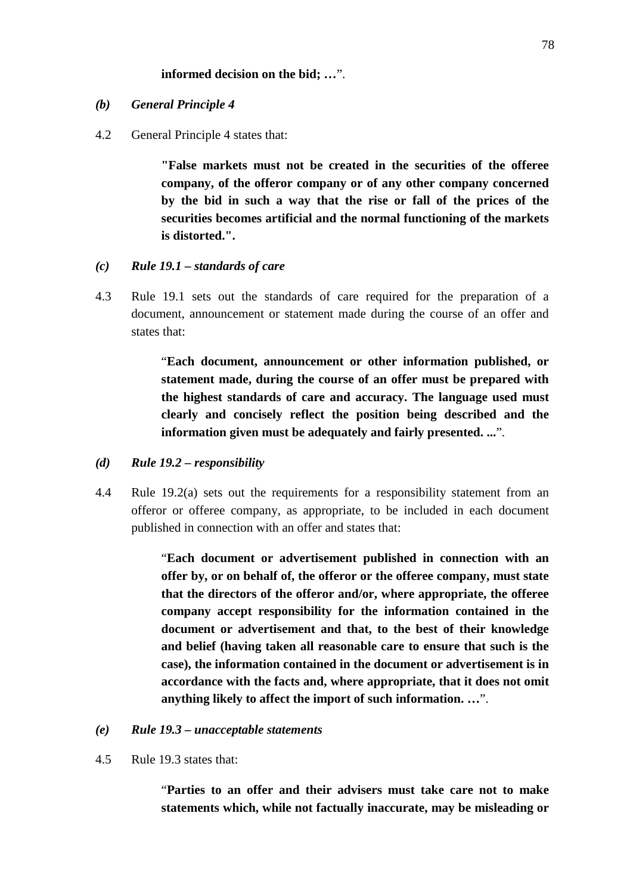### **informed decision on the bid; …**".

#### *(b) General Principle 4*

4.2 General Principle 4 states that:

**"False markets must not be created in the securities of the offeree company, of the offeror company or of any other company concerned by the bid in such a way that the rise or fall of the prices of the securities becomes artificial and the normal functioning of the markets is distorted.".**

- *(c) Rule 19.1 – standards of care*
- 4.3 Rule 19.1 sets out the standards of care required for the preparation of a document, announcement or statement made during the course of an offer and states that:

"**Each document, announcement or other information published, or statement made, during the course of an offer must be prepared with the highest standards of care and accuracy. The language used must clearly and concisely reflect the position being described and the information given must be adequately and fairly presented. ...**".

- *(d) Rule 19.2 – responsibility*
- 4.4 Rule 19.2(a) sets out the requirements for a responsibility statement from an offeror or offeree company, as appropriate, to be included in each document published in connection with an offer and states that:

"**Each document or advertisement published in connection with an offer by, or on behalf of, the offeror or the offeree company, must state that the directors of the offeror and/or, where appropriate, the offeree company accept responsibility for the information contained in the document or advertisement and that, to the best of their knowledge and belief (having taken all reasonable care to ensure that such is the case), the information contained in the document or advertisement is in accordance with the facts and, where appropriate, that it does not omit anything likely to affect the import of such information. …**".

#### *(e) Rule 19.3 – unacceptable statements*

4.5 Rule 19.3 states that:

"**Parties to an offer and their advisers must take care not to make statements which, while not factually inaccurate, may be misleading or**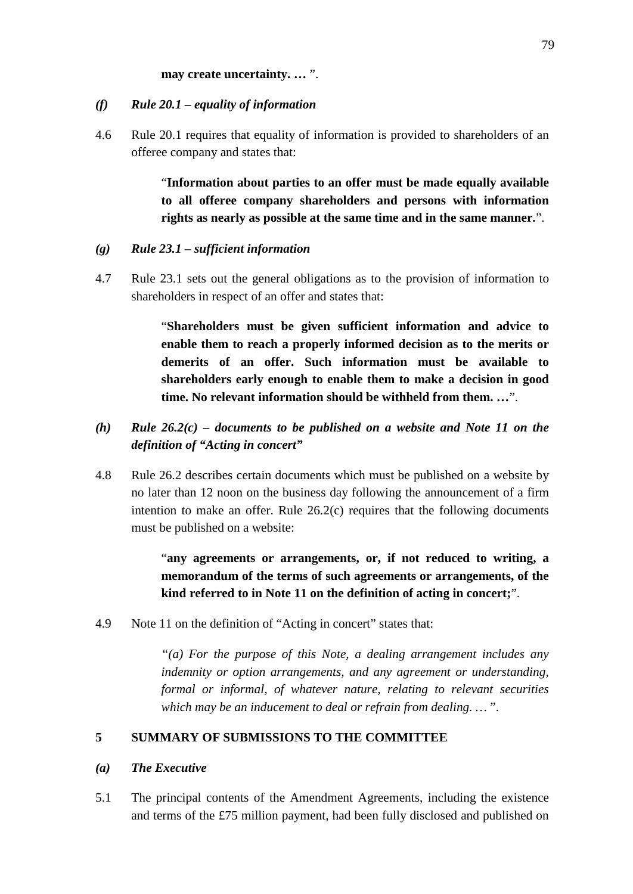#### **may create uncertainty. …** ".

#### *(f) Rule 20.1 – equality of information*

4.6 Rule 20.1 requires that equality of information is provided to shareholders of an offeree company and states that:

> "**Information about parties to an offer must be made equally available to all offeree company shareholders and persons with information rights as nearly as possible at the same time and in the same manner.**".

#### *(g) Rule 23.1 – sufficient information*

4.7 Rule 23.1 sets out the general obligations as to the provision of information to shareholders in respect of an offer and states that:

> "**Shareholders must be given sufficient information and advice to enable them to reach a properly informed decision as to the merits or demerits of an offer. Such information must be available to shareholders early enough to enable them to make a decision in good time. No relevant information should be withheld from them. …**".

- *(h) Rule 26.2(c) – documents to be published on a website and Note 11 on the definition of "Acting in concert"*
- 4.8 Rule 26.2 describes certain documents which must be published on a website by no later than 12 noon on the business day following the announcement of a firm intention to make an offer. Rule  $26.2(c)$  requires that the following documents must be published on a website:

"**any agreements or arrangements, or, if not reduced to writing, a memorandum of the terms of such agreements or arrangements, of the kind referred to in Note 11 on the definition of acting in concert;**".

4.9 Note 11 on the definition of "Acting in concert" states that:

*"(a) For the purpose of this Note, a dealing arrangement includes any indemnity or option arrangements, and any agreement or understanding, formal or informal, of whatever nature, relating to relevant securities which may be an inducement to deal or refrain from dealing. …* ".

### **5 SUMMARY OF SUBMISSIONS TO THE COMMITTEE**

### *(a) The Executive*

5.1 The principal contents of the Amendment Agreements, including the existence and terms of the £75 million payment, had been fully disclosed and published on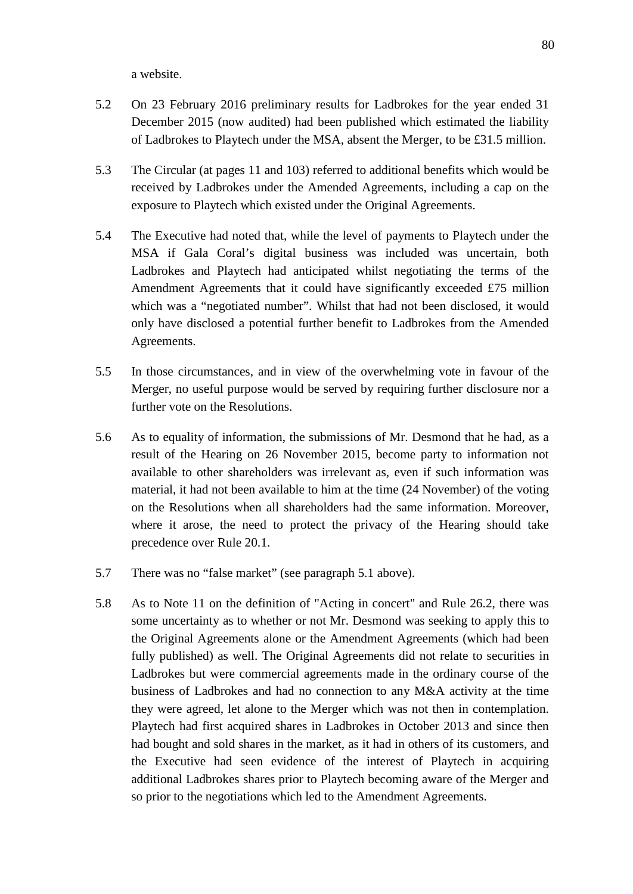a website.

- 5.2 On 23 February 2016 preliminary results for Ladbrokes for the year ended 31 December 2015 (now audited) had been published which estimated the liability of Ladbrokes to Playtech under the MSA, absent the Merger, to be £31.5 million.
- 5.3 The Circular (at pages 11 and 103) referred to additional benefits which would be received by Ladbrokes under the Amended Agreements, including a cap on the exposure to Playtech which existed under the Original Agreements.
- 5.4 The Executive had noted that, while the level of payments to Playtech under the MSA if Gala Coral's digital business was included was uncertain, both Ladbrokes and Playtech had anticipated whilst negotiating the terms of the Amendment Agreements that it could have significantly exceeded £75 million which was a "negotiated number". Whilst that had not been disclosed, it would only have disclosed a potential further benefit to Ladbrokes from the Amended Agreements.
- 5.5 In those circumstances, and in view of the overwhelming vote in favour of the Merger, no useful purpose would be served by requiring further disclosure nor a further vote on the Resolutions.
- 5.6 As to equality of information, the submissions of Mr. Desmond that he had, as a result of the Hearing on 26 November 2015, become party to information not available to other shareholders was irrelevant as, even if such information was material, it had not been available to him at the time (24 November) of the voting on the Resolutions when all shareholders had the same information. Moreover, where it arose, the need to protect the privacy of the Hearing should take precedence over Rule 20.1.
- 5.7 There was no "false market" (see paragraph 5.1 above).
- 5.8 As to Note 11 on the definition of "Acting in concert" and Rule 26.2, there was some uncertainty as to whether or not Mr. Desmond was seeking to apply this to the Original Agreements alone or the Amendment Agreements (which had been fully published) as well. The Original Agreements did not relate to securities in Ladbrokes but were commercial agreements made in the ordinary course of the business of Ladbrokes and had no connection to any M&A activity at the time they were agreed, let alone to the Merger which was not then in contemplation. Playtech had first acquired shares in Ladbrokes in October 2013 and since then had bought and sold shares in the market, as it had in others of its customers, and the Executive had seen evidence of the interest of Playtech in acquiring additional Ladbrokes shares prior to Playtech becoming aware of the Merger and so prior to the negotiations which led to the Amendment Agreements.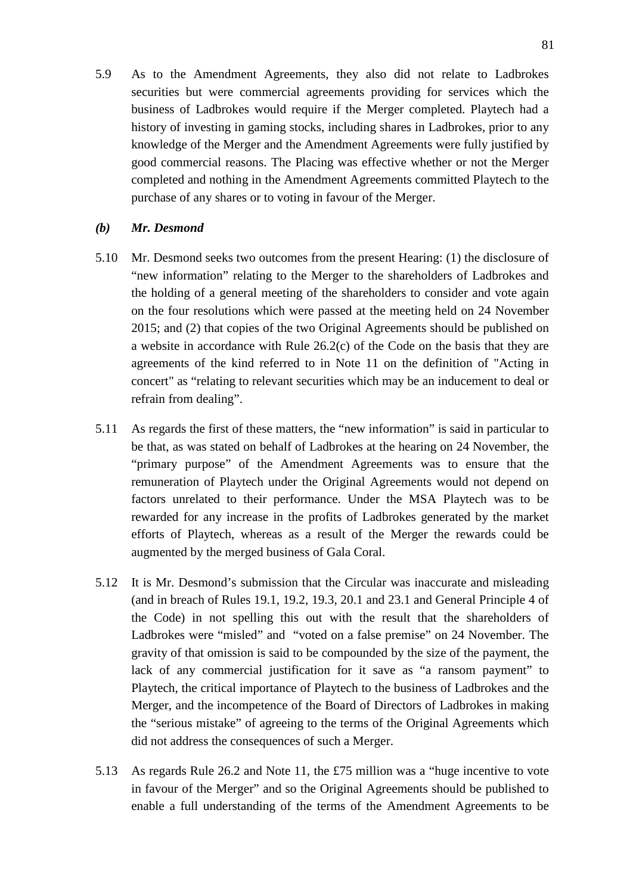5.9 As to the Amendment Agreements, they also did not relate to Ladbrokes securities but were commercial agreements providing for services which the business of Ladbrokes would require if the Merger completed. Playtech had a history of investing in gaming stocks, including shares in Ladbrokes, prior to any knowledge of the Merger and the Amendment Agreements were fully justified by good commercial reasons. The Placing was effective whether or not the Merger completed and nothing in the Amendment Agreements committed Playtech to the purchase of any shares or to voting in favour of the Merger.

### *(b) Mr. Desmond*

- 5.10 Mr. Desmond seeks two outcomes from the present Hearing: (1) the disclosure of "new information" relating to the Merger to the shareholders of Ladbrokes and the holding of a general meeting of the shareholders to consider and vote again on the four resolutions which were passed at the meeting held on 24 November 2015; and (2) that copies of the two Original Agreements should be published on a website in accordance with Rule 26.2(c) of the Code on the basis that they are agreements of the kind referred to in Note 11 on the definition of "Acting in concert" as "relating to relevant securities which may be an inducement to deal or refrain from dealing".
- 5.11 As regards the first of these matters, the "new information" is said in particular to be that, as was stated on behalf of Ladbrokes at the hearing on 24 November, the "primary purpose" of the Amendment Agreements was to ensure that the remuneration of Playtech under the Original Agreements would not depend on factors unrelated to their performance. Under the MSA Playtech was to be rewarded for any increase in the profits of Ladbrokes generated by the market efforts of Playtech, whereas as a result of the Merger the rewards could be augmented by the merged business of Gala Coral.
- 5.12 It is Mr. Desmond's submission that the Circular was inaccurate and misleading (and in breach of Rules 19.1, 19.2, 19.3, 20.1 and 23.1 and General Principle 4 of the Code) in not spelling this out with the result that the shareholders of Ladbrokes were "misled" and "voted on a false premise" on 24 November. The gravity of that omission is said to be compounded by the size of the payment, the lack of any commercial justification for it save as "a ransom payment" to Playtech, the critical importance of Playtech to the business of Ladbrokes and the Merger, and the incompetence of the Board of Directors of Ladbrokes in making the "serious mistake" of agreeing to the terms of the Original Agreements which did not address the consequences of such a Merger.
- 5.13 As regards Rule 26.2 and Note 11, the £75 million was a "huge incentive to vote in favour of the Merger" and so the Original Agreements should be published to enable a full understanding of the terms of the Amendment Agreements to be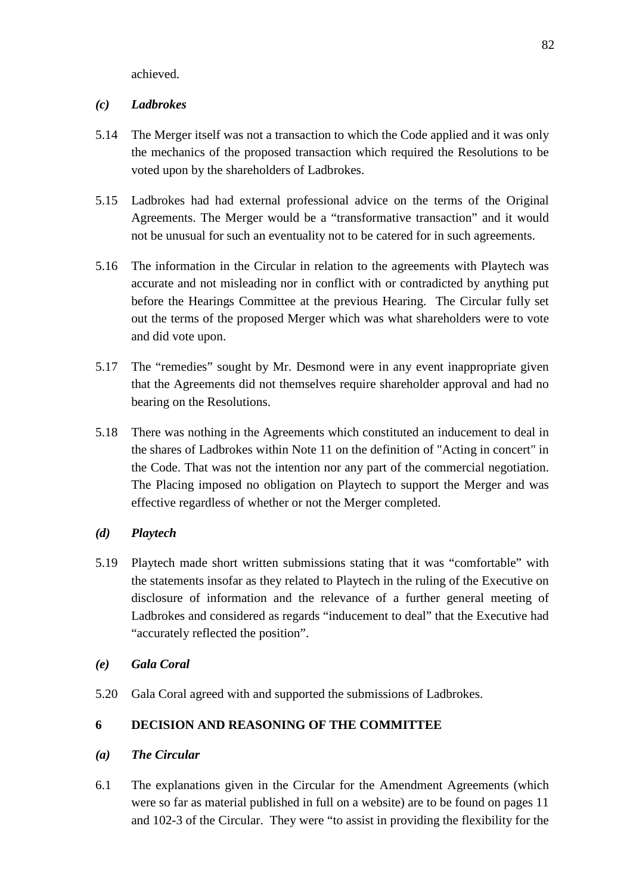achieved.

### *(c) Ladbrokes*

- 5.14 The Merger itself was not a transaction to which the Code applied and it was only the mechanics of the proposed transaction which required the Resolutions to be voted upon by the shareholders of Ladbrokes.
- 5.15 Ladbrokes had had external professional advice on the terms of the Original Agreements. The Merger would be a "transformative transaction" and it would not be unusual for such an eventuality not to be catered for in such agreements.
- 5.16 The information in the Circular in relation to the agreements with Playtech was accurate and not misleading nor in conflict with or contradicted by anything put before the Hearings Committee at the previous Hearing. The Circular fully set out the terms of the proposed Merger which was what shareholders were to vote and did vote upon.
- 5.17 The "remedies" sought by Mr. Desmond were in any event inappropriate given that the Agreements did not themselves require shareholder approval and had no bearing on the Resolutions.
- 5.18 There was nothing in the Agreements which constituted an inducement to deal in the shares of Ladbrokes within Note 11 on the definition of "Acting in concert" in the Code. That was not the intention nor any part of the commercial negotiation. The Placing imposed no obligation on Playtech to support the Merger and was effective regardless of whether or not the Merger completed.

## *(d) Playtech*

5.19 Playtech made short written submissions stating that it was "comfortable" with the statements insofar as they related to Playtech in the ruling of the Executive on disclosure of information and the relevance of a further general meeting of Ladbrokes and considered as regards "inducement to deal" that the Executive had "accurately reflected the position".

## *(e) Gala Coral*

5.20 Gala Coral agreed with and supported the submissions of Ladbrokes.

## **6 DECISION AND REASONING OF THE COMMITTEE**

- *(a) The Circular*
- 6.1 The explanations given in the Circular for the Amendment Agreements (which were so far as material published in full on a website) are to be found on pages 11 and 102-3 of the Circular. They were "to assist in providing the flexibility for the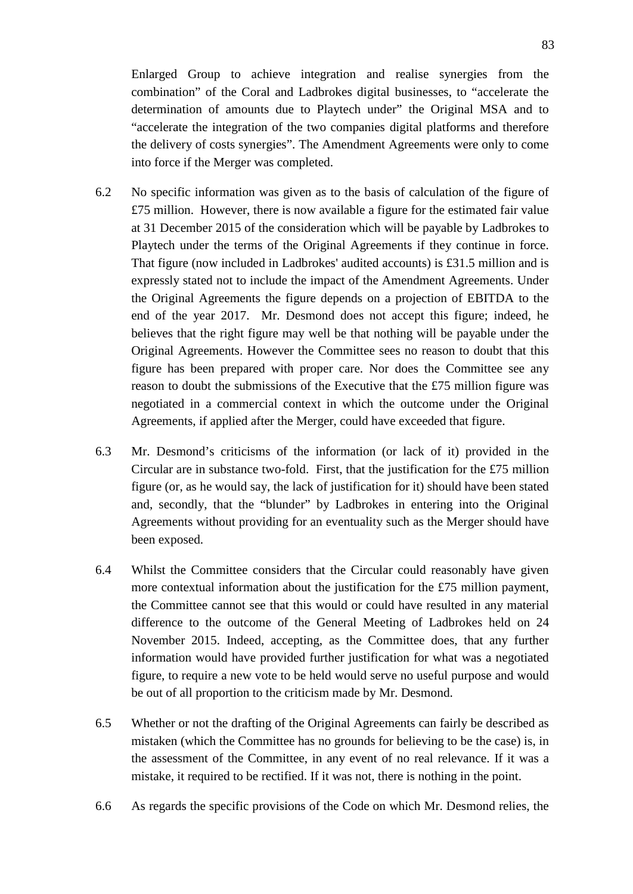Enlarged Group to achieve integration and realise synergies from the combination" of the Coral and Ladbrokes digital businesses, to "accelerate the determination of amounts due to Playtech under" the Original MSA and to "accelerate the integration of the two companies digital platforms and therefore the delivery of costs synergies". The Amendment Agreements were only to come into force if the Merger was completed.

- 6.2 No specific information was given as to the basis of calculation of the figure of £75 million. However, there is now available a figure for the estimated fair value at 31 December 2015 of the consideration which will be payable by Ladbrokes to Playtech under the terms of the Original Agreements if they continue in force. That figure (now included in Ladbrokes' audited accounts) is £31.5 million and is expressly stated not to include the impact of the Amendment Agreements. Under the Original Agreements the figure depends on a projection of EBITDA to the end of the year 2017. Mr. Desmond does not accept this figure; indeed, he believes that the right figure may well be that nothing will be payable under the Original Agreements. However the Committee sees no reason to doubt that this figure has been prepared with proper care. Nor does the Committee see any reason to doubt the submissions of the Executive that the £75 million figure was negotiated in a commercial context in which the outcome under the Original Agreements, if applied after the Merger, could have exceeded that figure.
- 6.3 Mr. Desmond's criticisms of the information (or lack of it) provided in the Circular are in substance two-fold. First, that the justification for the £75 million figure (or, as he would say, the lack of justification for it) should have been stated and, secondly, that the "blunder" by Ladbrokes in entering into the Original Agreements without providing for an eventuality such as the Merger should have been exposed.
- 6.4 Whilst the Committee considers that the Circular could reasonably have given more contextual information about the justification for the £75 million payment, the Committee cannot see that this would or could have resulted in any material difference to the outcome of the General Meeting of Ladbrokes held on 24 November 2015. Indeed, accepting, as the Committee does, that any further information would have provided further justification for what was a negotiated figure, to require a new vote to be held would serve no useful purpose and would be out of all proportion to the criticism made by Mr. Desmond.
- 6.5 Whether or not the drafting of the Original Agreements can fairly be described as mistaken (which the Committee has no grounds for believing to be the case) is, in the assessment of the Committee, in any event of no real relevance. If it was a mistake, it required to be rectified. If it was not, there is nothing in the point.
- 6.6 As regards the specific provisions of the Code on which Mr. Desmond relies, the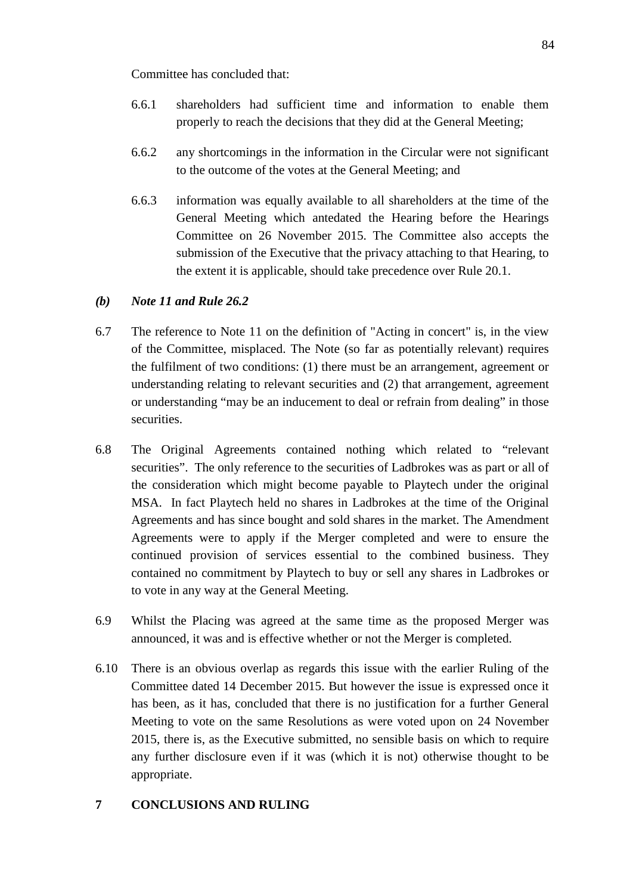Committee has concluded that:

- 6.6.1 shareholders had sufficient time and information to enable them properly to reach the decisions that they did at the General Meeting;
- 6.6.2 any shortcomings in the information in the Circular were not significant to the outcome of the votes at the General Meeting; and
- 6.6.3 information was equally available to all shareholders at the time of the General Meeting which antedated the Hearing before the Hearings Committee on 26 November 2015. The Committee also accepts the submission of the Executive that the privacy attaching to that Hearing, to the extent it is applicable, should take precedence over Rule 20.1.

# *(b) Note 11 and Rule 26.2*

- 6.7 The reference to Note 11 on the definition of "Acting in concert" is, in the view of the Committee, misplaced. The Note (so far as potentially relevant) requires the fulfilment of two conditions: (1) there must be an arrangement, agreement or understanding relating to relevant securities and (2) that arrangement, agreement or understanding "may be an inducement to deal or refrain from dealing" in those securities.
- 6.8 The Original Agreements contained nothing which related to "relevant securities". The only reference to the securities of Ladbrokes was as part or all of the consideration which might become payable to Playtech under the original MSA. In fact Playtech held no shares in Ladbrokes at the time of the Original Agreements and has since bought and sold shares in the market. The Amendment Agreements were to apply if the Merger completed and were to ensure the continued provision of services essential to the combined business. They contained no commitment by Playtech to buy or sell any shares in Ladbrokes or to vote in any way at the General Meeting.
- 6.9 Whilst the Placing was agreed at the same time as the proposed Merger was announced, it was and is effective whether or not the Merger is completed.
- 6.10 There is an obvious overlap as regards this issue with the earlier Ruling of the Committee dated 14 December 2015. But however the issue is expressed once it has been, as it has, concluded that there is no justification for a further General Meeting to vote on the same Resolutions as were voted upon on 24 November 2015, there is, as the Executive submitted, no sensible basis on which to require any further disclosure even if it was (which it is not) otherwise thought to be appropriate.

# **7 CONCLUSIONS AND RULING**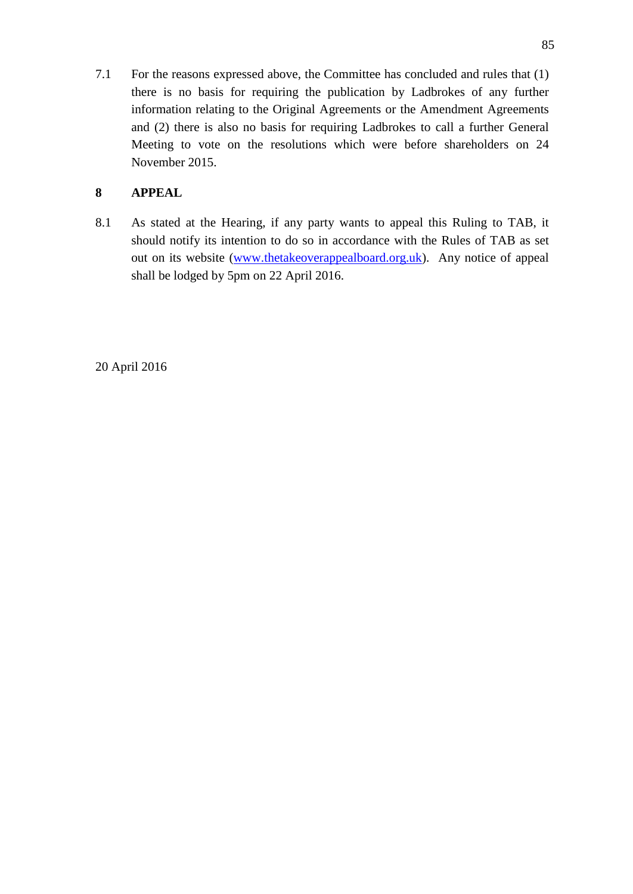7.1 For the reasons expressed above, the Committee has concluded and rules that (1) there is no basis for requiring the publication by Ladbrokes of any further information relating to the Original Agreements or the Amendment Agreements and (2) there is also no basis for requiring Ladbrokes to call a further General Meeting to vote on the resolutions which were before shareholders on 24 November 2015.

## **8 APPEAL**

8.1 As stated at the Hearing, if any party wants to appeal this Ruling to TAB, it should notify its intention to do so in accordance with the Rules of TAB as set out on its website [\(www.thetakeoverappealboard.org.uk\)](http://www.thetakeoverapealboard.or.uk/). Any notice of appeal shall be lodged by 5pm on 22 April 2016.

20 April 2016